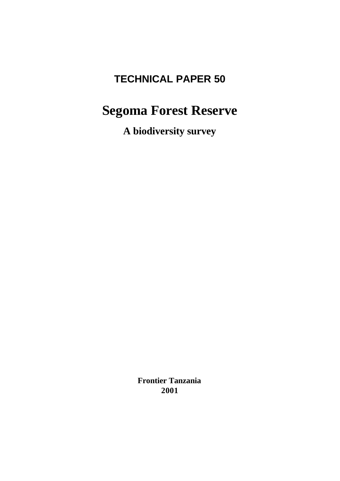# **TECHNICAL PAPER 50**

# **Segoma Forest Reserve**

**A biodiversity survey**

**Frontier Tanzania 2001**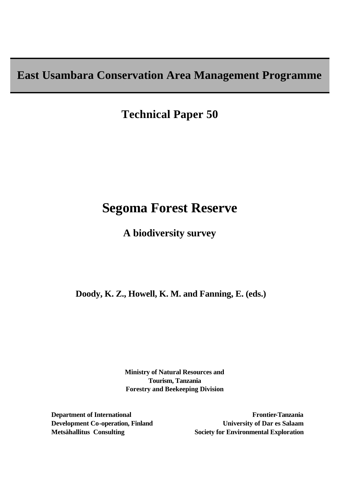**East Usambara Conservation Area Management Programme**

**Technical Paper 50**

# **Segoma Forest Reserve**

**A biodiversity survey**

 **Doody, K. Z., Howell, K. M. and Fanning, E. (eds.)**

**Ministry of Natural Resources and Tourism, Tanzania Forestry and Beekeeping Division**

**Department of International Development Co-operation, Finland Metsähallitus Consulting** 

**Frontier-Tanzania University of Dar es Salaam Society for Environmental Exploration**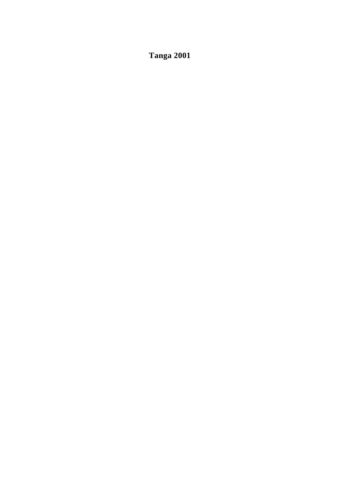**Tanga 2001**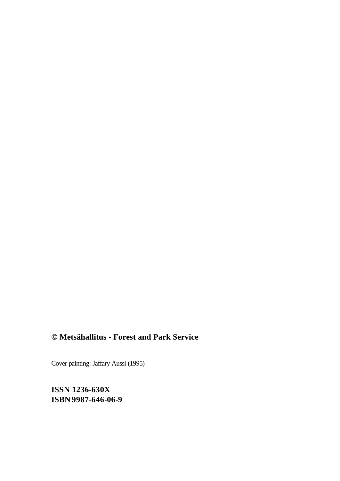## **© Metsähallitus - Forest and Park Service**

Cover painting: Jaffary Aussi (1995)

**ISSN 1236-630X ISBN 9987-646-06-9**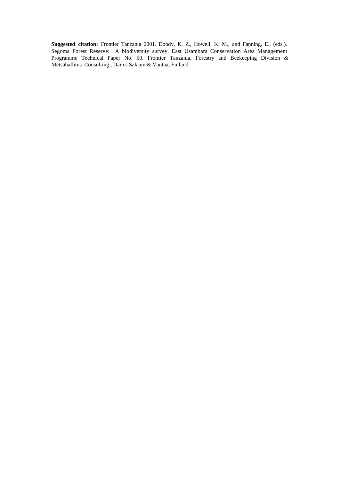**Suggested citation:** Frontier Tanzania 2001. Doody, K. Z., Howell, K. M., and Fanning, E., (eds.). Segoma Forest Reserve: A biodiversity survey. East Usambara Conservation Area Management Programme Technical Paper No. 50. Frontier Tanzania, Forestry and Beekeeping Division & Metsähallitus Consulting , Dar es Salaam & Vantaa, Finland.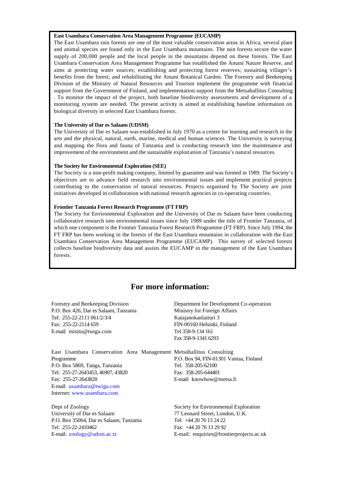#### **East Usambara Conservation Area Management Programme (EUCAMP)**

The East Usambara rain forests are one of the most valuable conservation areas in Africa, several plant and animal species are found only in the East Usambara mountains. The rain forests secure the water supply of 200,000 people and the local people in the mountains depend on these forests. The East Usambara Conservation Area Management Programme has established the Amani Nature Reserve, and aims at protecting water sources; establishing and protecting forest reserves; sustaining villager's benefits from the forest; and rehabilitating the Amani Botanical Garden. The Forestry and Beekeeping Division of the Ministry of Natural Resources and Tourism implement the programme with financial support from the Government of Finland, and implementation support from the Metsahallitus Consulting . To monitor the impact of the project, both baseline biodiversity assessments and development of a monitoring system are needed. The present activity is aimed at establishing baseline information on biological diversity in selected East Usambara forests.

#### **The University of Dar es Salaam (UDSM)**

E-mail: zoology@udsm.ac.tz

The University of Dar es Salaam was established in July 1970 as a centre for learning and research in the arts and the physical, natural, earth, marine, medical and human sciences. The University is surveying and mapping the flora and fauna of Tanzania and is conducting research into the maintenance and improvement of the environment and the sustainable exploitation of Tanzania's natural resources.

#### **The Society for Environmental Exploration (SEE)**

The Society is a non-profit making company, limited by guarantee and was formed in 1989. The Society's objectives are to advance field research into environmental issues and implement practical projects contributing to the conservation of natural resources. Projects organised by The Society are joint initiatives developed in collaboration with national research agencies in co-operating countries.

#### **Frontier Tanzania Forest Research Programme (FT FRP)**

The Society for Environmental Exploration and the University of Dar es Salaam have been conducting collaborative research into environmental issues since July 1989 under the title of Frontier Tanzania, of which one component is the Frontier Tanzania Forest Research Programme (FT FRP). Since July 1994, the FT FRP has been working in the forests of the East Usambara mountains in collaboration with the East Usambara Conservation Area Management Programme (EUCAMP). This survey of selected forests collects baseline biodiversity data and assists the EUCAMP in the management of the East Usambara forests.

## **For more information:**

| Forestry and Beekeeping Division<br>P.O. Box 426, Dar es Salaam, Tanzania<br>Tel: 255-22-2111 061/2/3/4<br>Fax: 255-22-2114 659<br>E-mail: misitu@twiga.com                                                                                | Department for Development Co-operation<br>Ministry for Foreign Affairs<br>Katajanokanlaituri 3<br>FIN-00160 Helsinki, Finland<br>Tel 358-9-134 161<br>Fax 358-9-1341 6293 |
|--------------------------------------------------------------------------------------------------------------------------------------------------------------------------------------------------------------------------------------------|----------------------------------------------------------------------------------------------------------------------------------------------------------------------------|
| East Usambara Conservation Area Management Metsähallitus Consulting<br>Programme<br>P.O. Box 5869, Tanga, Tanzania<br>Tel: 255-27-2643453, 46907, 43820<br>Fax: 255-27-2643820<br>E-mail: usambara@twiga.com<br>Internet: www.usambara.com | P.O. Box 94, FIN-01301 Vantaa, Finland<br>Tel: 358-205-62100<br>Fax: 358-205-644401<br>E-mail: knowhow@metsa.fi                                                            |
| Dept of Zoology<br>University of Dar es Salaam<br>P.O. Box 35064, Dar es Salaam, Tanzania<br>Tel: 255-22-2410462                                                                                                                           | Society for Environmental Exploration<br>77 Leonard Street, London, U.K.<br>Tel: +44 20 76 13 24 22<br>Fax: +44 20 76 13 29 92                                             |

E-mail: enquiries@frontierprojects.ac.uk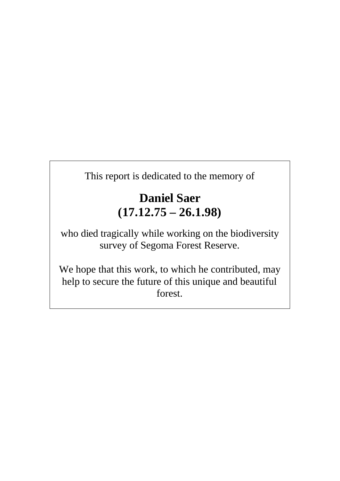This report is dedicated to the memory of

# **Daniel Saer (17.12.75 – 26.1.98)**

who died tragically while working on the biodiversity survey of Segoma Forest Reserve.

We hope that this work, to which he contributed, may help to secure the future of this unique and beautiful forest.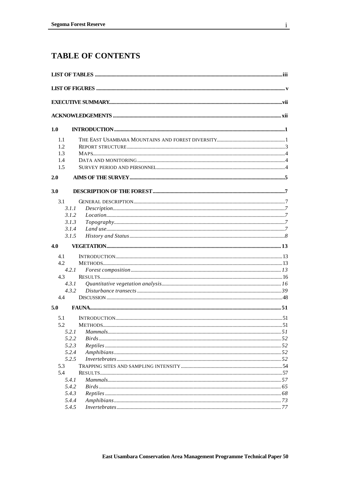## **TABLE OF CONTENTS**

| 1.0 |                |    |
|-----|----------------|----|
| 1.1 |                |    |
| 1.2 |                |    |
| 1.3 |                |    |
| 1.4 |                |    |
| 1.5 |                |    |
| 2.0 |                |    |
| 3.0 |                |    |
|     |                |    |
| 3.1 |                |    |
|     | 3.1.1          |    |
|     | 3.1.2          |    |
|     | 3.1.3          |    |
|     | 3.1.4          |    |
|     | 3.1.5          |    |
| 4.0 |                |    |
| 4.1 |                |    |
| 4.2 |                |    |
|     | 4.2.1          |    |
| 4.3 |                |    |
|     | 4.3.1          |    |
|     | 4.3.2          |    |
| 4.4 |                |    |
| 5.0 |                |    |
| 5.1 |                |    |
| 52  | <b>METHODS</b> | 51 |
|     | 5.2.1          |    |
|     | 5.2.2          |    |
|     | 5.2.3          |    |
|     | 5.2.4          |    |
|     | 5.2.5          |    |
| 5.3 |                |    |
| 5.4 |                |    |
|     | 5.4.1          |    |
|     | 5.4.2          |    |
|     | 5.4.3          |    |
|     | 5.4.4          |    |
|     | 5.4.5          |    |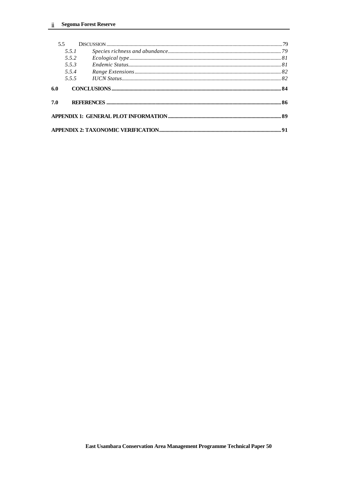|     | 5.5   |  |
|-----|-------|--|
|     | 5.5.1 |  |
|     | 5.5.2 |  |
|     | 553   |  |
|     | 5.5.4 |  |
|     | 555   |  |
| 6.0 |       |  |
| 7.0 |       |  |
|     |       |  |
|     |       |  |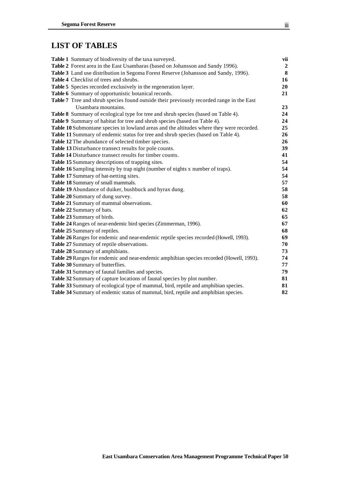## **LIST OF TABLES**

| Table 1 Summary of biodiversity of the taxa surveyed.                                    | vii            |
|------------------------------------------------------------------------------------------|----------------|
| Table 2 Forest area in the East Usambaras (based on Johansson and Sandy 1996).           | $\overline{2}$ |
| Table 3 Land use distribution in Segoma Forest Reserve (Johansson and Sandy, 1996).      | 8              |
| Table 4 Checklist of trees and shrubs.                                                   | 16             |
| Table 5 Species recorded exclusively in the regeneration layer.                          | 20             |
| Table 6 Summary of opportunistic botanical records.                                      | 21             |
| Table 7 Tree and shrub species found outside their previously recorded range in the East |                |
| Usambara mountains.                                                                      | 23             |
| Table 8 Summary of ecological type for tree and shrub species (based on Table 4).        | 24             |
| Table 9 Summary of habitat for tree and shrub species (based on Table 4).                | 24             |
| Table 10 Submontane species in lowland areas and the altitudes where they were recorded. | 25             |
| Table 11 Summary of endemic status for tree and shrub species (based on Table 4).        | 26             |
| Table 12 The abundance of selected timber species.                                       | 26             |
| Table 13 Disturbance transect results for pole counts.                                   | 39             |
| Table 14 Disturbance transect results for timber counts.                                 | 41             |
| Table 15 Summary descriptions of trapping sites.                                         | 54             |
| Table 16 Sampling intensity by trap night (number of nights x number of traps).          | 54             |
| Table 17 Summary of bat-netting sites.                                                   | 54             |
| Table 18 Summary of small mammals.                                                       | 57             |
| Table 19 Abundance of duiker, bushbuck and hyrax dung.                                   | 58             |
| Table 20 Summary of dung survey.                                                         | 58             |
| Table 21 Summary of mammal observations.                                                 | 60             |
| Table 22 Summary of bats.                                                                | 62             |
| Table 23 Summary of birds.                                                               | 65             |
| Table 24 Ranges of near-endemic bird species (Zimmerman, 1996).                          | 67             |
| Table 25 Summary of reptiles.                                                            | 68             |
| Table 26 Ranges for endemic and near-endemic reptile species recorded (Howell, 1993).    | 69             |
| Table 27 Summary of reptile observations.                                                | 70             |
| Table 28 Summary of amphibians.                                                          | 73             |
| Table 29 Ranges for endemic and near-endemic amphibian species recorded (Howell, 1993).  | 74             |
| Table 30 Summary of butterflies.                                                         | 77             |
| Table 31 Summary of faunal families and species.                                         | 79             |
| Table 32 Summary of capture locations of faunal species by plot number.                  | 81             |
| Table 33 Summary of ecological type of mammal, bird, reptile and amphibian species.      | 81             |
| Table 34 Summary of endemic status of mammal, bird, reptile and amphibian species.       | 82             |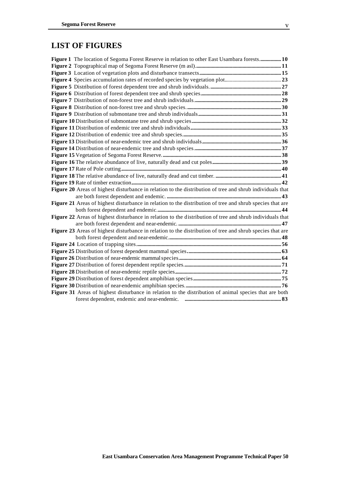## **LIST OF FIGURES**

| Figure 1 The location of Segoma Forest Reserve in relation to other East Usambara forests 10              |  |
|-----------------------------------------------------------------------------------------------------------|--|
|                                                                                                           |  |
|                                                                                                           |  |
|                                                                                                           |  |
|                                                                                                           |  |
|                                                                                                           |  |
|                                                                                                           |  |
|                                                                                                           |  |
|                                                                                                           |  |
|                                                                                                           |  |
|                                                                                                           |  |
|                                                                                                           |  |
|                                                                                                           |  |
|                                                                                                           |  |
|                                                                                                           |  |
|                                                                                                           |  |
|                                                                                                           |  |
|                                                                                                           |  |
|                                                                                                           |  |
| Figure 20 Areas of highest disturbance in relation to the distribution of tree and shrub individuals that |  |
|                                                                                                           |  |
| Figure 21 Areas of highest disturbance in relation to the distribution of tree and shrub species that are |  |
|                                                                                                           |  |
| Figure 22 Areas of highest disturbance in relation to the distribution of tree and shrub individuals that |  |
|                                                                                                           |  |
| Figure 23 Areas of highest disturbance in relation to the distribution of tree and shrub species that are |  |
|                                                                                                           |  |
|                                                                                                           |  |
|                                                                                                           |  |
|                                                                                                           |  |
|                                                                                                           |  |
|                                                                                                           |  |
|                                                                                                           |  |
|                                                                                                           |  |
| Figure 31 Areas of highest disturbance in relation to the distribution of animal species that are both    |  |
|                                                                                                           |  |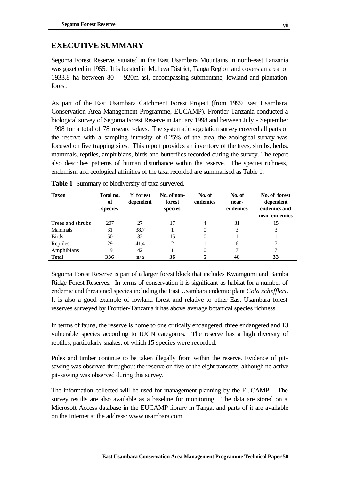## **EXECUTIVE SUMMARY**

Segoma Forest Reserve, situated in the East Usambara Mountains in north-east Tanzania was gazetted in 1955. It is located in Muheza District, Tanga Region and covers an area of 1933.8 ha between 80 - 920m asl, encompassing submontane, lowland and plantation forest.

As part of the East Usambara Catchment Forest Project (from 1999 East Usambara Conservation Area Management Programme, EUCAMP), Frontier-Tanzania conducted a biological survey of Segoma Forest Reserve in January 1998 and between July - September 1998 for a total of 78 research-days. The systematic vegetation survey covered all parts of the reserve with a sampling intensity of 0.25% of the area, the zoological survey was focused on five trapping sites. This report provides an inventory of the trees, shrubs, herbs, mammals, reptiles, amphibians, birds and butterflies recorded during the survey. The report also describes patterns of human disturbance within the reserve. The species richness, endemism and ecological affinities of the taxa recorded are summarised as Table 1.

| Taxon            | Total no.<br>of<br>species | % forest<br>dependent | No. of non-<br>forest<br>species | No. of<br>endemics | No. of<br>near-<br>endemics | No. of forest<br>dependent<br>endemics and<br>near-endemics |
|------------------|----------------------------|-----------------------|----------------------------------|--------------------|-----------------------------|-------------------------------------------------------------|
| Trees and shrubs | 207                        | 27                    |                                  | 4                  | 31                          | 15                                                          |
| <b>Mammals</b>   | 31                         | 38.7                  |                                  |                    | 3                           |                                                             |
| <b>Birds</b>     | 50                         | 32                    | 15                               | 0                  |                             |                                                             |
| Reptiles         | 29                         | 41.4                  | 2                                |                    | 6                           |                                                             |
| Amphibians       | 19                         | 42                    |                                  |                    |                             |                                                             |
| <b>Total</b>     | 336                        | n/a                   | 36                               |                    | 48                          | 33                                                          |

**Table 1** Summary of biodiversity of taxa surveyed.

Segoma Forest Reserve is part of a larger forest block that includes Kwamgumi and Bamba Ridge Forest Reserves. In terms of conservation it is significant as habitat for a number of endemic and threatened species including the East Usambara endemic plant *Cola scheffleri*. It is also a good example of lowland forest and relative to other East Usambara forest reserves surveyed by Frontier-Tanzania it has above average botanical species richness.

In terms of fauna, the reserve is home to one critically endangered, three endangered and 13 vulnerable species according to IUCN categories. The reserve has a high diversity of reptiles, particularly snakes, of which 15 species were recorded.

Poles and timber continue to be taken illegally from within the reserve. Evidence of pitsawing was observed throughout the reserve on five of the eight transects, although no active pit-sawing was observed during this survey.

The information collected will be used for management planning by the EUCAMP. The survey results are also available as a baseline for monitoring. The data are stored on a Microsoft Access database in the EUCAMP library in Tanga, and parts of it are available on the Internet at the address: www.usambara.com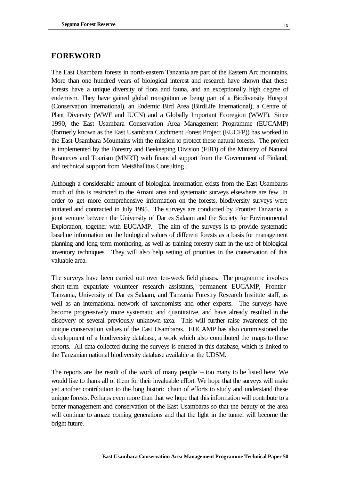The East Usambara forests in north-eastern Tanzania are part of the Eastern Arc mountains. More than one hundred years of biological interest and research have shown that these forests have a unique diversity of flora and fauna, and an exceptionally high degree of endemism. They have gained global recognition as being part of a Biodiversity Hotspot (Conservation International), an Endemic Bird Area (BirdLife International), a Centre of Plant Diversity (WWF and IUCN) and a Globally Important Ecoregion (WWF). Since 1990, the East Usambara Conservation Area Management Programme (EUCAMP) (formerly known as the East Usambara Catchment Forest Project (EUCFP)) has worked in the East Usambara Mountains with the mission to protect these natural forests. The project is implemented by the Forestry and Beekeeping Division (FBD) of the Ministry of Natural Resources and Tourism (MNRT) with financial support from the Government of Finland, and technical support from Metsähallitus Consulting .

Although a considerable amount of biological information exists from the East Usambaras much of this is restricted to the Amani area and systematic surveys elsewhere are few. In order to get more comprehensive information on the forests, biodiversity surveys were initiated and contracted in July 1995. The surveys are conducted by Frontier Tanzania, a joint venture between the University of Dar es Salaam and the Society for Environmental Exploration, together with EUCAMP. The aim of the surveys is to provide systematic baseline information on the biological values of different forests as a basis for management planning and long-term monitoring, as well as training forestry staff in the use of biological inventory techniques. They will also help setting of priorities in the conservation of this valuable area.

The surveys have been carried out over ten-week field phases. The programme involves short-term expatriate volunteer research assistants, permanent EUCAMP, Frontier-Tanzania, University of Dar es Salaam, and Tanzania Forestry Research Institute staff, as well as an international network of taxonomists and other experts. The surveys have become progressively more systematic and quantitative, and have already resulted in the discovery of several previously unknown taxa. This will further raise awareness of the unique conservation values of the East Usambaras. EUCAMP has also commissioned the development of a biodiversity database, a work which also contributed the maps to these reports. All data collected during the surveys is entered in this database, which is linked to the Tanzanian national biodiversity database available at the UDSM.

The reports are the result of the work of many people – too many to be listed here. We would like to thank all of them for their invaluable effort. We hope that the surveys will make yet another contribution to the long historic chain of efforts to study and understand these unique forests. Perhaps even more than that we hope that this information will contribute to a better management and conservation of the East Usambaras so that the beauty of the area will continue to amaze coming generations and that the light in the tunnel will become the bright future.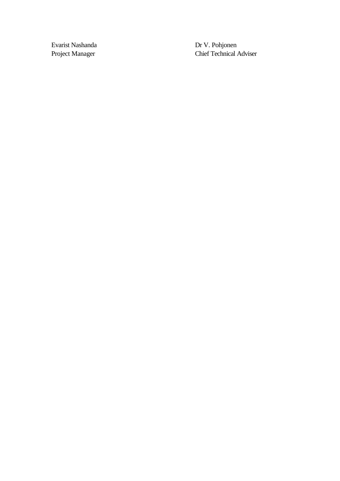Evarist Nashanda Dr V. Pohjonen Project Manager Chief Technical Adviser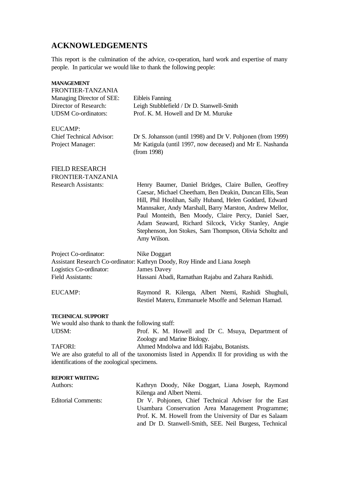## **ACKNOWLEDGEMENTS**

This report is the culmination of the advice, co-operation, hard work and expertise of many people. In particular we would like to thank the following people:

| <b>MANAGEMENT</b>                                  |                                                                                                                                                                               |  |  |
|----------------------------------------------------|-------------------------------------------------------------------------------------------------------------------------------------------------------------------------------|--|--|
| FRONTIER-TANZANIA                                  |                                                                                                                                                                               |  |  |
| Managing Director of SEE:<br>Director of Research: | Eibleis Fanning<br>Leigh Stubblefield / Dr D. Stanwell-Smith                                                                                                                  |  |  |
| <b>UDSM</b> Co-ordinators:                         | Prof. K. M. Howell and Dr M. Muruke                                                                                                                                           |  |  |
|                                                    |                                                                                                                                                                               |  |  |
| <b>EUCAMP:</b>                                     |                                                                                                                                                                               |  |  |
| <b>Chief Technical Advisor:</b>                    | Dr S. Johansson (until 1998) and Dr V. Pohjonen (from 1999)                                                                                                                   |  |  |
| Project Manager:                                   | Mr Katigula (until 1997, now deceased) and Mr E. Nashanda<br>(from 1998)                                                                                                      |  |  |
|                                                    |                                                                                                                                                                               |  |  |
| <b>FIELD RESEARCH</b>                              |                                                                                                                                                                               |  |  |
| FRONTIER-TANZANIA                                  |                                                                                                                                                                               |  |  |
| <b>Research Assistants:</b>                        | Henry Baumer, Daniel Bridges, Claire Bullen, Geoffrey<br>Caesar, Michael Cheetham, Ben Deakin, Duncan Ellis, Sean<br>Hill, Phil Hoolihan, Sally Huband, Helen Goddard, Edward |  |  |
|                                                    | Mannsaker, Andy Marshall, Barry Marston, Andrew Mellor,<br>Paul Monteith, Ben Moody, Claire Percy, Daniel Saer,                                                               |  |  |
|                                                    | Adam Seaward, Richard Silcock, Vicky Stanley, Angie                                                                                                                           |  |  |
|                                                    | Stephenson, Jon Stokes, Sam Thompson, Olivia Scholtz and<br>Amy Wilson.                                                                                                       |  |  |
|                                                    |                                                                                                                                                                               |  |  |
| Project Co-ordinator:                              | Nike Doggart                                                                                                                                                                  |  |  |
|                                                    | Assistant Research Co-ordinator: Kathryn Doody, Roy Hinde and Liana Joseph                                                                                                    |  |  |
| Logistics Co-ordinator:                            | <b>James Davey</b>                                                                                                                                                            |  |  |
| <b>Field Assistants:</b>                           | Hassani Abadi, Ramathan Rajabu and Zahara Rashidi.                                                                                                                            |  |  |
| <b>EUCAMP:</b>                                     | Raymond R. Kilenga, Albert Ntemi, Rashidi Shughuli,                                                                                                                           |  |  |
|                                                    | Restiel Materu, Emmanuele Msoffe and Seleman Hamad.                                                                                                                           |  |  |
| <b>TECHNICAL SUPPORT</b>                           |                                                                                                                                                                               |  |  |
| We would also thank to thank the following staff:  |                                                                                                                                                                               |  |  |
| <b>UDSM:</b>                                       | Prof. K. M. Howell and Dr C. Msuya, Department of                                                                                                                             |  |  |
|                                                    | Zoology and Marine Biology.                                                                                                                                                   |  |  |
| <b>TAFORI:</b>                                     | Ahmed Mndolwa and Iddi Rajabu, Botanists.                                                                                                                                     |  |  |
|                                                    | We are also grateful to all of the taxonomists listed in Appendix II for providing us with the                                                                                |  |  |
| identifications of the zoological specimens.       |                                                                                                                                                                               |  |  |
| <b>REPORT WRITING</b>                              |                                                                                                                                                                               |  |  |
| Authors:                                           | Kathryn Doody, Nike Doggart, Liana Joseph, Raymond                                                                                                                            |  |  |
|                                                    | Kilenga and Albert Ntemi.                                                                                                                                                     |  |  |
| <b>Editorial Comments:</b>                         | Dr V. Pohjonen, Chief Technical Adviser for the East                                                                                                                          |  |  |
|                                                    | Usambara Conservation Area Management Programme;                                                                                                                              |  |  |
|                                                    | Prof. K. M. Howell from the University of Dar es Salaam<br>and Dr D. Stanwell-Smith, SEE. Neil Burgess, Technical                                                             |  |  |
|                                                    |                                                                                                                                                                               |  |  |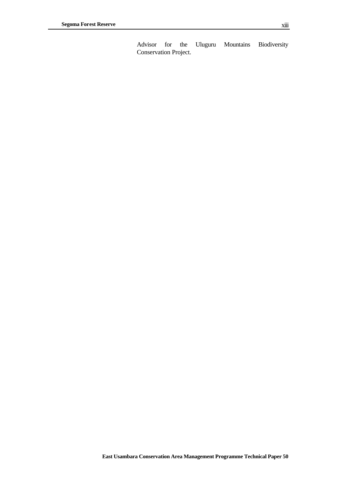Advisor for the Uluguru Mountains Biodiversity Conservation Project.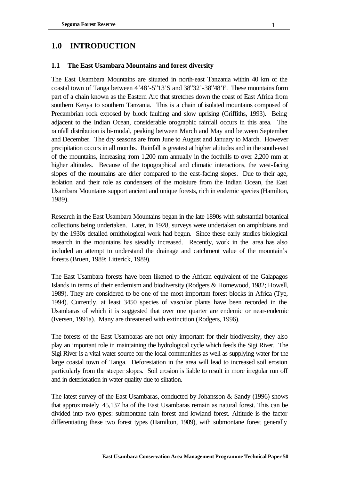## **1.0 INTRODUCTION**

### **1.1 The East Usambara Mountains and forest diversity**

The East Usambara Mountains are situated in north-east Tanzania within 40 km of the coastal town of Tanga between  $4^{\circ}48'$ -5 $^{\circ}13'$ S and  $38^{\circ}32'$ -38 $^{\circ}48'$ E. These mountains form part of a chain known as the Eastern Arc that stretches down the coast of East Africa from southern Kenya to southern Tanzania. This is a chain of isolated mountains composed of Precambrian rock exposed by block faulting and slow uprising (Griffiths, 1993). Being adjacent to the Indian Ocean, considerable orographic rainfall occurs in this area. The rainfall distribution is bi-modal, peaking between March and May and between September and December. The dry seasons are from June to August and January to March. However precipitation occurs in all months. Rainfall is greatest at higher altitudes and in the south-east of the mountains, increasing from 1,200 mm annually in the foothills to over 2,200 mm at higher altitudes. Because of the topographical and climatic interactions, the west-facing slopes of the mountains are drier compared to the east-facing slopes. Due to their age, isolation and their role as condensers of the moisture from the Indian Ocean, the East Usambara Mountains support ancient and unique forests, rich in endemic species (Hamilton, 1989).

Research in the East Usambara Mountains began in the late 1890s with substantial botanical collections being undertaken. Later, in 1928, surveys were undertaken on amphibians and by the 1930s detailed ornithological work had begun. Since these early studies biological research in the mountains has steadily increased. Recently, work in the area has also included an attempt to understand the drainage and catchment value of the mountain's forests (Bruen, 1989; Litterick, 1989).

The East Usambara forests have been likened to the African equivalent of the Galapagos Islands in terms of their endemism and biodiversity (Rodgers & Homewood, 1982; Howell, 1989). They are considered to be one of the most important forest blocks in Africa (Tye, 1994). Currently, at least 3450 species of vascular plants have been recorded in the Usambaras of which it is suggested that over one quarter are endemic or near-endemic (Iversen, 1991a). Many are threatened with extincition (Rodgers, 1996).

The forests of the East Usambaras are not only important for their biodiversity, they also play an important role in maintaining the hydrological cycle which feeds the Sigi River. The Sigi River is a vital water source for the local communities as well as supplying water for the large coastal town of Tanga. Deforestation in the area will lead to increased soil erosion particularly from the steeper slopes. Soil erosion is liable to result in more irregular run off and in deterioration in water quality due to siltation.

The latest survey of the East Usambaras, conducted by Johansson & Sandy (1996) shows that approximately 45,137 ha of the East Usambaras remain as natural forest. This can be divided into two types: submontane rain forest and lowland forest. Altitude is the factor differentiating these two forest types (Hamilton, 1989), with submontane forest generally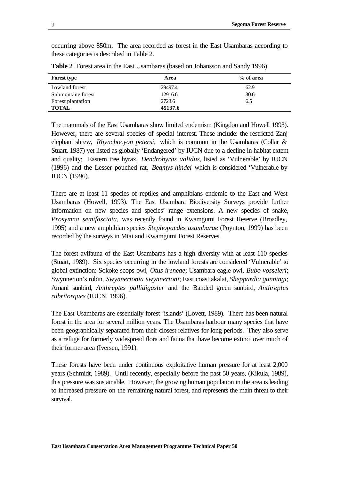occurring above 850m. The area recorded as forest in the East Usambaras according to these categories is described in Table 2.

| <b>Forest type</b> | Area    | % of area |
|--------------------|---------|-----------|
| Lowland forest     | 29497.4 | 62.9      |
| Submontane forest  | 12916.6 | 30.6      |
| Forest plantation  | 2723.6  | 6.5       |
| <b>TOTAL</b>       | 45137.6 |           |

**Table 2** Forest area in the East Usambaras (based on Johansson and Sandy 1996).

The mammals of the East Usambaras show limited endemism (Kingdon and Howell 1993). However, there are several species of special interest. These include: the restricted Zanj elephant shrew, *Rhynchocyon petersi,* which is common in the Usambaras (Collar & Stuart, 1987) yet listed as globally 'Endangered' by IUCN due to a decline in habitat extent and quality; Eastern tree hyrax, *Dendrohyrax validus*, listed as 'Vulnerable' by IUCN (1996) and the Lesser pouched rat, *Beamys hindei* which is considered 'Vulnerable by IUCN (1996).

There are at least 11 species of reptiles and amphibians endemic to the East and West Usambaras (Howell, 1993). The East Usambara Biodiversity Surveys provide further information on new species and species' range extensions. A new species of snake, *Prosymna semifasciata,* was recently found in Kwamgumi Forest Reserve (Broadley, 1995) and a new amphibian species *Stephopaedes usambarae* (Poynton, 1999) has been recorded by the surveys in Mtai and Kwamgumi Forest Reserves.

The forest avifauna of the East Usambaras has a high diversity with at least 110 species (Stuart, 1989). Six species occurring in the lowland forests are considered 'Vulnerable' to global extinction: Sokoke scops owl, *Otus ireneae*; Usambara eagle owl, *Bubo vosseleri*; Swynnerton's robin, *Swynnertonia swynnertoni*; East coast akalat, *Sheppardia gunningi*; Amani sunbird, *Anthreptes pallidigaster* and the Banded green sunbird, *Anthreptes rubritorques* (IUCN*,* 1996).

The East Usambaras are essentially forest 'islands' (Lovett, 1989). There has been natural forest in the area for several million years. The Usambaras harbour many species that have been geographically separated from their closest relatives for long periods. They also serve as a refuge for formerly widespread flora and fauna that have become extinct over much of their former area (Iversen, 1991).

These forests have been under continuous exploitative human pressure for at least 2,000 years (Schmidt, 1989). Until recently, especially before the past 50 years, (Kikula, 1989), this pressure was sustainable. However, the growing human population in the area is leading to increased pressure on the remaining natural forest, and represents the main threat to their survival.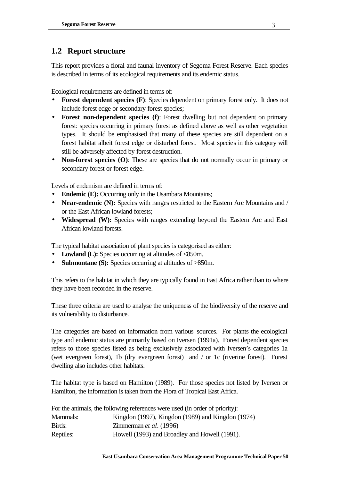## **1.2 Report structure**

This report provides a floral and faunal inventory of Segoma Forest Reserve. Each species is described in terms of its ecological requirements and its endemic status.

Ecological requirements are defined in terms of:

- **Forest dependent species (F):** Species dependent on primary forest only. It does not include forest edge or secondary forest species;
- **Forest non-dependent species (f)**: Forest dwelling but not dependent on primary forest: species occurring in primary forest as defined above as well as other vegetation types. It should be emphasised that many of these species are still dependent on a forest habitat albeit forest edge or disturbed forest. Most species in this category will still be adversely affected by forest destruction.
- **Non-forest species (O)**: These are species that do not normally occur in primary or secondary forest or forest edge.

Levels of endemism are defined in terms of:

- **Endemic (E):** Occurring only in the Usambara Mountains;
- **Near-endemic (N):** Species with ranges restricted to the Eastern Arc Mountains and / or the East African lowland forests;
- **Widespread (W):** Species with ranges extending beyond the Eastern Arc and East African lowland forests.

The typical habitat association of plant species is categorised as either:

- Lowland (L): Species occurring at altitudes of <850m.
- **Submontane (S):** Species occurring at altitudes of >850m.

This refers to the habitat in which they are typically found in East Africa rather than to where they have been recorded in the reserve.

These three criteria are used to analyse the uniqueness of the biodiversity of the reserve and its vulnerability to disturbance.

The categories are based on information from various sources. For plants the ecological type and endemic status are primarily based on Iversen (1991a). Forest dependent species refers to those species listed as being exclusively associated with Iversen's categories 1a (wet evergreen forest), 1b (dry evergreen forest) and / or 1c (riverine forest). Forest dwelling also includes other habitats.

The habitat type is based on Hamilton (1989). For those species not listed by Iversen or Hamilton, the information is taken from the Flora of Tropical East Africa.

| For the animals, the following references were used (in order of priority): |                                                   |  |
|-----------------------------------------------------------------------------|---------------------------------------------------|--|
| Mammals:                                                                    | Kingdon (1997), Kingdon (1989) and Kingdon (1974) |  |
| Birds:                                                                      | Zimmerman et al. (1996)                           |  |
| Reptiles:                                                                   | Howell (1993) and Broadley and Howell (1991).     |  |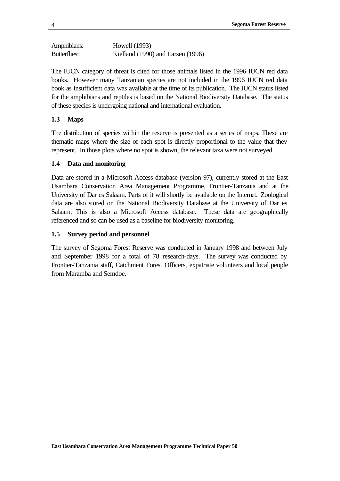```
Amphibians: Howell (1993)
Butterflies: Kielland (1990) and Larsen (1996)
```
The IUCN category of threat is cited for those animals listed in the 1996 IUCN red data books. However many Tanzanian species are not included in the 1996 IUCN red data book as insufficient data was available at the time of its publication. The IUCN status listed for the amphibians and reptiles is based on the National Biodiversity Database. The status of these species is undergoing national and international evaluation.

## **1.3 Maps**

The distribution of species within the reserve is presented as a series of maps. These are thematic maps where the size of each spot is directly proportional to the value that they represent. In those plots where no spot is shown, the relevant taxa were not surveyed.

## **1.4 Data and monitoring**

Data are stored in a Microsoft Access database (version 97), currently stored at the East Usambara Conservation Area Management Programme, Frontier-Tanzania and at the University of Dar es Salaam. Parts of it will shortly be available on the Internet. Zoological data are also stored on the National Biodiversity Database at the University of Dar es Salaam. This is also a Microsoft Access database. These data are geographically referenced and so can be used as a baseline for biodiversity monitoring.

## **1.5 Survey period and personnel**

The survey of Segoma Forest Reserve was conducted in January 1998 and between July and September 1998 for a total of 78 research-days. The survey was conducted by Frontier-Tanzania staff, Catchment Forest Officers, expatriate volunteers and local people from Maramba and Semdoe.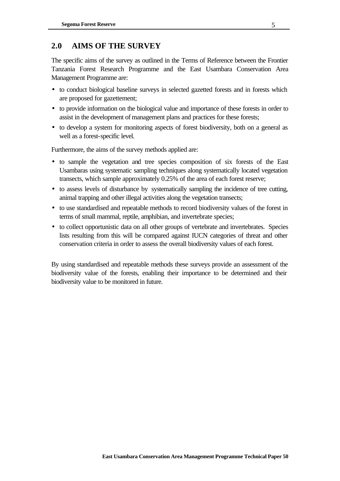## **2.0 AIMS OF THE SURVEY**

The specific aims of the survey as outlined in the Terms of Reference between the Frontier Tanzania Forest Research Programme and the East Usambara Conservation Area Management Programme are:

- to conduct biological baseline surveys in selected gazetted forests and in forests which are proposed for gazettement;
- to provide information on the biological value and importance of these forests in order to assist in the development of management plans and practices for these forests;
- to develop a system for monitoring aspects of forest biodiversity, both on a general as well as a forest-specific level.

Furthermore, the aims of the survey methods applied are:

- to sample the vegetation and tree species composition of six forests of the East Usambaras using systematic sampling techniques along systematically located vegetation transects, which sample approximately 0.25% of the area of each forest reserve;
- to assess levels of disturbance by systematically sampling the incidence of tree cutting, animal trapping and other illegal activities along the vegetation transects;
- to use standardised and repeatable methods to record biodiversity values of the forest in terms of small mammal, reptile, amphibian, and invertebrate species;
- to collect opportunistic data on all other groups of vertebrate and invertebrates. Species lists resulting from this will be compared against IUCN categories of threat and other conservation criteria in order to assess the overall biodiversity values of each forest.

By using standardised and repeatable methods these surveys provide an assessment of the biodiversity value of the forests, enabling their importance to be determined and their biodiversity value to be monitored in future.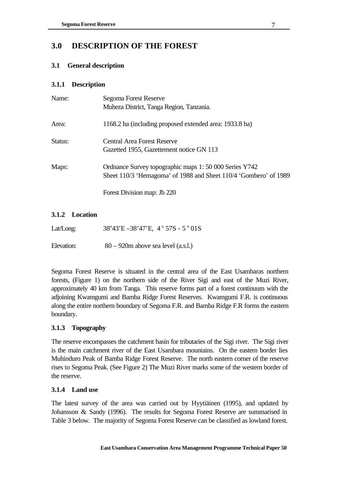## **3.0 DESCRIPTION OF THE FOREST**

## **3.1 General description**

## **3.1.1 Description**

| Name:   | Segoma Forest Reserve<br>Muheza District, Tanga Region, Tanzania.                                                          |
|---------|----------------------------------------------------------------------------------------------------------------------------|
| Area:   | 1168.2 ha (including proposed extended area: 1933.8 ha)                                                                    |
| Status: | Central Area Forest Reserve<br>Gazetted 1955, Gazettement notice GN 113                                                    |
| Maps:   | Ordnance Survey topographic maps 1: 50 000 Series Y742<br>Sheet 110/3 'Hemagoma' of 1988 and Sheet 110/4 'Gombero' of 1989 |
|         | Forest Division map: Jb 220                                                                                                |

## **3.1.2 Location**

| Lat/Long:  | $38^{\circ}43'E - 38'47'E$ , $4^{\circ}57S - 5^{\circ}01S$ |
|------------|------------------------------------------------------------|
| Elevation: | $80 - 920$ m above sea level (a.s.l.)                      |

Segoma Forest Reserve is situated in the central area of the East Usambaras northern forests, (Figure 1) on the northern side of the River Sigi and east of the Muzi River, approximately 40 km from Tanga. This reserve forms part of a forest continuum with the adjoining Kwamgumi and Bamba Ridge Forest Reserves. Kwamgumi F.R. is continuous along the entire northern boundary of Segoma F.R. and Bamba Ridge F.R forms the eastern boundary.

## **3.1.3 Topography**

The reserve encompasses the catchment basin for tributaries of the Sigi river. The Sigi river is the main catchment river of the East Usambara mountains. On the eastern border lies Muhinduro Peak of Bamba Ridge Forest Reserve. The north eastern corner of the reserve rises to Segoma Peak. (See Figure 2) The Muzi River marks some of the western border of the reserve.

## **3.1.4 Land use**

The latest survey of the area was carried out by Hyytiäinen (1995), and updated by Johansson & Sandy (1996). The results for Segoma Forest Reserve are summarised in Table 3 below. The majority of Segoma Forest Reserve can be classified as lowland forest.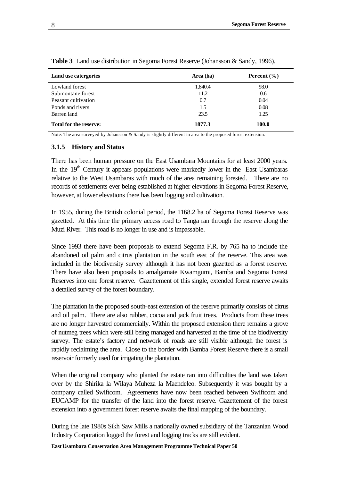| Land use catergories          | Area (ha) | Percent $(\% )$ |
|-------------------------------|-----------|-----------------|
| Lowland forest                | 1,840.4   | 98.0            |
| Submontane forest             | 11.2      | 0.6             |
| Peasant cultivation           | 0.7       | 0.04            |
| Ponds and rivers              | 1.5       | 0.08            |
| Barren land                   | 23.5      | 1.25            |
| <b>Total for the reserve:</b> | 1877.3    | 100.0           |

**Table 3** Land use distribution in Segoma Forest Reserve (Johansson & Sandy, 1996).

Note: The area surveyed by Johansson & Sandy is slightly different in area to the proposed forest extension.

#### **3.1.5 History and Status**

There has been human pressure on the East Usambara Mountains for at least 2000 years. In the 19<sup>th</sup> Century it appears populations were markedly lower in the East Usambaras relative to the West Usambaras with much of the area remaining forested. There are no records of settlements ever being established at higher elevations in Segoma Forest Reserve, however, at lower elevations there has been logging and cultivation.

In 1955, during the British colonial period, the 1168.2 ha of Segoma Forest Reserve was gazetted. At this time the primary access road to Tanga ran through the reserve along the Muzi River. This road is no longer in use and is impassable.

Since 1993 there have been proposals to extend Segoma F.R. by 765 ha to include the abandoned oil palm and citrus plantation in the south east of the reserve. This area was included in the biodiversity survey although it has not been gazetted as a forest reserve. There have also been proposals to amalgamate Kwamgumi, Bamba and Segoma Forest Reserves into one forest reserve. Gazettement of this single, extended forest reserve awaits a detailed survey of the forest boundary.

The plantation in the proposed south-east extension of the reserve primarily consists of citrus and oil palm. There are also rubber, cocoa and jack fruit trees. Products from these trees are no longer harvested commercially. Within the proposed extension there remains a grove of nutmeg trees which were still being managed and harvested at the time of the biodiversity survey. The estate's factory and network of roads are still visible although the forest is rapidly reclaiming the area. Close to the border with Bamba Forest Reserve there is a small reservoir formerly used for irrigating the plantation.

When the original company who planted the estate ran into difficulties the land was taken over by the Shirika la Wilaya Muheza la Maendeleo. Subsequently it was bought by a company called Swiftcom. Agreements have now been reached between Swiftcom and EUCAMP for the transfer of the land into the forest reserve. Gazettement of the forest extension into a government forest reserve awaits the final mapping of the boundary.

During the late 1980s Sikh Saw Mills a nationally owned subsidiary of the Tanzanian Wood Industry Corporation logged the forest and logging tracks are still evident.

**East Usambara Conservation Area Management Programme Technical Paper 50**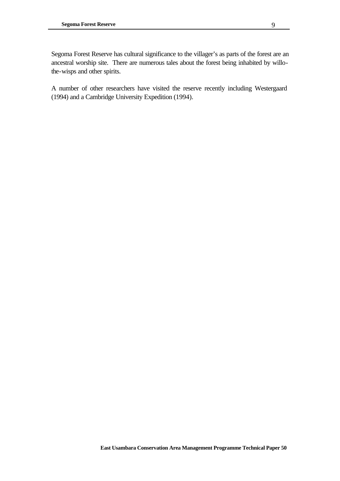Segoma Forest Reserve has cultural significance to the villager's as parts of the forest are an ancestral worship site. There are numerous tales about the forest being inhabited by willothe-wisps and other spirits.

A number of other researchers have visited the reserve recently including Westergaard (1994) and a Cambridge University Expedition (1994).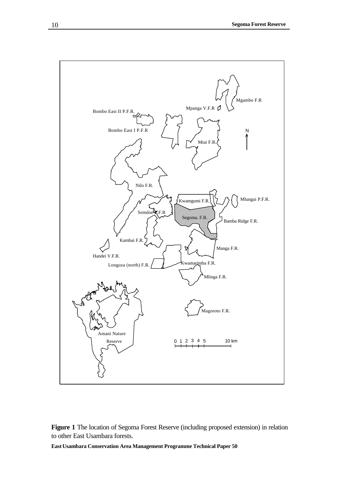

### **Figure 1** The location of Segoma Forest Reserve (including proposed extension) in relation to other East Usambara forests.

**East Usambara Conservation Area Management Programme Technical Paper 50**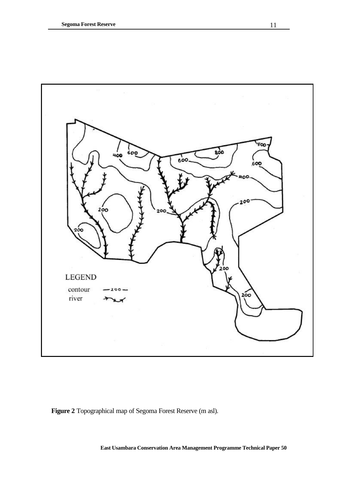

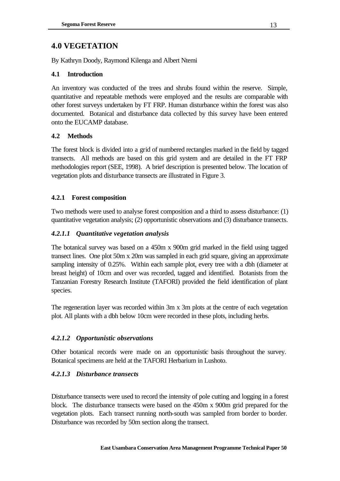# **4.0 VEGETATION**

By Kathryn Doody, Raymond Kilenga and Albert Ntemi

### **4.1 Introduction**

An inventory was conducted of the trees and shrubs found within the reserve. Simple, quantitative and repeatable methods were employed and the results are comparable with other forest surveys undertaken by FT FRP. Human disturbance within the forest was also documented. Botanical and disturbance data collected by this survey have been entered onto the EUCAMP database.

## **4.2 Methods**

The forest block is divided into a grid of numbered rectangles marked in the field by tagged transects. All methods are based on this grid system and are detailed in the FT FRP methodologies report (SEE, 1998). A brief description is presented below. The location of vegetation plots and disturbance transects are illustrated in Figure 3.

## **4.2.1 Forest composition**

Two methods were used to analyse forest composition and a third to assess disturbance: (1) quantitative vegetation analysis; (2) opportunistic observations and (3) disturbance transects.

## *4.2.1.1 Quantitative vegetation analysis*

The botanical survey was based on a 450m x 900m grid marked in the field using tagged transect lines. One plot 50m x 20m was sampled in each grid square, giving an approximate sampling intensity of 0.25%. Within each sample plot, every tree with a dbh (diameter at breast height) of 10cm and over was recorded, tagged and identified. Botanists from the Tanzanian Forestry Research Institute (TAFORI) provided the field identification of plant species.

The regeneration layer was recorded within 3m x 3m plots at the centre of each vegetation plot. All plants with a dbh below 10cm were recorded in these plots, including herbs.

## *4.2.1.2 Opportunistic observations*

Other botanical records were made on an opportunistic basis throughout the survey. Botanical specimens are held at the TAFORI Herbarium in Lushoto.

## *4.2.1.3 Disturbance transects*

Disturbance transects were used to record the intensity of pole cutting and logging in a forest block. The disturbance transects were based on the 450m x 900m grid prepared for the vegetation plots. Each transect running north-south was sampled from border to border. Disturbance was recorded by 50m section along the transect.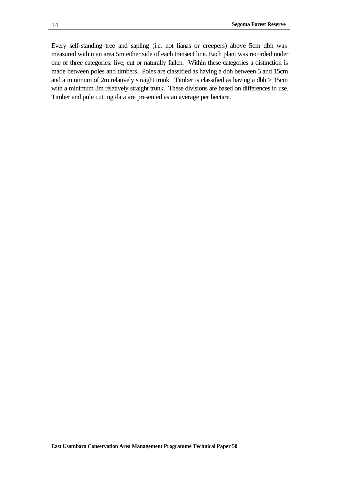Every self-standing tree and sapling (i.e. not lianas or creepers) above 5cm dbh was measured within an area 5m either side of each transect line. Each plant was recorded under one of three categories: live, cut or naturally fallen. Within these categories a distinction is made between poles and timbers. Poles are classified as having a dbh between 5 and 15cm and a minimum of 2m relatively straight trunk. Timber is classified as having a dbh > 15cm with a minimum 3m relatively straight trunk. These divisions are based on differences in use. Timber and pole cutting data are presented as an average per hectare.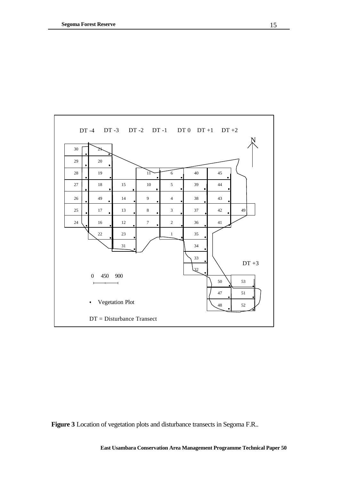

**Figure 3** Location of vegetation plots and disturbance transects in Segoma F.R..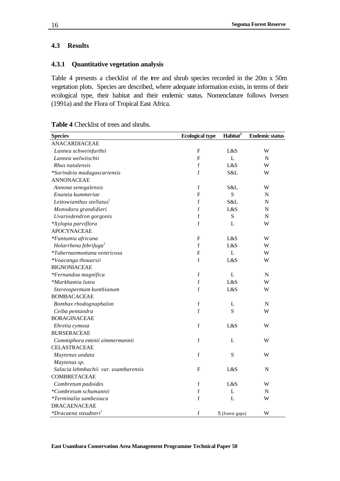### **4.3 Results**

## **4.3.1 Quantitative vegetation analysis**

Table 4 presents a checklist of the tree and shrub species recorded in the 20m x 50m vegetation plots. Species are described, where adequate information exists, in terms of their ecological type, their habitat and their endemic status. Nomenclature follows Iversen (1991a) and the Flora of Tropical East Africa.

| <b>Table 4</b> Checklist of trees and shrubs. |
|-----------------------------------------------|
|-----------------------------------------------|

| <b>Species</b>                         | <b>Ecological type</b> | Habitat <sup>2</sup> | <b>Endemic status</b> |
|----------------------------------------|------------------------|----------------------|-----------------------|
| <b>ANACARDIACEAE</b>                   |                        |                      |                       |
| Lannea schweinfurthii                  | F                      | L&S                  | W                     |
| Lannea welwitschii                     | $\mathbf{F}$           | L                    | ${\bf N}$             |
| Rhus natalensis                        | $\mathbf f$            | L&S                  | W                     |
| *Sorindeia madagascariensis            | $\mathbf f$            | S&L                  | W                     |
| <b>ANNONACEAE</b>                      |                        |                      |                       |
| Annona senegalensis                    | f                      | S&L                  | W                     |
| Enantia kummeriae                      | F                      | S                    | N                     |
| Lettowianthus stellatus <sup>1</sup>   | $\mathbf f$            | S&L                  | N                     |
| Monodora grandidieri                   | f                      | L&S                  | N                     |
| Uvariodendron gorgonis                 | $\mathbf f$            | S                    | N                     |
| *Xylopia parviflora                    | $\mathbf f$            | L                    | W                     |
| <b>APOCYNACEAE</b>                     |                        |                      |                       |
| *Funtumia africana                     | F                      | L&S                  | W                     |
| Holarrhena febrifuga <sup>1</sup>      | $\mathbf f$            | L&S                  | W                     |
| <i>*Tabernaemontana ventricosa</i>     | F                      | L                    | W                     |
| *Voacanga thouarsii                    | $\mathbf f$            | L&S                  | W                     |
| <b>BIGNONIACEAE</b>                    |                        |                      |                       |
| *Fernandoa magnifica                   | $\mathbf f$            | L                    | N                     |
| *Markhamia lutea                       | $\mathbf f$            | L&S                  | W                     |
| Stereospermum kunthianum               | f                      | L&S                  | W                     |
| <b>BOMBACACEAE</b>                     |                        |                      |                       |
| Bombax rhodognaphalon                  | $\mathbf f$            | L                    | N                     |
| Ceiba pentandra                        | $\mathbf f$            | S                    | W                     |
| <b>BORAGINACEAE</b>                    |                        |                      |                       |
| Ehretia cymosa                         | $\mathbf f$            | L&S                  | W                     |
| <b>BURSERACEAE</b>                     |                        |                      |                       |
| Commiphora eminii zimmermannii         | $\mathbf f$            | L                    | W                     |
| <b>CELASTRACEAE</b>                    |                        |                      |                       |
| Maytenus undata                        | $\mathbf f$            | S                    | W                     |
| Maytenus sp.                           |                        |                      |                       |
| Salacia lehmbachii var. usambarensis   | F                      | L&S                  | N                     |
| COMBRETACEAE                           |                        |                      |                       |
| Combretum padoides                     | $\mathbf f$            | L&S                  | W                     |
| *Combretum schumannii                  | $\mathbf f$            | L                    | N                     |
| <i>*Terminalia sambesiaca</i>          | $\mathbf f$            | L                    | W                     |
| <b>DRACAENACEAE</b>                    |                        |                      |                       |
| <i>*Dracaena steudneri<sup>1</sup></i> | $\mathbf f$            | S (forest gaps)      | W                     |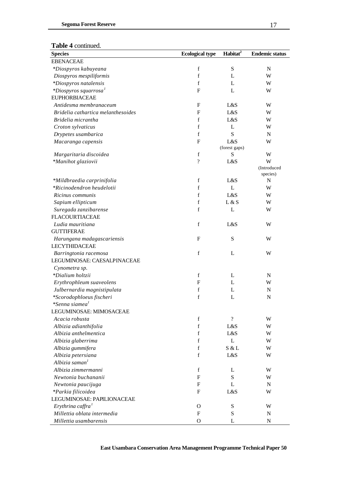#### **Table 4** continued.

| $1001C + 1001010C$<br><b>Species</b> | <b>Ecological type</b>    | Habitat <sup>2</sup>     | <b>Endemic status</b> |
|--------------------------------------|---------------------------|--------------------------|-----------------------|
| <b>EBENACEAE</b>                     |                           |                          |                       |
| *Diospyros kabuyeana                 | $\mathbf f$               | ${\bf S}$                | ${\bf N}$             |
| Diospyros mespiliformis              | $\mathbf f$               | L                        | W                     |
| *Diospyros natalensis                | $\mathbf f$               | L                        | W                     |
| *Diospyros squarrosa $^1$            | $\boldsymbol{\mathrm{F}}$ | L                        | W                     |
| <b>EUPHORBIACEAE</b>                 |                           |                          |                       |
| Antidesma membranaceum               | $\mathbf{F}$              | L&S                      | W                     |
| Bridelia cathartica melanthesoides   | F                         | L&S                      | W                     |
| Bridelia micrantha                   | f                         | L&S                      | W                     |
| Croton sylvaticus                    | $\mathbf f$               | L                        | W                     |
| Drypetes usambarica                  | $\mathbf f$               | S                        | N                     |
| Macaranga capensis                   | $\mathbf{F}$              | L&S                      | W                     |
|                                      |                           | (forest gaps)            |                       |
| Margaritaria discoidea               | f                         | S                        | W                     |
| *Manihot glaziovii                   | $\gamma$                  | L&S                      | W                     |
|                                      |                           |                          | (Introduced           |
|                                      |                           |                          | species)              |
| *Mildbraedia carprinifolia           | $\mathbf f$               | L&S                      | $\mathbf N$           |
| *Ricinodendron heudelotii            | $\mathbf f$               | L                        | W                     |
| Ricinus communis                     | $\mathbf f$               | L&S                      | W                     |
| Sapium ellipticum                    | $\mathbf f$               | L & S                    | W                     |
| Suregada zanzibarense                | $\mathbf f$               | L                        | W                     |
| <b>FLACOURTIACEAE</b>                |                           |                          |                       |
| Ludia mauritiana                     | $\mathbf f$               | L&S                      | W                     |
| <b>GUTTIFERAE</b>                    |                           |                          |                       |
| Harungana madagascariensis           | $\mathbf{F}$              | ${\bf S}$                | W                     |
| <b>LECYTHIDACEAE</b>                 |                           |                          |                       |
| Barringtonia racemosa                | $\mathbf f$               | L                        | W                     |
| LEGUMINOSAE: CAESALPINACEAE          |                           |                          |                       |
| Cynometra sp.                        |                           |                          |                       |
| *Dialium holtzii                     | f                         | L                        | ${\bf N}$             |
| Erythrophleum suaveolens             | F                         | L                        | W                     |
| Julbernardia magnistipulata          | $\mathbf f$               | L                        | N                     |
| *Scorodophloeus fischeri             | f                         | L                        | N                     |
| *Senna siamea <sup>1</sup>           |                           |                          |                       |
| LEGUMINOSAE: MIMOSACEAE              |                           |                          |                       |
| Acacia robusta                       | $\mathbf f$               | $\overline{\mathcal{C}}$ | W                     |
| Albizia adianthifolia                | $\mathbf f$               | L&S                      | W                     |
| Albizia anthelmentica                | $\mathbf f$               | L&S                      | W                     |
| Albizia glaberrima                   | $\mathbf f$               | L                        | W                     |
| Albizia gummifera                    | $\mathbf f$               | S & L                    | W                     |
| Albizia petersiana                   | $\mathbf f$               | L&S                      | W                     |
| Albizia saman <sup>1</sup>           |                           |                          |                       |
| Albizia zimmermanni                  | f                         | L                        | W                     |
| Newtonia buchananii                  | $\mathbf{F}$              | S                        | W                     |
| Newtonia paucijuga                   | $\mathbf{F}$              | L                        | ${\bf N}$             |
| *Parkia filicoidea                   | F                         | L&S                      | W                     |
| LEGUMINOSAE: PAPILIONACEAE           |                           |                          |                       |
| Erythrina caffra $1$                 | $\mathbf{O}$              | ${\bf S}$                | W                     |
| Millettia oblata intermedia          | $\boldsymbol{\mathrm{F}}$ | ${\bf S}$                | ${\bf N}$             |
| Millettia usambarensis               | $\mathbf O$               | L                        | ${\bf N}$             |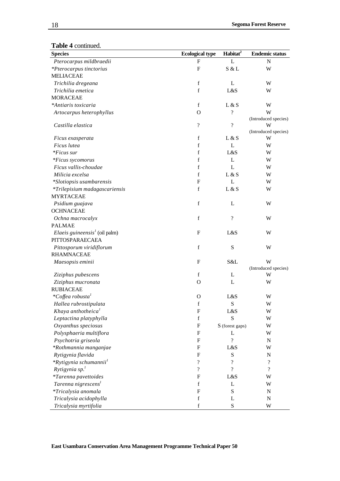#### **Table 4** continued.

| <b>Species</b>                                                | <b>Ecological type</b>    | Habitat <sup>2</sup>     | <b>Endemic status</b>    |
|---------------------------------------------------------------|---------------------------|--------------------------|--------------------------|
| Pterocarpus mildbraedii                                       | F                         | L                        | $\mathbf N$              |
| *Pterocarpus tinctorius                                       | F                         | S & L                    | W                        |
| <b>MELIACEAE</b>                                              |                           |                          |                          |
| Trichilia dregeana                                            | $\mathbf f$               | L                        | W                        |
| Trichilia emetica                                             | $\mathbf f$               | L&S                      | W                        |
| <b>MORACEAE</b>                                               |                           |                          |                          |
| *Antiaris toxicaria                                           | $\mathbf f$               | L & S                    | W                        |
| Artocarpus heterophyllus                                      | $\mathbf O$               | $\gamma$                 | W                        |
|                                                               |                           |                          | (Introduced species)     |
| Castilla elastica                                             | $\overline{\mathcal{L}}$  | $\overline{?}$           | W                        |
|                                                               |                           |                          | (Introduced species)     |
| Ficus exasperata                                              | $\mathbf f$               | L & S                    | W                        |
| Ficus lutea                                                   | f                         | L                        | W                        |
| <i>*Ficus sur</i>                                             | f                         | L&S                      | W                        |
| *Ficus sycomorus                                              | $\mathbf f$               | L                        | W                        |
| Ficus vallis-choudae                                          | $\mathbf f$               | L                        | W                        |
| Milicia excelsa                                               | $\mathbf f$               | L & S                    | W                        |
| *Slotiopsis usambarensis                                      | $\mathbf{F}$              | L                        | W                        |
| *Trilepisium madagascariensis                                 | $\mathbf f$               | L & S                    | W                        |
| <b>MYRTACEAE</b>                                              |                           |                          |                          |
| Psidium guajava                                               | $\mathbf f$               | L                        | W                        |
| <b>OCHNACEAE</b>                                              |                           |                          |                          |
| Ochna macrocalyx                                              | $\mathbf f$               | $\overline{\mathcal{L}}$ | W                        |
| <b>PALMAE</b>                                                 |                           |                          |                          |
| <i>Elaeis guineensis</i> <sup><math>I</math></sup> (oil palm) | $\mathbf F$               | L&S                      | W                        |
| PITTOSPARAECAEA                                               |                           |                          |                          |
| Pittosporum viridiflorum                                      | $\mathbf f$               | S                        | W                        |
| <b>RHAMNACEAE</b>                                             |                           |                          |                          |
| Maesopsis eminii                                              | F                         | S&L                      | W                        |
|                                                               |                           |                          | (Introduced species)     |
| Ziziphus pubescens                                            | f                         | L                        | W                        |
| Ziziphus mucronata                                            | O                         | L                        | W                        |
| <b>RUBIACEAE</b>                                              |                           |                          |                          |
| *Coffea robusta $^{1}$                                        | O                         | L&S                      | W                        |
| Hallea rubrostipulata                                         | $\mathbf f$               | ${\bf S}$                | W                        |
| Khaya anthotheica <sup>1</sup>                                | F                         | L&S                      | W                        |
| Leptactina platyphylla                                        | $\mathbf f$               | S                        | W                        |
| Oxyanthus speciosus                                           | F                         | S (forest gaps)          | W                        |
| Polysphaeria multiflora                                       | F                         | L                        | W                        |
| Psychotria griseola                                           | F                         | $\gamma$                 | N                        |
| *Rothmannia manganjae                                         | F                         | L&S                      | W                        |
| Rytigynia flavida                                             | F                         | ${\bf S}$                | N                        |
| *Rytigynia schumannii <sup>1</sup>                            | $\overline{\mathcal{L}}$  | $\gamma$                 | $\overline{\mathcal{L}}$ |
| Rytigynia $sp.$ <sup>1</sup>                                  | $\overline{\mathcal{L}}$  | $\overline{?}$           | $\overline{\mathcal{C}}$ |
| <i>*Tarenna pavettoides</i>                                   | F                         | L&S                      | W                        |
| Tarenna nigrescens <sup>1</sup>                               | $\mathbf f$               | L                        | W                        |
| *Tricalysia anomala                                           | $\boldsymbol{\mathrm{F}}$ | ${\bf S}$                | N                        |
| Tricalysia acidophylla                                        | $\mathbf f$               | L                        | ${\bf N}$                |
| Tricalysia myrtifolia                                         | $\mathbf f$               | S                        | W                        |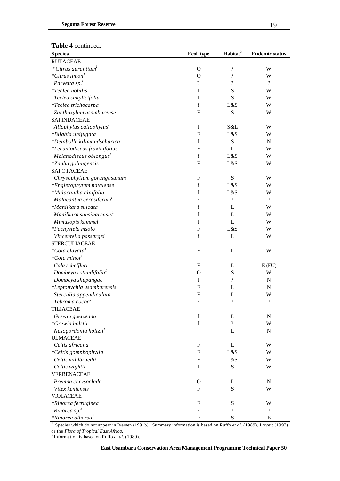#### **Table 4** continued.

| <b>Species</b>                                 | Ecol. type                 | Habitat <sup>2</sup>     | <b>Endemic status</b> |
|------------------------------------------------|----------------------------|--------------------------|-----------------------|
| <b>RUTACEAE</b>                                |                            |                          |                       |
| *Citrus aurantium <sup>1</sup>                 | $\mathbf O$                | $\overline{\mathcal{L}}$ | W                     |
| *Citrus limon <sup>1</sup>                     | $\mathbf{O}$               | $\overline{?}$           | W                     |
| Parvetta $sp11$                                | $\overline{\cdot}$         | $\overline{\cdot}$       | $\overline{\cdot}$    |
| <i>*Teclea nobilis</i>                         | f                          | S                        | W                     |
| Teclea simplicifolia                           | f                          | S                        | W                     |
| *Teclea trichocarpa                            | $\mathbf f$                | L&S                      | W                     |
| Zanthoxylum usambarense                        | $\mathbf F$                | S                        | W                     |
| SAPINDACEAE                                    |                            |                          |                       |
| Allophylus callophylus <sup>1</sup>            | $\mathbf f$                | S&L                      | W                     |
| *Blighia unijugata                             | F                          | L&S                      | W                     |
| *Deinbolla kilimandscharica                    | $\mathbf f$                | ${\bf S}$                | ${\bf N}$             |
| *Lecaniodiscus fraxinifolius                   | F                          | L                        | W                     |
| Melanodiscus oblongus <sup>1</sup>             | $\mathbf f$                | L&S                      | W                     |
| *Zanha golungensis                             | $\boldsymbol{F}$           | L&S                      | W                     |
| SAPOTACEAE                                     |                            |                          |                       |
| Chrysophyllum gorungusunum                     | F                          | ${\bf S}$                | W                     |
| *Englerophytum natalense                       | $\mathbf f$                | L&S                      | W                     |
| *Malacantha alnifolia                          | $\mathbf f$                | L&S                      | W                     |
| Malacantha cerasiferum <sup>1</sup>            | $\boldsymbol{?}$           | $\overline{\mathcal{L}}$ | $\gamma$              |
| *Manilkara sulcata                             | f                          | L                        | W                     |
| Manilkara sansibarensis <sup>1</sup>           | $\mathbf f$                | L                        | W                     |
|                                                | $\mathbf f$                | L                        |                       |
| Mimusopis kummel                               | $\mathbf F$                | L&S                      | W                     |
| *Pachystela msolo                              | $\mathbf f$                |                          | W                     |
| Vincentella passargei<br><b>STERCULIACEAE</b>  |                            | L                        | W                     |
| <i>*Cola clavata</i> <sup>1</sup>              |                            |                          |                       |
| <i>*Cola minor</i>                             | F                          | L                        | W                     |
|                                                | F                          |                          |                       |
| Cola scheffleri                                |                            | L<br>${\bf S}$           | E(EU)                 |
| Dombeya rotundifolia <sup>1</sup>              | $\mathbf O$<br>$\mathbf f$ | $\overline{\mathcal{L}}$ | W                     |
| Dombeya shupangae                              | $\mathbf F$                |                          | ${\bf N}$             |
| *Leptonychia usambarensis                      | F                          | L<br>L                   | ${\bf N}$<br>W        |
| Sterculia appendiculata                        | $\boldsymbol{?}$           | $\boldsymbol{?}$         | $\boldsymbol{?}$      |
| Tebroma cocoa <sup>1</sup><br><b>TILIACEAE</b> |                            |                          |                       |
|                                                | f                          | L                        | $\mathbf N$           |
| Grewia goetzeana<br>*Grewia holstii            | $\mathbf f$                | $\overline{?}$           | W                     |
| Nesogordonia holtzii <sup>1</sup>              |                            | L                        | $\mathbf N$           |
| <b>ULMACEAE</b>                                |                            |                          |                       |
| Celtis africana                                | F                          | L                        | W                     |
| *Celtis gomphophylla                           | F                          | L&S                      | W                     |
| Celtis mildbraedii                             | F                          | L&S                      | W                     |
| Celtis wightii                                 | $\mathbf f$                | S                        | W                     |
| VERBENACEAE                                    |                            |                          |                       |
| Premna chrysoclada                             | $\mathbf{O}$               | L                        | N                     |
| Vitex keniensis                                | F                          | S                        | W                     |
| <b>VIOLACEAE</b>                               |                            |                          |                       |
| *Rinorea ferruginea                            | F                          | ${\bf S}$                | W                     |
| Rinorea $sp.$ <sup>1</sup>                     | $\overline{?}$             | $\overline{\mathcal{L}}$ | $\overline{\cdot}$    |
| <i>*Rinorea albersii<sup>1</sup></i>           | F                          | S                        | E                     |
|                                                |                            |                          |                       |

<sup>1</sup> Species which do not appear in Iversen (1991b). Summary information is based on Ruffo *et al.* (1989), Lovett (1993) or the *Flora of Tropical East Africa*.

<sup>2</sup>Information is based on Ruffo *et al.* (1989).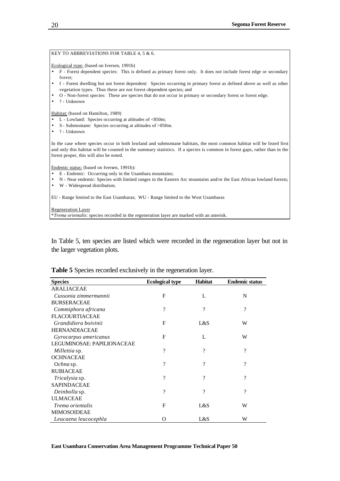#### Regeneration Layer

\**Trema orientalis*: species recorded in the regeneration layer are marked with an asterisk.

In Table 5, ten species are listed which were recorded in the regeneration layer but not in the larger vegetation plots.

| <b>Species</b>             | <b>Ecological type</b> | <b>Habitat</b> | <b>Endemic status</b> |
|----------------------------|------------------------|----------------|-----------------------|
| <b>ARALIACEAE</b>          |                        |                |                       |
| Cussonia zimmermannii      | F                      | L              | N                     |
| <b>BURSERACEAE</b>         |                        |                |                       |
| Commiphora africana        | $\gamma$               | $\gamma$       | $\gamma$              |
| <b>FLACOURTIACEAE</b>      |                        |                |                       |
| Grandidiera boivinii       | F                      | L&S            | W                     |
| <b>HERNANDIACEAE</b>       |                        |                |                       |
| Gyrocarpus americanus      | F                      | $\mathbf{I}$ . | W                     |
| LEGUMINOSAE: PAPILIONACEAE |                        |                |                       |
| <i>Millettia</i> sp.       | ?                      | $\gamma$       | $\gamma$              |
| <b>OCHNACEAE</b>           |                        |                |                       |
| Ochna sp.                  | ?                      | ?              | $\gamma$              |
| <b>RUBIACEAE</b>           |                        |                |                       |
| <i>Tricalysia</i> sp.      | ?                      | ?              | 9                     |
| <b>SAPINDACEAE</b>         |                        |                |                       |
| Deinbolla sp.              | ?                      | $\gamma$       | $\gamma$              |
| <b>ULMACEAE</b>            |                        |                |                       |
| <i>Trema orientalis</i>    | F                      | L&S            | W                     |
| <b>MIMOSOIDEAE</b>         |                        |                |                       |
| Leucaena leucocephla       | O                      | L&S            | W                     |

## **Table 5** Species recorded exclusively in the regeneration layer.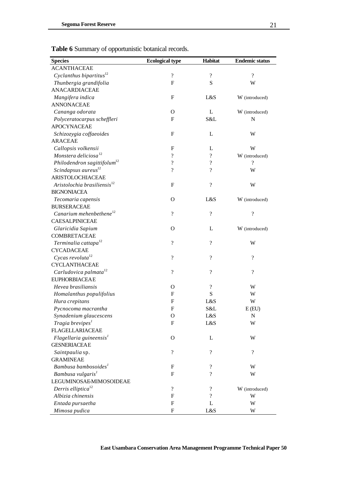| <b>Species</b>                          | <b>Ecological type</b>   | Habitat                  | <b>Endemic status</b>    |
|-----------------------------------------|--------------------------|--------------------------|--------------------------|
| <b>ACANTHACEAE</b>                      |                          |                          |                          |
| Cyclanthus bipartitus $^{12}$           | $\overline{\mathcal{C}}$ | $\overline{\mathcal{L}}$ | $\overline{\mathcal{C}}$ |
| Thunbergia grandifolia                  | F                        | S                        | W                        |
| <b>ANACARDIACEAE</b>                    |                          |                          |                          |
| Mangifera indica                        | F                        | L&S                      | W (introduced)           |
| <b>ANNONACEAE</b>                       |                          |                          |                          |
| Cananga odorata                         | $\Omega$                 | L                        | W (introduced)           |
| Polyceratocarpus scheffleri             | F                        | S&L                      | $\mathbf N$              |
| <b>APOCYNACEAE</b>                      |                          |                          |                          |
| Schizozygia coffaeoides                 | F                        | L                        | W                        |
| <b>ARACEAE</b>                          |                          |                          |                          |
| Callopsis volkensii                     | $\mathbf{F}$             | L                        | W                        |
| Monstera deliciosa <sup>12</sup>        | $\overline{\mathcal{L}}$ | $\overline{\mathcal{L}}$ | W (introduced)           |
| Philodendron sagittifolum <sup>12</sup> | $\overline{\mathcal{L}}$ | $\overline{\mathcal{L}}$ | $\gamma$                 |
| Scindapsus aureus <sup>12</sup>         | $\overline{\mathcal{L}}$ | $\overline{\mathcal{L}}$ | W                        |
| ARISTOLOCHIACEAE                        |                          |                          |                          |
| Aristolochia brasiliensis <sup>12</sup> | $\mathbf F$              | $\overline{\mathcal{L}}$ | W                        |
| <b>BIGNONIACEA</b>                      |                          |                          |                          |
| Tecomaria capensis                      | $\Omega$                 | L&S                      | W (introduced)           |
| <b>BURSERACEAE</b>                      |                          |                          |                          |
| Canarium mehenbethene <sup>12</sup>     | $\overline{\mathcal{L}}$ | $\overline{?}$           | $\overline{\mathcal{C}}$ |
| CAESALPINICEAE                          |                          |                          |                          |
| Glaricidia Sapium                       | $\Omega$                 | L                        | W (introduced)           |
| <b>COMBRETACEAE</b>                     |                          |                          |                          |
| Terminalia cattapa <sup>12</sup>        | $\overline{\mathcal{L}}$ | $\overline{?}$           | W                        |
| <b>CYCADACEAE</b>                       |                          |                          |                          |
| Cycas revoluta $12$                     | $\overline{\mathcal{L}}$ | $\overline{\mathcal{L}}$ | $\overline{?}$           |
| <b>CYCLANTHACEAE</b>                    |                          |                          |                          |
| Carludovica palmata <sup>12</sup>       | $\overline{\mathcal{L}}$ | $\overline{\mathcal{L}}$ | $\overline{\mathcal{L}}$ |
| <b>EUPHORBIACEAE</b>                    |                          |                          |                          |
| Hevea brasiliansis                      | $\Omega$                 | $\overline{\mathcal{L}}$ | W                        |
| Homalanthus populifolius                | F                        | S                        | W                        |
| Hura crepitans                          | $\mathbf F$              | L&S                      | W                        |
| Pycnocoma macrantha                     | F                        | S&L                      | E(EU)                    |
| Synadenium glaucescens                  | $\mathbf{O}$             | L&S                      | ${\bf N}$                |
| Tragia brevipes <sup>1</sup>            | F                        | L&S                      | W                        |
| <b>FLAGELLARIACEAE</b>                  |                          |                          |                          |
| Flagellaria guineensis <sup>1</sup>     | $\mathbf{O}$             | L                        | W                        |
| <b>GESNERIACEAE</b>                     |                          |                          |                          |
| Saintpaulia sp.                         | $\overline{\mathcal{L}}$ | $\overline{\mathcal{L}}$ | $\overline{?}$           |
| <b>GRAMINEAE</b>                        |                          |                          |                          |
| Bambusa bambosoides <sup>1</sup>        | F                        | $\overline{\mathcal{L}}$ | W                        |
| Bambusa vulgaris <sup>1</sup>           | $\mathbf{F}$             | $\overline{\mathcal{L}}$ | W                        |
| LEGUMINOSAEMIMOSOIDEAE                  |                          |                          |                          |
| Derris elliptica <sup>12</sup>          | $\overline{\mathcal{L}}$ | $\boldsymbol{?}$         | W (introduced)           |
| Albizia chinensis                       | F                        | $\overline{\mathcal{L}}$ | W                        |
| Entada pursaetha                        | F                        | L                        | W                        |
| Mimosa pudica                           | F                        | L&S                      | W                        |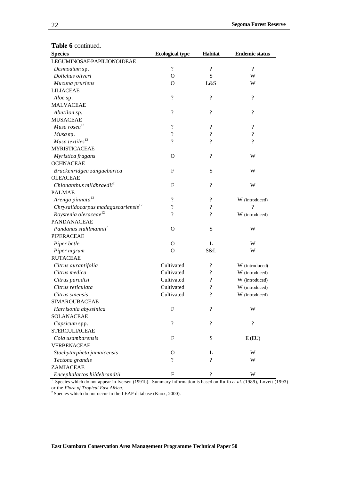| iv v communi<br><b>Species</b>                  | <b>Ecological type</b>   | Habitat                    | <b>Endemic status</b>    |
|-------------------------------------------------|--------------------------|----------------------------|--------------------------|
| LEGUMINOSAEPAPILIONOIDEAE                       |                          |                            |                          |
|                                                 | $\overline{\mathcal{C}}$ | $\overline{\mathcal{C}}$   | ?                        |
| Desmodium sp.<br>Dolichus oliveri               | $\Omega$                 | ${\bf S}$                  | W                        |
|                                                 | O                        | L&S                        | W                        |
| Mucuna pruriens<br><b>LILIACEAE</b>             |                          |                            |                          |
|                                                 | $\overline{\mathcal{L}}$ |                            | $\overline{\mathcal{L}}$ |
| Aloe sp.                                        |                          | $\overline{\mathcal{C}}$   |                          |
| <b>MALVACEAE</b>                                |                          | $\overline{\mathcal{L}}$   | $\overline{\mathcal{L}}$ |
| Abutilon sp.                                    | $\overline{\mathcal{C}}$ |                            |                          |
| <b>MUSACEAE</b>                                 |                          |                            |                          |
| Musa $rosea$ <sup>12</sup>                      | $\overline{\mathcal{C}}$ | $\overline{\cdot}$         | $\overline{\mathcal{L}}$ |
| Musa sp.                                        | $\overline{\mathcal{C}}$ | $\overline{\mathcal{L}}$   | $\overline{\mathcal{C}}$ |
| Musa textiles $^{12}$                           | $\overline{\mathcal{L}}$ | $\overline{\mathcal{L}}$   | $\overline{?}$           |
| <b>MYRISTICACEAE</b>                            |                          |                            |                          |
| Myristica fragans                               | $\Omega$                 | $\overline{\mathcal{L}}$   | W                        |
| <b>OCHNACEAE</b>                                |                          |                            |                          |
| Brackenridgea zanguebarica                      | $\mathbf{F}$             | ${\bf S}$                  | W                        |
| <b>OLEACEAE</b>                                 |                          |                            |                          |
| Chionanthus mildbraedii <sup>2</sup>            | $\mathbf{F}$             | $\boldsymbol{\mathcal{P}}$ | W                        |
| <b>PALMAE</b>                                   |                          |                            |                          |
| Arenga pinnata <sup>12</sup>                    | $\overline{\mathcal{C}}$ | $\boldsymbol{\mathcal{P}}$ | W (introduced)           |
| Chrysalidocarpus madagascariensis <sup>12</sup> | $\overline{\mathcal{L}}$ | $\gamma$                   | ?                        |
| Roystenia oleraceae <sup>12</sup>               | ?                        | $\overline{\mathcal{L}}$   | W (introduced)           |
| <b>PANDANACEAE</b>                              |                          |                            |                          |
| Pandanus stuhlmannii <sup>2</sup>               | $\Omega$                 | S                          | W                        |
| <b>PIPERACEAE</b>                               |                          |                            |                          |
| Piper betle                                     | $\mathbf{O}$             | L                          | W                        |
| Piper nigrum                                    | $\mathbf{O}$             | S&L                        | W                        |
| <b>RUTACEAE</b>                                 |                          |                            |                          |
| Citrus aurantifolia                             | Cultivated               | $\overline{\mathcal{L}}$   | W (introduced)           |
| Citrus medica                                   | Cultivated               | $\overline{\mathcal{L}}$   | W (introduced)           |
| Citrus paradisi                                 | Cultivated               | $\overline{\mathcal{L}}$   | W (introduced)           |
| Citrus reticulata                               | Cultivated               | $\overline{\mathcal{C}}$   | W (introduced)           |
| Citrus sinensis                                 | Cultivated               | $\overline{\mathcal{L}}$   | W (introduced)           |
| <b>SIMAROUBACEAE</b>                            |                          |                            |                          |
| Harrisonia abyssinica                           | $\mathbf{F}$             | $\overline{\cdot}$         | W                        |
| <b>SOLANACEAE</b>                               |                          |                            |                          |
| Capsicum spp.                                   | $\overline{\cdot}$       | $\boldsymbol{\mathcal{P}}$ | $\overline{\mathcal{L}}$ |
| <b>STERCULIACEAE</b>                            |                          |                            |                          |
| Cola usambarensis                               | $\mathbf{F}$             | S                          | E(EU)                    |
| <b>VERBENACEAE</b>                              |                          |                            |                          |
| Stachytarpheta jamaicensis                      | $\mathbf O$              | L                          | W                        |
| Tectona grandis                                 | ?                        | ?                          | W                        |
| ZAMIACEAE                                       |                          |                            |                          |
| Encephalartos hildebrandtii                     | F                        | ?                          | W                        |

#### **Table 6** continued.

<sup>1</sup> Species which do not appear in Iversen (1991b). Summary information is based on Ruffo *et al.* (1989), Lovett (1993) or the *Flora of Tropical East Africa*.

 $2^2$  Species which do not occur in the LEAP database (Knox, 2000).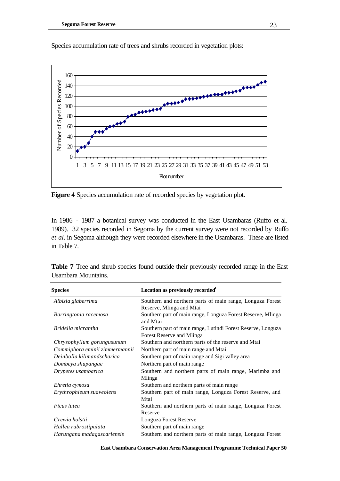



**Figure 4** Species accumulation rate of recorded species by vegetation plot.

In 1986 - 1987 a botanical survey was conducted in the East Usambaras (Ruffo et al. 1989). 32 species recorded in Segoma by the current survey were not recorded by Ruffo *et al*. in Segoma although they were recorded elsewhere in the Usambaras. These are listed in Table 7.

| <b>Species</b>                 | Location as previously recorded <sup>1</sup>                            |
|--------------------------------|-------------------------------------------------------------------------|
| Albizia glaberrima             | Southern and northern parts of main range, Longuza Forest               |
|                                | Reserve, Mlinga and Mtai                                                |
| Barringtonia racemosa          | Southern part of main range, Longuza Forest Reserve, Mlinga<br>and Mtai |
| Bridelia micrantha             | Southern part of main range, Lutindi Forest Reserve, Longuza            |
|                                | Forest Reserve and Mlinga                                               |
| Chrysophyllum gorungusunum     | Southern and northern parts of the reserve and Mtai                     |
| Commiphora eminii zimmermannii | Northern part of main range and Mtai                                    |
| Deinbolla kilimandscharica     | Southern part of main range and Sigi valley area                        |
| Dombeya shupangae              | Northern part of main range                                             |
| Drypetes usambarica            | Southern and northern parts of main range, Marimba and<br>Mlinga        |
| Ehretia cymosa                 | Southern and northern parts of main range                               |
| Erythrophleum suaveolens       | Southern part of main range, Longuza Forest Reserve, and                |
|                                | Mtai                                                                    |
| Ficus lutea                    | Southern and northern parts of main range, Longuza Forest               |
|                                | Reserve                                                                 |
| Grewia holstii                 | Longuza Forest Reserve                                                  |
| Hallea rubrostipulata          | Southern part of main range                                             |
| Harungana madagascariensis     | Southern and northern parts of main range, Longuza Forest               |

**Table 7** Tree and shrub species found outside their previously recorded range in the East Usambara Mountains.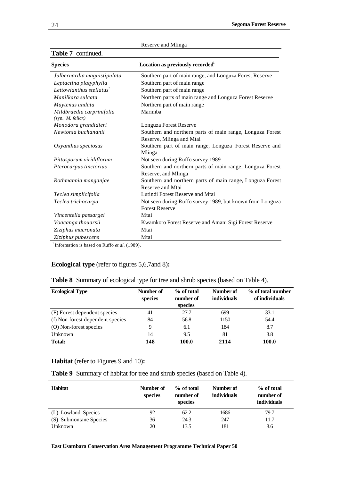| <b>Species</b>                                | Location as previously recorded <sup>1</sup>                                     |
|-----------------------------------------------|----------------------------------------------------------------------------------|
| Julbernardia magnistipulata                   | Southern part of main range, and Longuza Forest Reserve                          |
| Leptactina platyphylla                        | Southern part of main range                                                      |
| Lettowianthus stellatus $^I$                  | Southern part of main range                                                      |
| Manilkara sulcata                             | Northern parts of main range and Longuza Forest Reserve                          |
| Maytenus undata                               | Northern part of main range                                                      |
| Mildbraedia carprinifolia<br>(syn. M. fallax) | Marimba                                                                          |
| Monodora grandidieri                          | Longuza Forest Reserve                                                           |
| Newtonia buchananii                           | Southern and northern parts of main range, Longuza Forest                        |
|                                               | Reserve, Mlinga and Mtai                                                         |
| Oxyanthus speciosus                           | Southern part of main range, Longuza Forest Reserve and                          |
|                                               | Mlinga                                                                           |
| Pittosporum viridiflorum                      | Not seen during Ruffo survey 1989                                                |
| Pterocarpus tinctorius                        | Southern and northern parts of main range, Longuza Forest<br>Reserve, and Mlinga |
| Rothmannia manganjae                          | Southern and northern parts of main range, Longuza Forest                        |
|                                               | Reserve and Mtai                                                                 |
| Teclea simplicifolia                          | Lutindi Forest Reserve and Mtai                                                  |
| Teclea trichocarpa                            | Not seen during Ruffo survey 1989, but known from Longuza                        |
|                                               | <b>Forest Reserve</b>                                                            |
| Vincentella passargei                         | Mtai                                                                             |
| Voacanga thouarsii                            | Kwamkoro Forest Reserve and Amani Sigi Forest Reserve                            |
| Ziziphus mucronata                            | Mtai                                                                             |
| Ziziphus pubescens                            | Mtai                                                                             |

| Reserve and Mlinga |  |  |
|--------------------|--|--|
|--------------------|--|--|

**Table 7** continued.

 $1$ Information is based on Ruffo *et al.* (1989).

## **Ecological type** (refer to figures 5,6,7and 8)**:**

| Table 8 Summary of ecological type for tree and shrub species (based on Table 4). |  |  |  |  |  |  |  |  |
|-----------------------------------------------------------------------------------|--|--|--|--|--|--|--|--|
|-----------------------------------------------------------------------------------|--|--|--|--|--|--|--|--|

| <b>Ecological Type</b>           | Number of<br>species | % of total<br>number of<br>species | Number of<br><i>individuals</i> | % of total number<br>of individuals |
|----------------------------------|----------------------|------------------------------------|---------------------------------|-------------------------------------|
| (F) Forest dependent species     | 41                   | 27.7                               | 699                             | 33.1                                |
| (f) Non-forest dependent species | 84                   | 56.8                               | 1150                            | 54.4                                |
| (O) Non-forest species           | 9                    | 6.1                                | 184                             | 8.7                                 |
| Unknown                          | 14                   | 9.5                                | 81                              | 3.8                                 |
| <b>Total:</b>                    | 148                  | 100.0                              | 2114                            | 100.0                               |

## **Habitat** (refer to Figures 9 and 10)**:**

**Table 9** Summary of habitat for tree and shrub species (based on Table 4).

| <b>Habitat</b>         | Number of<br>species | % of total<br>number of<br>species | Number of<br><i>individuals</i> | % of total<br>number of<br><b>individuals</b> |
|------------------------|----------------------|------------------------------------|---------------------------------|-----------------------------------------------|
| (L) Lowland Species    | 92                   | 62.2                               | 1686                            | 79.7                                          |
| (S) Submontane Species | 36                   | 24.3                               | 247                             | 11.7                                          |
| Unknown                | 20                   | 13.5                               | 181                             | 8.6                                           |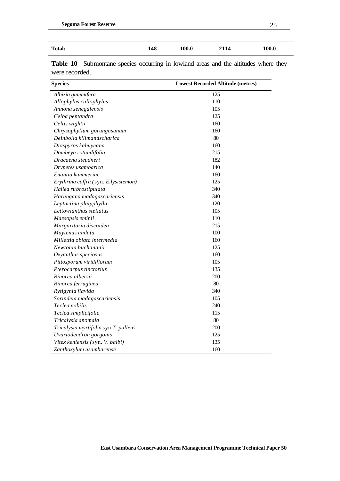| 70<br>. . |  | __ |
|-----------|--|----|
|           |  |    |

| <b>Total:</b> | 148<br>$\sim$ | 100.0 | 2114 | 100.0 |
|---------------|---------------|-------|------|-------|
|               |               |       |      |       |

|                | <b>Table 10</b> Submontane species occurring in lowland areas and the altitudes where they |  |  |  |  |  |
|----------------|--------------------------------------------------------------------------------------------|--|--|--|--|--|
| were recorded. |                                                                                            |  |  |  |  |  |

| <b>Species</b>                       | <b>Lowest Recorded Altitude (metres)</b> |
|--------------------------------------|------------------------------------------|
| Albizia gummifera                    | 125                                      |
| Allophylus callophylus               | 110                                      |
| Annona senegalensis                  | 105                                      |
| Ceiba pentandra                      | 125                                      |
| Celtis wightii                       | 160                                      |
| Chrysophyllum gorungusunum           | 160                                      |
| Deinbolla kilimandscharica           | 80                                       |
| Diospyros kabuyeana                  | 160                                      |
| Dombeya rotundifolia                 | 215                                      |
| Dracaena steudneri                   | 182                                      |
| Drypetes usambarica                  | 140                                      |
| Enantia kummeriae                    | 160                                      |
| Erythrina caffra (syn. E.lysistemon) | 125                                      |
| Hallea rubrostipulata                | 340                                      |
| Harungana madagascariensis           | 340                                      |
| Leptactina platyphylla               | 120                                      |
| Lettowianthus stellatus              | 105                                      |
| Maesopsis eminii                     | 110                                      |
| Margaritaria discoidea               | 215                                      |
| Maytenus undata                      | 100                                      |
| Millettia oblata intermedia          | 160                                      |
| Newtonia buchananii                  | 125                                      |
| Oxyanthus speciosus                  | 160                                      |
| Pittosporum viridiflorum             | 105                                      |
| Pterocarpus tinctorius               | 135                                      |
| Rinorea albersii                     | 200                                      |
| Rinorea ferruginea                   | 80                                       |
| Rytigynia flavida                    | 340                                      |
| Sorindeia madagascariensis           | 105                                      |
| Teclea nobilis                       | 240                                      |
| Teclea simplicifolia                 | 115                                      |
| Tricalysia anomala                   | 80                                       |
| Tricalysia myrtifolia syn T. pallens | 200                                      |
| Uvariodendron gorgonis               | 125                                      |
| Vitex keniensis (syn. V. balbi)      | 135                                      |
| Zanthoxylum usambarense              | 160                                      |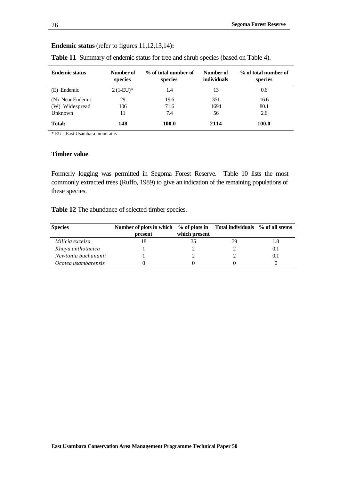### **Endemic status** (refer to figures 11,12,13,14)**:**

| <b>Endemic status</b> | Number of<br>species | % of total number of<br>species | Number of<br>individuals | % of total number of<br>species |
|-----------------------|----------------------|---------------------------------|--------------------------|---------------------------------|
| (E) Endemic           | $2(1-EU)*$           | 1.4                             | 13                       | 0.6                             |
| (N) Near Endemic      | 29                   | 19.6                            | 351                      | 16.6                            |
| (W) Widespread        | 106                  | 71.6                            | 1694                     | 80.1                            |
| Unknown               | 11                   | 7.4                             | 56                       | 2.6                             |
| <b>Total:</b>         | 148                  | 100.0                           | 2114                     | 100.0                           |

**Table 11** Summary of endemic status for tree and shrub species (based on Table 4).

\* EU - East Usambara mountains

#### **Timber value**

Formerly logging was permitted in Segoma Forest Reserve. Table 10 lists the most commonly extracted trees (Ruffo, 1989) to give an indication of the remaining populations of these species.

**Table 12** The abundance of selected timber species.

| <b>Species</b>      | Number of plots in which % of plots in Total individuals % of all stems |               |    |     |
|---------------------|-------------------------------------------------------------------------|---------------|----|-----|
|                     | present                                                                 | which present |    |     |
| Milicia excelsa     |                                                                         |               | 39 |     |
| Khaya anthotheica   |                                                                         |               |    | 0.1 |
| Newtonia buchananii |                                                                         |               |    |     |
| Ocotea usambarensis |                                                                         |               |    |     |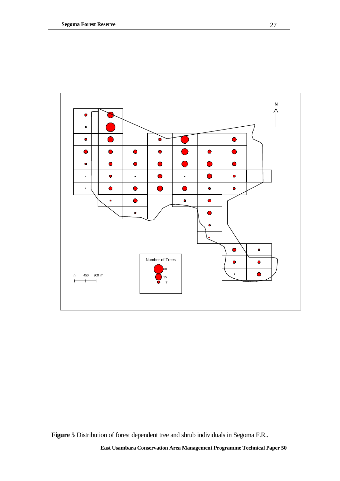

**Figure 5** Distribution of forest dependent tree and shrub individuals in Segoma F.R..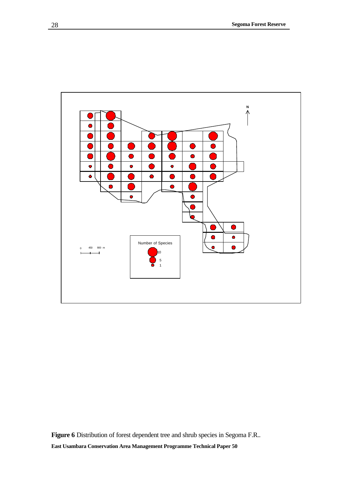

**East Usambara Conservation Area Management Programme Technical Paper 50 Figure 6** Distribution of forest dependent tree and shrub species in Segoma F.R..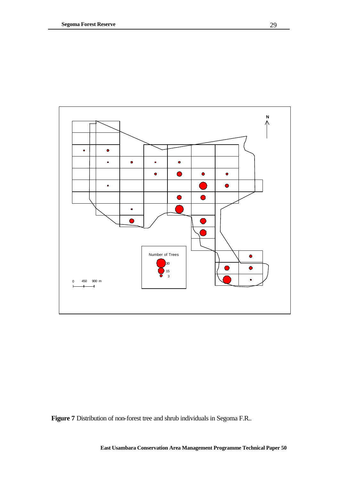

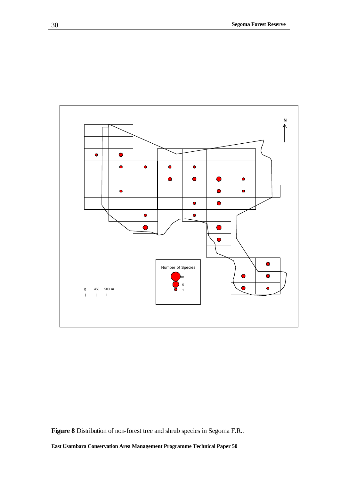

**Figure 8** Distribution of non-forest tree and shrub species in Segoma F.R..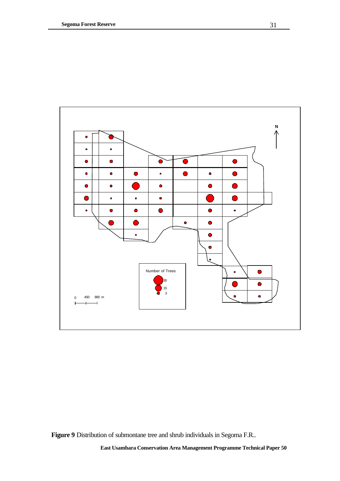

**Figure 9** Distribution of submontane tree and shrub individuals in Segoma F.R..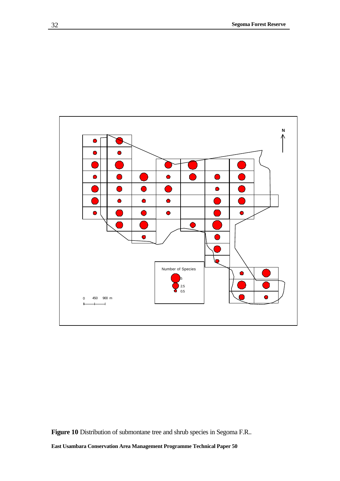

**Figure 10** Distribution of submontane tree and shrub species in Segoma F.R..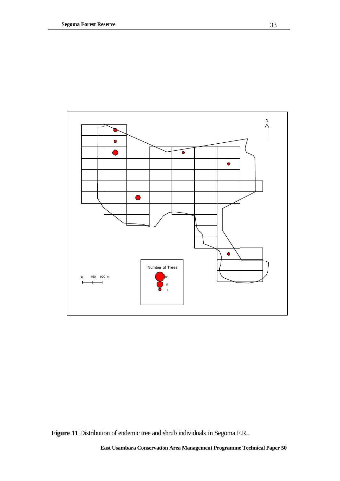

**Figure 11** Distribution of endemic tree and shrub individuals in Segoma F.R..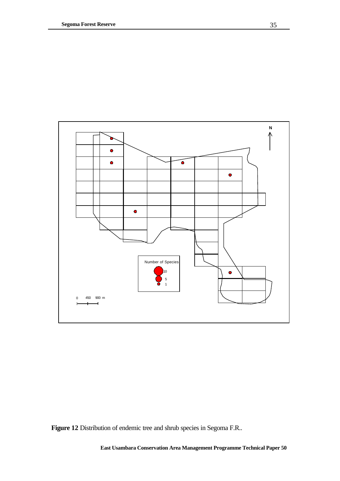

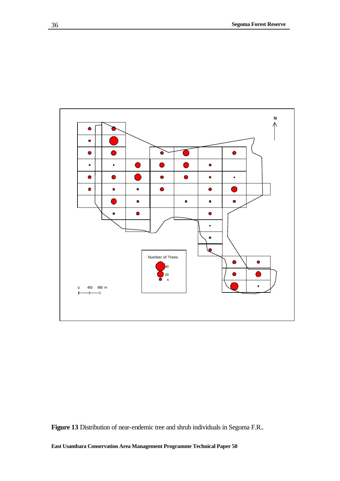

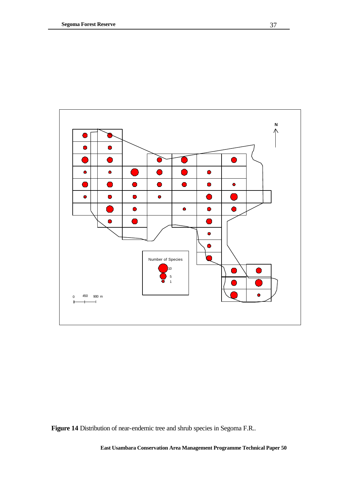

**Figure 14** Distribution of near-endemic tree and shrub species in Segoma F.R..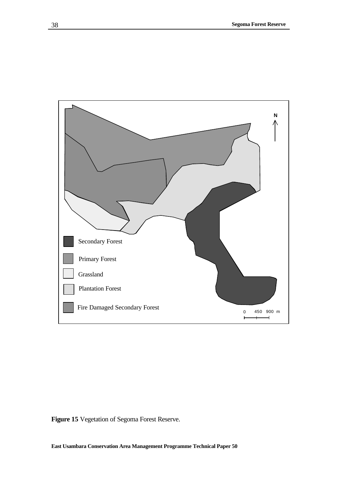

**Figure 15** Vegetation of Segoma Forest Reserve.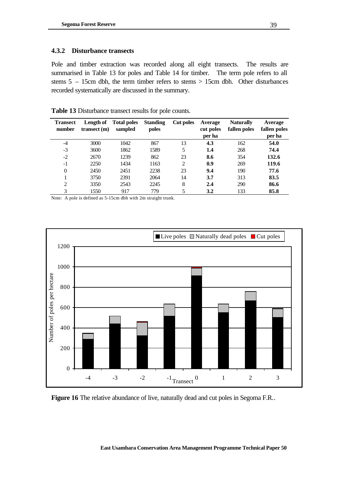#### **4.3.2 Disturbance transects**

Pole and timber extraction was recorded along all eight transects. The results are summarised in Table 13 for poles and Table 14 for timber. The term pole refers to all stems 5 – 15cm dbh, the term timber refers to stems > 15cm dbh. Other disturbances recorded systematically are discussed in the summary.

| <b>Transect</b><br>number | Length of<br>transect(m) | <b>Total poles</b><br>sampled | <b>Standing</b><br>poles | Cut poles | Average<br>cut poles<br>per ha | <b>Naturally</b><br>fallen poles | Average<br>fallen poles<br>per ha |
|---------------------------|--------------------------|-------------------------------|--------------------------|-----------|--------------------------------|----------------------------------|-----------------------------------|
| $-4$                      | 3000                     | 1042                          | 867                      | 13        | 4.3                            | 162                              | 54.0                              |
| $-3$                      | 3600                     | 1862                          | 1589                     | 5         | 1.4                            | 268                              | 74.4                              |
| $-2$                      | 2670                     | 1239                          | 862                      | 23        | 8.6                            | 354                              | 132.6                             |
| $-1$                      | 2250                     | 1434                          | 1163                     | 2         | 0.9                            | 269                              | 119.6                             |
| $\theta$                  | 2450                     | 2451                          | 2238                     | 23        | 9.4                            | 190                              | 77.6                              |
|                           | 3750                     | 2391                          | 2064                     | 14        | 3.7                            | 313                              | 83.5                              |
| 2                         | 3350                     | 2543                          | 2245                     | 8         | 2.4                            | 290                              | 86.6                              |
| 3                         | 1550                     | 917                           | 779                      | 5         | 3.2                            | 133                              | 85.8                              |

**Table 13** Disturbance transect results for pole counts.

Note: A pole is defined as 5-15cm dbh with 2m straight trunk.



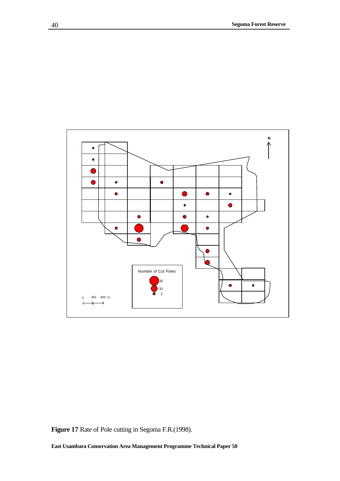

**Figure 17** Rate of Pole cutting in Segoma F.R.(1998).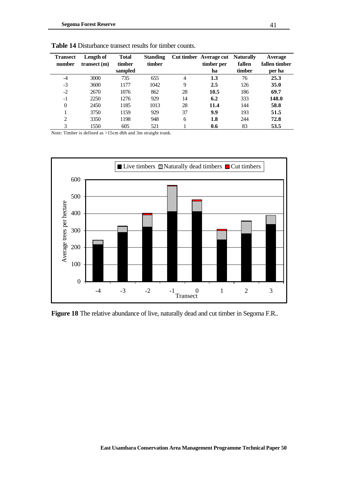| <b>Transect</b><br>number | Length of<br>transect(m) | <b>Total</b><br>timber | <b>Standing</b><br>timber |                | Cut timber Average cut<br>timber per | <b>Naturally</b><br>fallen | Average<br>fallen timber |
|---------------------------|--------------------------|------------------------|---------------------------|----------------|--------------------------------------|----------------------------|--------------------------|
|                           |                          | sampled                |                           |                | ha                                   | timber                     | per ha                   |
| $-4$                      | 3000                     | 735                    | 655                       | $\overline{4}$ | 1.3                                  | 76                         | 25.3                     |
| $-3$                      | 3600                     | 1177                   | 1042                      | 9              | 2.5                                  | 126                        | 35.0                     |
| $-2$                      | 2670                     | 1076                   | 862                       | 28             | 10.5                                 | 186                        | 69.7                     |
| $-1$                      | 2250                     | 1276                   | 929                       | 14             | 6.2                                  | 333                        | 148.0                    |
| $\theta$                  | 2450                     | 1185                   | 1013                      | 28             | 11.4                                 | 144                        | 58.8                     |
|                           | 3750                     | 1159                   | 929                       | 37             | 9.9                                  | 193                        | 51.5                     |
| 2                         | 3350                     | 1198                   | 948                       | 6              | 1.8                                  | 244                        | 72.8                     |
| 3                         | 1550                     | 605                    | 521                       |                | 0.6                                  | 83                         | 53.5                     |

**Table 14** Disturbance transect results for timber counts.

Note: Timber is defined as >15cm dbh and 3m straight trunk.



Figure 18 The relative abundance of live, naturally dead and cut timber in Segoma F.R..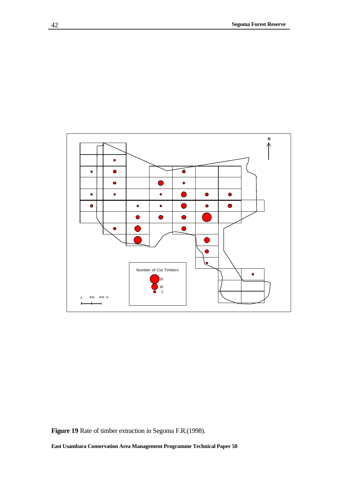

**Figure 19** Rate of timber extraction in Segoma F.R.(1998).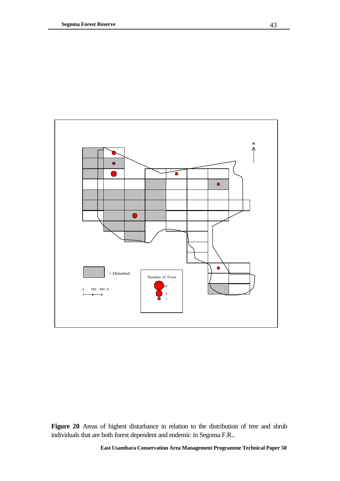

Figure 20 Areas of highest disturbance in relation to the distribution of tree and shrub individuals that are both forest dependent and endemic in Segoma F.R..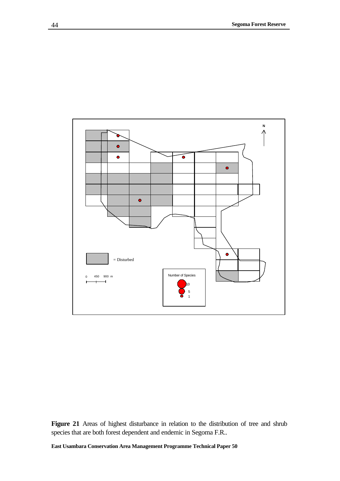

Figure 21 Areas of highest disturbance in relation to the distribution of tree and shrub species that are both forest dependent and endemic in Segoma F.R..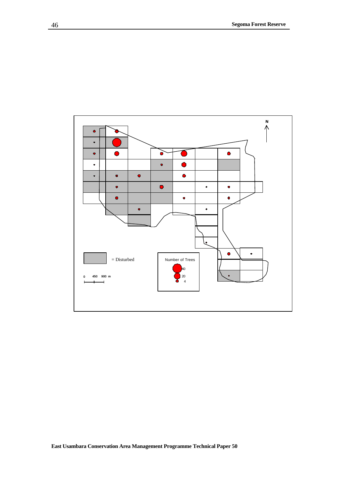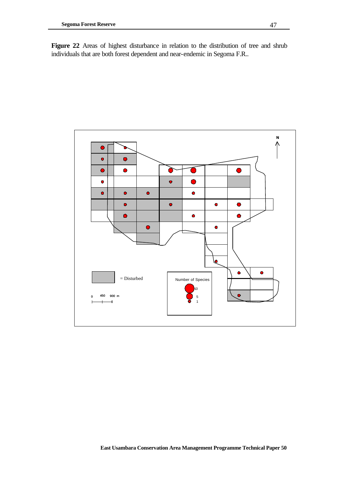Figure 22 Areas of highest disturbance in relation to the distribution of tree and shrub individuals that are both forest dependent and near-endemic in Segoma F.R..

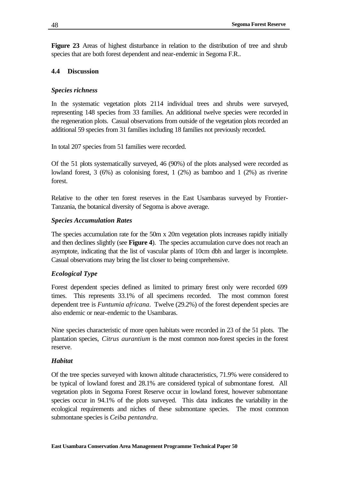**Figure 23** Areas of highest disturbance in relation to the distribution of tree and shrub species that are both forest dependent and near-endemic in Segoma F.R..

#### **4.4 Discussion**

#### *Species richness*

In the systematic vegetation plots 2114 individual trees and shrubs were surveyed, representing 148 species from 33 families. An additional twelve species were recorded in the regeneration plots. Casual observations from outside of the vegetation plots recorded an additional 59 species from 31 families including 18 families not previously recorded.

In total 207 species from 51 families were recorded.

Of the 51 plots systematically surveyed, 46 (90%) of the plots analysed were recorded as lowland forest, 3 (6%) as colonising forest, 1 (2%) as bamboo and 1 (2%) as riverine forest.

Relative to the other ten forest reserves in the East Usambaras surveyed by Frontier-Tanzania, the botanical diversity of Segoma is above average.

#### *Species Accumulation Rates*

The species accumulation rate for the 50m x 20m vegetation plots increases rapidly initially and then declines slightly (see **Figure 4**). The species accumulation curve does not reach an asymptote, indicating that the list of vascular plants of 10cm dbh and larger is incomplete. Casual observations may bring the list closer to being comprehensive.

#### *Ecological Type*

Forest dependent species defined as limited to primary forest only were recorded 699 times. This represents 33.1% of all specimens recorded. The most common forest dependent tree is *Funtumia africana*. Twelve (29.2%) of the forest dependent species are also endemic or near-endemic to the Usambaras.

Nine species characteristic of more open habitats were recorded in 23 of the 51 plots. The plantation species, *Citrus aurantium* is the most common non-forest species in the forest reserve.

#### *Habitat*

Of the tree species surveyed with known altitude characteristics, 71.9% were considered to be typical of lowland forest and 28.1% are considered typical of submontane forest. All vegetation plots in Segoma Forest Reserve occur in lowland forest, however submontane species occur in 94.1% of the plots surveyed. This data indicates the variability in the ecological requirements and niches of these submontane species. The most common submontane species is *Ceiba pentandra*.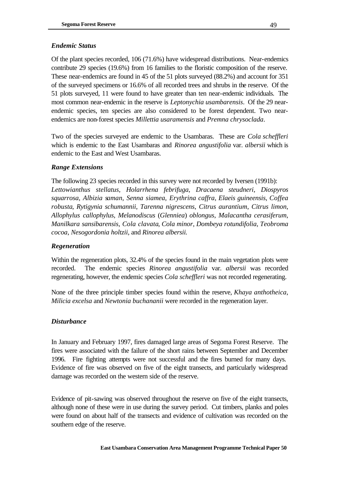## *Endemic Status*

Of the plant species recorded, 106 (71.6%) have widespread distributions. Near-endemics contribute 29 species (19.6%) from 16 families to the floristic composition of the reserve. These near-endemics are found in 45 of the 51 plots surveyed (88.2%) and account for 351 of the surveyed specimens or 16.6% of all recorded trees and shrubs in the reserve. Of the 51 plots surveyed, 11 were found to have greater than ten near-endemic individuals. The most common near-endemic in the reserve is *Leptonychia usambarensis*. Of the 29 nearendemic species, ten species are also considered to be forest dependent. Two nearendemics are non-forest species *Millettia usaramensis* and *Premna chrysoclada*.

Two of the species surveyed are endemic to the Usambaras. These are *Cola scheffleri*  which is endemic to the East Usambaras and *Rinorea angustifolia* var. *albersii* which is endemic to the East and West Usambaras.

## *Range Extensions*

The following 23 species recorded in this survey were not recorded by Iversen (1991b): *Lettowianthus stellatus*, *Holarrhena febrifuga*, *Dracaena steudneri*, *Diospyros squarrosa*, *Albizia saman*, *Senna siamea*, *Erythrina caffra*, *Elaeis guineensis*, *Coffea robusta*, *Rytigynia schumannii*, *Tarenna nigrescens*, *Citrus aurantium*, *Citrus limon*, *Allophylus callophylus*, *Melanodiscus* (*Glenniea*) *oblongus*, *Malacantha cerasiferum*, *Manilkara sansibarensis*, *Cola clavata*, *Cola minor*, *Dombeya rotundifolia*, *Teobroma cocoa*, *Nesogordonia holtzii*, and *Rinorea albersii.*

### *Regeneration*

Within the regeneration plots, 32.4% of the species found in the main vegetation plots were recorded. The endemic species *Rinorea angustifolia* var. *albersii* was recorded regenerating, however, the endemic species *Cola scheffleri* was not recorded regenerating.

None of the three principle timber species found within the reserve, *Khaya anthotheica*, *Milicia excelsa* and *Newtonia buchananii* were recorded in the regeneration layer.

### *Disturbance*

In January and February 1997, fires damaged large areas of Segoma Forest Reserve. The fires were associated with the failure of the short rains between September and December 1996. Fire fighting attempts were not successful and the fires burned for many days. Evidence of fire was observed on five of the eight transects, and particularly widespread damage was recorded on the western side of the reserve.

Evidence of pit-sawing was observed throughout the reserve on five of the eight transects, although none of these were in use during the survey period. Cut timbers, planks and poles were found on about half of the transects and evidence of cultivation was recorded on the southern edge of the reserve.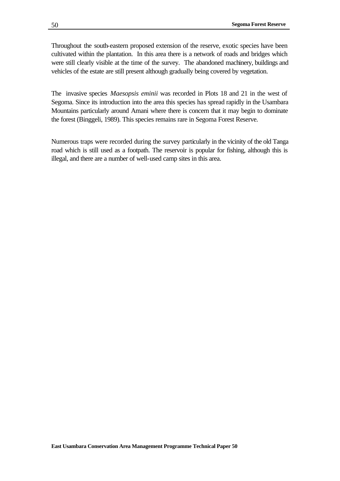Throughout the south-eastern proposed extension of the reserve, exotic species have been cultivated within the plantation. In this area there is a network of roads and bridges which were still clearly visible at the time of the survey. The abandoned machinery, buildings and vehicles of the estate are still present although gradually being covered by vegetation.

The invasive species *Maesopsis eminii* was recorded in Plots 18 and 21 in the west of Segoma. Since its introduction into the area this species has spread rapidly in the Usambara Mountains particularly around Amani where there is concern that it may begin to dominate the forest (Binggeli, 1989). This species remains rare in Segoma Forest Reserve.

Numerous traps were recorded during the survey particularly in the vicinity of the old Tanga road which is still used as a footpath. The reservoir is popular for fishing, although this is illegal, and there are a number of well-used camp sites in this area.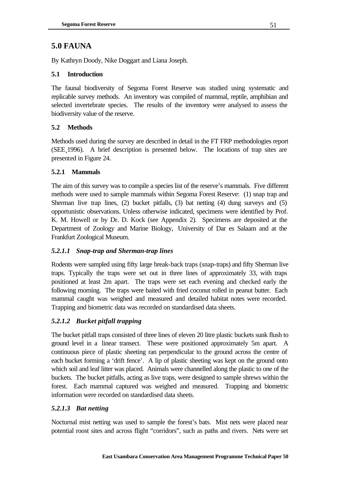# **5.0 FAUNA**

By Kathryn Doody, Nike Doggart and Liana Joseph.

## **5.1 Introduction**

The faunal biodiversity of Segoma Forest Reserve was studied using systematic and replicable survey methods. An inventory was compiled of mammal, reptile, amphibian and selected invertebrate species. The results of the inventory were analysed to assess the biodiversity value of the reserve.

## **5.2 Methods**

Methods used during the survey are described in detail in the FT FRP methodologies report (SEE¸1996). A brief description is presented below. The locations of trap sites are presented in Figure 24.

## **5.2.1 Mammals**

The aim of this survey was to compile a species list of the reserve's mammals. Five different methods were used to sample mammals within Segoma Forest Reserve: (1) snap trap and Sherman live trap lines, (2) bucket pitfalls, (3) bat netting (4) dung surveys and (5) opportunistic observations. Unless otherwise indicated, specimens were identified by Prof. K. M. Howell or by Dr. D. Kock (see Appendix 2). Specimens are deposited at the Department of Zoology and Marine Biology, University of Dar es Salaam and at the Frankfurt Zoological Museum.

## *5.2.1.1 Snap-trap and Sherman-trap lines*

Rodents were sampled using fifty large break-back traps (snap-traps) and fifty Sherman live traps. Typically the traps were set out in three lines of approximately 33, with traps positioned at least 2m apart. The traps were set each evening and checked early the following morning. The traps were baited with fried coconut rolled in peanut butter. Each mammal caught was weighed and measured and detailed habitat notes were recorded. Trapping and biometric data was recorded on standardised data sheets.

## *5.2.1.2 Bucket pitfall trapping*

The bucket pitfall traps consisted of three lines of eleven 20 litre plastic buckets sunk flush to ground level in a linear transect. These were positioned approximately 5m apart. A continuous piece of plastic sheeting ran perpendicular to the ground across the centre of each bucket forming a 'drift fence'. A lip of plastic sheeting was kept on the ground onto which soil and leaf litter was placed. Animals were channelled along the plastic to one of the buckets. The bucket pitfalls, acting as live traps, were designed to sample shrews within the forest. Each mammal captured was weighed and measured. Trapping and biometric information were recorded on standardised data sheets.

## *5.2.1.3 Bat netting*

Nocturnal mist netting was used to sample the forest's bats. Mist nets were placed near potential roost sites and across flight "corridors", such as paths and rivers. Nets were set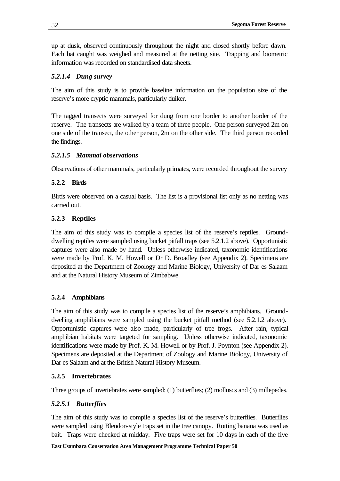up at dusk, observed continuously throughout the night and closed shortly before dawn. Each bat caught was weighed and measured at the netting site. Trapping and biometric information was recorded on standardised data sheets.

## *5.2.1.4 Dung survey*

The aim of this study is to provide baseline information on the population size of the reserve's more cryptic mammals, particularly duiker.

The tagged transects were surveyed for dung from one border to another border of the reserve. The transects are walked by a team of three people. One person surveyed 2m on one side of the transect, the other person, 2m on the other side. The third person recorded the findings.

## *5.2.1.5 Mammal observations*

Observations of other mammals, particularly primates, were recorded throughout the survey

## **5.2.2 Birds**

Birds were observed on a casual basis. The list is a provisional list only as no netting was carried out.

## **5.2.3 Reptiles**

The aim of this study was to compile a species list of the reserve's reptiles. Grounddwelling reptiles were sampled using bucket pitfall traps (see 5.2.1.2 above). Opportunistic captures were also made by hand. Unless otherwise indicated, taxonomic identifications were made by Prof. K. M. Howell or Dr D. Broadley (see Appendix 2). Specimens are deposited at the Department of Zoology and Marine Biology, University of Dar es Salaam and at the Natural History Museum of Zimbabwe.

## **5.2.4 Amphibians**

The aim of this study was to compile a species list of the reserve's amphibians. Grounddwelling amphibians were sampled using the bucket pitfall method (see 5.2.1.2 above). Opportunistic captures were also made, particularly of tree frogs. After rain, typical amphibian habitats were targeted for sampling. Unless otherwise indicated, taxonomic identifications were made by Prof. K. M. Howell or by Prof. J. Poynton (see Appendix 2). Specimens are deposited at the Department of Zoology and Marine Biology, University of Dar es Salaam and at the British Natural History Museum.

### **5.2.5 Invertebrates**

Three groups of invertebrates were sampled: (1) butterflies; (2) molluscs and (3) millepedes.

### *5.2.5.1 Butterflies*

The aim of this study was to compile a species list of the reserve's butterflies. Butterflies were sampled using Blendon-style traps set in the tree canopy. Rotting banana was used as bait. Traps were checked at midday. Five traps were set for 10 days in each of the five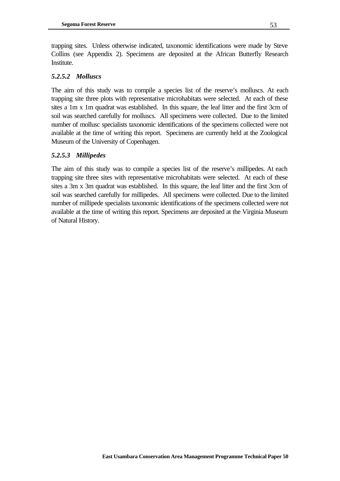trapping sites. Unless otherwise indicated, taxonomic identifications were made by Steve Collins (see Appendix 2). Specimens are deposited at the African Butterfly Research Institute.

## *5.2.5.2 Molluscs*

The aim of this study was to compile a species list of the reserve's molluscs. At each trapping site three plots with representative microhabitats were selected. At each of these sites a 1m x 1m quadrat was established. In this square, the leaf litter and the first 3cm of soil was searched carefully for molluscs. All specimens were collected. Due to the limited number of mollusc specialists taxonomic identifications of the specimens collected were not available at the time of writing this report. Specimens are currently held at the Zoological Museum of the University of Copenhagen.

## *5.2.5.3 Millipedes*

The aim of this study was to compile a species list of the reserve's millipedes. At each trapping site three sites with representative microhabitats were selected. At each of these sites a 3m x 3m quadrat was established. In this square, the leaf litter and the first 3cm of soil was searched carefully for millipedes. All specimens were collected. Due to the limited number of millipede specialists taxonomic identifications of the specimens collected were not available at the time of writing this report. Specimens are deposited at the Virginia Museum of Natural History.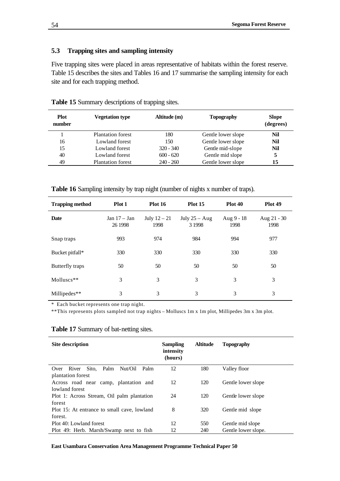#### **5.3 Trapping sites and sampling intensity**

Five trapping sites were placed in areas representative of habitats within the forest reserve. Table 15 describes the sites and Tables 16 and 17 summarise the sampling intensity for each site and for each trapping method.

| <b>Plot</b><br>number | <b>Vegetation type</b>   | Altitude (m) | <b>Topography</b>  | <b>Slope</b><br>(degrees) |
|-----------------------|--------------------------|--------------|--------------------|---------------------------|
|                       | <b>Plantation forest</b> | 180          | Gentle lower slope | Nil                       |
| 16                    | Lowland forest           | 150          | Gentle lower slope | Nil                       |
| 15                    | Lowland forest           | $320 - 340$  | Gentle mid-slope   | Nil                       |
| 40                    | Lowland forest           | $600 - 620$  | Gentle mid slope   |                           |
| 49                    | <b>Plantation forest</b> | $240 - 260$  | Gentle lower slope | 15                        |

**Table 15** Summary descriptions of trapping sites.

**Table 16** Sampling intensity by trap night (number of nights x number of traps).

| <b>Trapping method</b> | Plot 1                    | Plot 16                | Plot 15                      | Plot 40            | Plot 49               |
|------------------------|---------------------------|------------------------|------------------------------|--------------------|-----------------------|
| Date                   | Jan $17 - Jan$<br>26 1998 | July $12 - 21$<br>1998 | July $25 - Aug$<br>3 1 9 9 8 | Aug 9 - 18<br>1998 | Aug $21 - 30$<br>1998 |
| Snap traps             | 993                       | 974                    | 984                          | 994                | 977                   |
| Bucket pitfall*        | 330                       | 330                    | 330                          | 330                | 330                   |
| Butterfly traps        | 50                        | 50                     | 50                           | 50                 | 50                    |
| Molluscs**             | 3                         | 3                      | 3                            | 3                  | 3                     |
| Millipedes**           | 3                         | 3                      | 3                            | 3                  | 3                     |

\* Each bucket represents one trap night.

\*\*This represents plots sampled not trap nights – Molluscs 1m x 1m plot, Millipedes 3m x 3m plot.

| <b>Site description</b>                     | <b>Sampling</b><br>intensity<br>(hours) | <b>Altitude</b> | <b>Topography</b>   |
|---------------------------------------------|-----------------------------------------|-----------------|---------------------|
| Over River<br>Sito, Palm<br>Nut/Oil<br>Palm | 12                                      | 180             | Valley floor        |
| plantation forest                           |                                         |                 |                     |
| Across road near camp, plantation and       | 12                                      | 120             | Gentle lower slope  |
| lowland forest                              |                                         |                 |                     |
| Plot 1: Across Stream, Oil palm plantation  | 24                                      | 120             | Gentle lower slope  |
| forest                                      |                                         |                 |                     |
| Plot 15: At entrance to small cave, lowland | 8                                       | 320             | Gentle mid slope    |
| forest.                                     |                                         |                 |                     |
| Plot 40: Lowland forest                     | 12                                      | 550             | Gentle mid slope    |
| Plot 49: Herb. Marsh/Swamp next to fish     | 12                                      | 240             | Gentle lower slope. |

#### **Table 17** Summary of bat-netting sites.

**East Usambara Conservation Area Management Programme Technical Paper 50**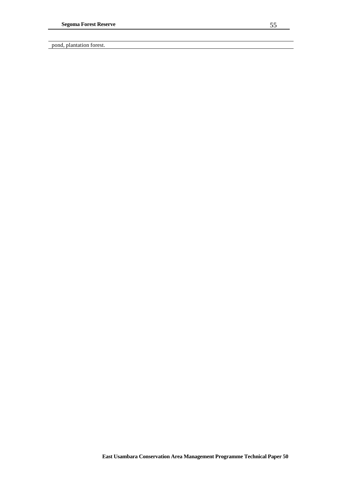pond, plantation forest.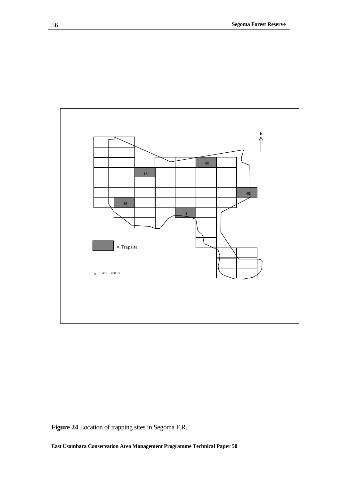

**Figure 24** Location of trapping sites in Segoma F.R..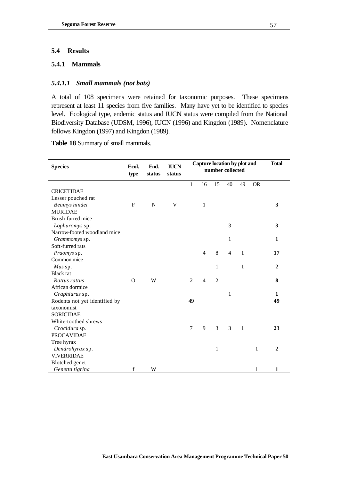## **5.4 Results**

### **5.4.1 Mammals**

### *5.4.1.1 Small mammals (not bats)*

A total of 108 specimens were retained for taxonomic purposes. These specimens represent at least 11 species from five families. Many have yet to be identified to species level. Ecological type, endemic status and IUCN status were compiled from the National Biodiversity Database (UDSM, 1996), IUCN (1996) and Kingdon (1989). Nomenclature follows Kingdon (1997) and Kingdon (1989).

**Table 18** Summary of small mammals.

| <b>Species</b>                | Ecol.<br>type | End.<br>status | <b>IUCN</b><br>status | Capture location by plot and<br>number collected |                |                |                |              | <b>Total</b> |                |
|-------------------------------|---------------|----------------|-----------------------|--------------------------------------------------|----------------|----------------|----------------|--------------|--------------|----------------|
|                               |               |                |                       | $\mathbf{1}$                                     | 16             | 15             | 40             | 49           | <b>OR</b>    |                |
| <b>CRICETIDAE</b>             |               |                |                       |                                                  |                |                |                |              |              |                |
| Lesser pouched rat            |               |                |                       |                                                  |                |                |                |              |              |                |
| Beamys hindei                 | $\mathbf{F}$  | $\mathbf N$    | $\mathbf V$           |                                                  | $\mathbf{1}$   |                |                |              |              | 3              |
| <b>MURIDAE</b>                |               |                |                       |                                                  |                |                |                |              |              |                |
| Brush-furred mice             |               |                |                       |                                                  |                |                |                |              |              |                |
| Lophuromys sp.                |               |                |                       |                                                  |                |                | 3              |              |              | 3              |
| Narrow-footed woodland mice   |               |                |                       |                                                  |                |                |                |              |              |                |
| Grammomys sp.                 |               |                |                       |                                                  |                |                | $\mathbf{1}$   |              |              | $\mathbf{1}$   |
| Soft-furred rats              |               |                |                       |                                                  |                |                |                |              |              |                |
| Praomys sp.                   |               |                |                       |                                                  | $\overline{4}$ | 8              | $\overline{4}$ | $\mathbf{1}$ |              | 17             |
| Common mice                   |               |                |                       |                                                  |                |                |                |              |              |                |
| Mus sp.                       |               |                |                       |                                                  |                | $\mathbf{1}$   |                | $\mathbf{1}$ |              | $\mathbf{2}$   |
| <b>Black</b> rat              |               |                |                       |                                                  |                |                |                |              |              |                |
| Rattus rattus                 | $\Omega$      | W              |                       | $\overline{2}$                                   | $\overline{4}$ | $\overline{c}$ |                |              |              | 8              |
| African dormice               |               |                |                       |                                                  |                |                |                |              |              |                |
| Graphiurus sp.                |               |                |                       |                                                  |                |                | $\mathbf{1}$   |              |              | 1              |
| Rodents not yet identified by |               |                |                       | 49                                               |                |                |                |              |              | 49             |
| taxonomist                    |               |                |                       |                                                  |                |                |                |              |              |                |
| <b>SORICIDAE</b>              |               |                |                       |                                                  |                |                |                |              |              |                |
| White-toothed shrews          |               |                |                       |                                                  |                |                |                |              |              |                |
| Crocidura sp.                 |               |                |                       | $\tau$                                           | 9              | 3              | 3              | $\mathbf{1}$ |              | 23             |
| <b>PROCAVIDAE</b>             |               |                |                       |                                                  |                |                |                |              |              |                |
| Tree hyrax                    |               |                |                       |                                                  |                |                |                |              |              |                |
| Dendrohyrax sp.               |               |                |                       |                                                  |                | $\mathbf{1}$   |                |              | $\mathbf{1}$ | $\overline{2}$ |
| <b>VIVERRIDAE</b>             |               |                |                       |                                                  |                |                |                |              |              |                |
| <b>Blotched</b> genet         |               |                |                       |                                                  |                |                |                |              |              |                |
| Genetta tigrina               | f             | W              |                       |                                                  |                |                |                |              | 1            | 1              |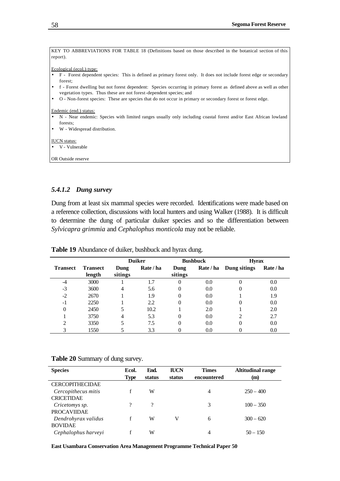| KEY TO ABBREVIATIONS FOR TABLE 18 (Definitions based on those described in the botanical section of this                     |
|------------------------------------------------------------------------------------------------------------------------------|
| report).                                                                                                                     |
|                                                                                                                              |
| Ecological (ecol.) type:                                                                                                     |
| F - Forest dependent species: This is defined as primary forest only. It does not include forest edge or secondary           |
| forest:                                                                                                                      |
| f - Forest dwelling but not forest dependent: Species occurring in primary forest as defined above as well as other<br>l e i |
| vegetation types. Thus these are not forest-dependent species; and                                                           |
| O - Non-forest species: These are species that do not occur in primary or secondary forest or forest edge.<br>l e            |
|                                                                                                                              |
| Endemic (end.) status:                                                                                                       |
| N - Near endemic: Species with limited ranges usually only including coastal forest and/or East African lowland              |
| forests:                                                                                                                     |
| W - Widespread distribution.                                                                                                 |
|                                                                                                                              |
| <b>IUCN</b> status:                                                                                                          |
| V - Vulnerable                                                                                                               |
|                                                                                                                              |
| OR Outside reserve                                                                                                           |

#### *5.4.1.2 Dung survey*

Dung from at least six mammal species were recorded. Identifications were made based on a reference collection, discussions with local hunters and using Walker (1988). It is difficult to determine the dung of particular duiker species and so the differentiation between *Sylvicapra grimmia* and *Cephalophus monticola* may not be reliable.

|                 |                           | <b>Duiker</b>   |           |                 | <b>Bushbuck</b> | <b>Hyrax</b> |           |  |
|-----------------|---------------------------|-----------------|-----------|-----------------|-----------------|--------------|-----------|--|
| <b>Transect</b> | <b>Transect</b><br>length | Dung<br>sitings | Rate / ha | Dung<br>sitings | Rate / ha       | Dung sitings | Rate / ha |  |
| -4              | 3000                      |                 | 1.7       | 0               | 0.0             | 0            | 0.0       |  |
| $-3$            | 3600                      | 4               | 5.6       | 0               | 0.0             |              | 0.0       |  |
| $-2$            | 2670                      |                 | 1.9       | 0               | 0.0             |              | 1.9       |  |
| $-1$            | 2250                      |                 | 2.2       | 0               | 0.0             |              | 0.0       |  |
| 0               | 2450                      |                 | 10.2      |                 | 2.0             |              | 2.0       |  |
|                 | 3750                      | 4               | 5.3       | 0               | 0.0             |              | 2.7       |  |
| ↑               | 3350                      |                 | 7.5       | 0               | 0.0             | 0            | 0.0       |  |
|                 | 1550                      |                 | 3.3       |                 | 0.0             |              | 0.0       |  |

**Table 19** Abundance of duiker, bushbuck and hyrax dung.

| <b>Species</b>         | Ecol.<br><b>Type</b> | End.<br>status | <b>IUCN</b><br>status | <b>Times</b><br>encountered | <b>Altitudinal range</b><br>(m) |
|------------------------|----------------------|----------------|-----------------------|-----------------------------|---------------------------------|
| <b>CERCOPITHECIDAE</b> |                      |                |                       |                             |                                 |
| Cercopithecus mitis    | f                    | W              |                       | $\overline{4}$              | $250 - 400$                     |
| <b>CRICETIDAE</b>      |                      |                |                       |                             |                                 |
| Cricetomys sp.         | 9                    | ?              |                       | 3                           | $100 - 350$                     |
| <b>PROCAVIIDAE</b>     |                      |                |                       |                             |                                 |
| Dendrohyrax validus    |                      | W              | v                     | 6                           | $300 - 620$                     |
| <b>BOVIDAE</b>         |                      |                |                       |                             |                                 |
| Cephalophus harveyi    |                      | W              |                       | 4                           | $50 - 150$                      |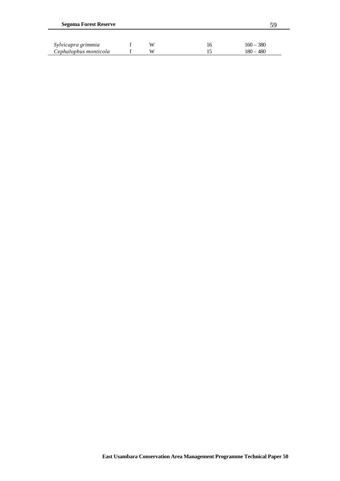| <b>Segoma Forest Reserve</b> |  |   |    |             |  |  |
|------------------------------|--|---|----|-------------|--|--|
| Sylvicapra grimmia           |  | W | 16 | $160 - 380$ |  |  |
| Cephalophus monticola        |  | W | 15 | $180 - 480$ |  |  |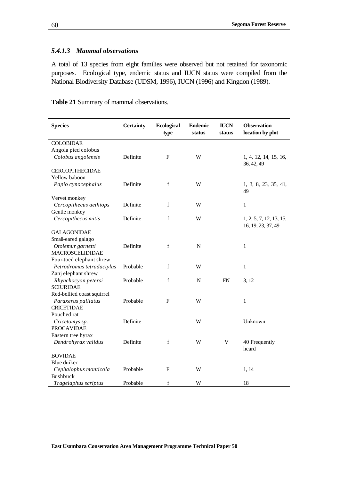### *5.4.1.3 Mammal observations*

A total of 13 species from eight families were observed but not retained for taxonomic purposes. Ecological type, endemic status and IUCN status were compiled from the National Biodiversity Database (UDSM, 1996), IUCN (1996) and Kingdon (1989).

**Table 21** Summary of mammal observations.

| <b>Species</b>             | <b>Certainty</b> | <b>Ecological</b><br>type | <b>Endemic</b><br>status | <b>IUCN</b><br>status | <b>Observation</b><br>location by plot |
|----------------------------|------------------|---------------------------|--------------------------|-----------------------|----------------------------------------|
| <b>COLOBIDAE</b>           |                  |                           |                          |                       |                                        |
| Angola pied colobus        |                  |                           |                          |                       |                                        |
| Colobus angolensis         | Definite         | F                         | W                        |                       | 1, 4, 12, 14, 15, 16,                  |
|                            |                  |                           |                          |                       | 36, 42, 49                             |
| <b>CERCOPITHECIDAE</b>     |                  |                           |                          |                       |                                        |
| Yellow baboon              |                  |                           |                          |                       |                                        |
| Papio cynocephalus         | Definite         | $\mathbf f$               | W                        |                       | 1, 3, 8, 23, 35, 41,                   |
|                            |                  |                           |                          |                       | 49                                     |
| Vervet monkey              |                  |                           |                          |                       |                                        |
| Cercopithecus aethiops     | Definite         | $\mathbf f$               | W                        |                       | $\mathbf{1}$                           |
| Gentle monkey              |                  |                           |                          |                       |                                        |
| Cercopithecus mitis        | Definite         | $\mathbf f$               | W                        |                       | 1, 2, 5, 7, 12, 13, 15,                |
|                            |                  |                           |                          |                       | 16, 19, 23, 37, 49                     |
| <b>GALAGONIDAE</b>         |                  |                           |                          |                       |                                        |
| Small-eared galago         |                  |                           |                          |                       |                                        |
| Otolemur garnetti          | Definite         | $\mathbf f$               | $\mathbf N$              |                       | 1                                      |
| <b>MACROSCELIDIDAE</b>     |                  |                           |                          |                       |                                        |
| Four-toed elephant shrew   |                  |                           |                          |                       |                                        |
| Petrodromus tetradactylus  | Probable         | $\mathbf f$               | W                        |                       | $\mathbf{1}$                           |
| Zanj elephant shrew        |                  |                           |                          |                       |                                        |
| Rhynchocyon petersi        | Probable         | f                         | ${\bf N}$                | EN                    | 3, 12                                  |
| <b>SCIURIDAE</b>           |                  |                           |                          |                       |                                        |
| Red-bellied coast squirrel |                  |                           |                          |                       |                                        |
| Paraxerus palliatus        | Probable         | F                         | W                        |                       | 1                                      |
| <b>CRICETIDAE</b>          |                  |                           |                          |                       |                                        |
| Pouched rat                |                  |                           |                          |                       |                                        |
| Cricetomys sp.             | Definite         |                           | W                        |                       | Unknown                                |
| <b>PROCAVIDAE</b>          |                  |                           |                          |                       |                                        |
| Eastern tree hyrax         |                  |                           |                          |                       |                                        |
| Dendrohyrax validus        | Definite         | $\mathbf f$               | W                        | $\mathbf V$           | 40 Frequently                          |
|                            |                  |                           |                          |                       | heard                                  |
| <b>BOVIDAE</b>             |                  |                           |                          |                       |                                        |
| Blue duiker                |                  |                           |                          |                       |                                        |
| Cephalophus monticola      | Probable         | F                         | W                        |                       | 1, 14                                  |
| Bushbuck                   |                  |                           |                          |                       |                                        |
| Tragelaphus scriptus       | Probable         | $\mathbf f$               | W                        |                       | 18                                     |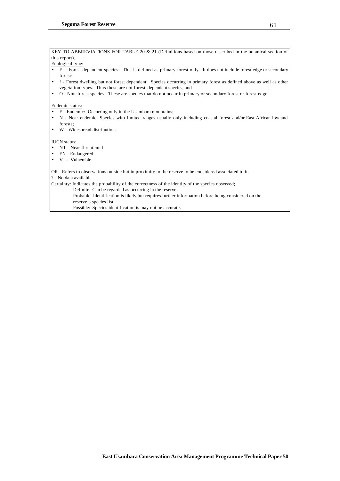KEY TO ABBREVIATIONS FOR TABLE 20 & 21 (Definitions based on those described in the botanical section of this report).

Ecological type:

- F Forest dependent species: This is defined as primary forest only. It does not include forest edge or secondary forest;
- f Forest dwelling but not forest dependent: Species occurring in primary forest as defined above as well as other vegetation types. Thus these are not forest-dependent species; and
- O Non-forest species: These are species that do not occur in primary or secondary forest or forest edge.

Endemic status:

- E Endemic: Occurring only in the Usambara mountains;
- N Near endemic: Species with limited ranges usually only including coastal forest and/or East African lowland forests;
- W Widespread distribution.

IUCN status:

- NT Near-threatened
- EN Endangered
- V Vulnerable

OR - Refers to observations outside but in proximity to the reserve to be considered associated to it.

? - No data available

Certainty: Indicates the probability of the correctness of the identity of the species observed;

Definite: Can be regarded as occurring in the reserve.

 Probable: Identification is likely but requires further information before being considered on the reserve's species list.

Possible: Species identification is may not be accurate.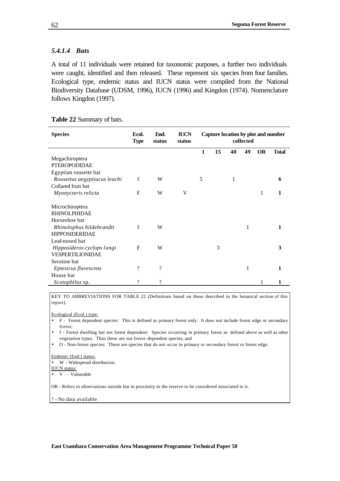### *5.4.1.4 Bats*

A total of 11 individuals were retained for taxonomic purposes, a further two individuals were caught, identified and then released. These represent six species from four families. Ecological type, endemic status and IUCN status were compiled from the National Biodiversity Database (UDSM, 1996), IUCN (1996) and Kingdon (1974). Nomenclature follows Kingdon (1997).

|  | Table 22 Summary of bats. |  |
|--|---------------------------|--|
|--|---------------------------|--|

| <b>Species</b>               | Ecol.<br><b>Type</b> | End.<br>status | <b>IUCN</b><br>status | Capture location by plot and number<br>collected |    |    |    |           |              |
|------------------------------|----------------------|----------------|-----------------------|--------------------------------------------------|----|----|----|-----------|--------------|
|                              |                      |                |                       | 1                                                | 15 | 40 | 49 | <b>OR</b> | <b>Total</b> |
| Megachiroptera               |                      |                |                       |                                                  |    |    |    |           |              |
| <b>PTEROPODIDAE</b>          |                      |                |                       |                                                  |    |    |    |           |              |
| Egyptian rousette bat        |                      |                |                       |                                                  |    |    |    |           |              |
| Rousettus aegyptiacus leachi | f                    | W              |                       | 5                                                |    | 1  |    |           | 6            |
| Collared fruit bat           |                      |                |                       |                                                  |    |    |    |           |              |
| Myonycteris relicta          | $\mathbf{F}$         | W              | V                     |                                                  |    |    |    | 1         |              |
| Microchiroptera              |                      |                |                       |                                                  |    |    |    |           |              |
| <b>RHINOLPHIDAE</b>          |                      |                |                       |                                                  |    |    |    |           |              |
| Horseshoe bat                |                      |                |                       |                                                  |    |    |    |           |              |
| Rhinolophus hildebrandti     | f                    | W              |                       |                                                  |    |    | 1  |           |              |
| <b>HIPPOSIDERIDAE</b>        |                      |                |                       |                                                  |    |    |    |           |              |
| Leaf-nosed bat               |                      |                |                       |                                                  |    |    |    |           |              |
| Hipposideros cyclops langi   | $\mathbf{F}$         | W              |                       |                                                  | 3  |    |    |           | 3            |
| VESPERTILIONIDAE             |                      |                |                       |                                                  |    |    |    |           |              |
| Serotine bat                 |                      |                |                       |                                                  |    |    |    |           |              |
| Eptesicus flavescens         | ?                    | $\gamma$       |                       |                                                  |    |    | 1  |           | 1            |
| House bat                    |                      |                |                       |                                                  |    |    |    |           |              |
| <i>Scotophilus</i> sp.       | ?                    | $\mathcal{P}$  |                       |                                                  |    |    |    |           | 1            |

KEY TO ABBREVIATIONS FOR TABLE 22 (Definitions based on those described in the botanical section of this report).

Ecological (Ecol.) type:

- F Forest dependent species: This is defined as primary forest only. It does not include forest edge or secondary forest;
- f Forest dwelling but not forest dependent: Species occurring in primary forest as defined above as well as other vegetation types. Thus these are not forest-dependent species; and
- O Non-forest species: These are species that do not occur in primary or secondary forest or forest edge.

#### Endemic (End.) status:

W - Widespread distribution.

IUCN status:

• V - Vulnerable

OR - Refers to observations outside but in proximity to the reserve to be considered associated to it.

? - No data available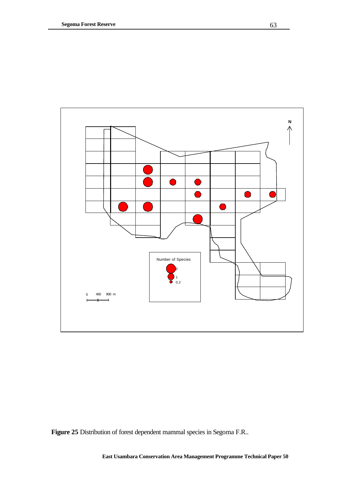

**Figure 25** Distribution of forest dependent mammal species in Segoma F.R..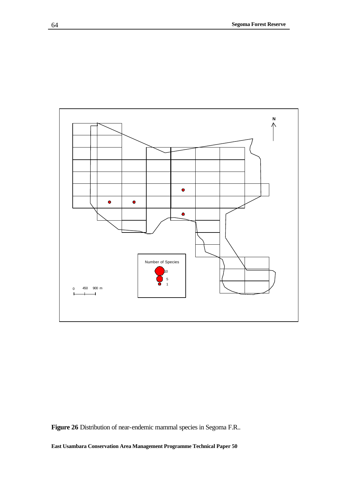

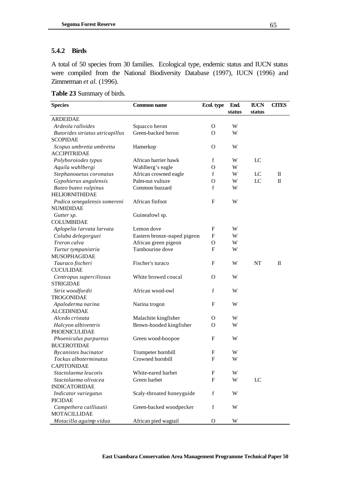### **5.4.2 Birds**

A total of 50 species from 30 families. Ecological type, endemic status and IUCN status were compiled from the National Biodiversity Database (1997), IUCN (1996) and Zimmerman *et al.* (1996).

|  | Table 23 Summary of birds. |  |
|--|----------------------------|--|
|--|----------------------------|--|

| <b>Species</b>                  | Ecol. type                  | End.         | <b>IUCN</b> | <b>CITES</b>   |             |
|---------------------------------|-----------------------------|--------------|-------------|----------------|-------------|
|                                 |                             |              | status      | status         |             |
| <b>ARDEIDAE</b>                 |                             |              |             |                |             |
| Ardeola ralloides               | Squacco heron               | $\mathbf{O}$ | W           |                |             |
| Butorides striatus atricapillus | Green-backed heron          | O            | W           |                |             |
| <b>SCOPIDAE</b>                 |                             |              |             |                |             |
| Scopus umbretta umbretta        | Hamerkop                    | $\mathbf{O}$ | W           |                |             |
| <b>ACCIPITRIDAE</b>             |                             |              |             |                |             |
| Polyboroiodes typus             | African harrier hawk        | f            | W           | LC             |             |
| Aquila wahlbergi                | Wahlberg's eagle            | O            | W           |                |             |
| Stephanoaetus coronatus         | African crowned eagle       | f            | W           | LC             | $\mathbf I$ |
| Gypohierax angolensis           | Palm-nut vulture            | $\mathbf{O}$ | W           | LC             | $\Pi$       |
| Buteo buteo vulpinus            | Common buzzard              | f            | W           |                |             |
| <b>HELIORNITHIDAE</b>           |                             |              |             |                |             |
| Podica senegalensis somereni    | African finfoot             | F            | W           |                |             |
| <b>NUMIDIDAE</b>                |                             |              |             |                |             |
| Gutter sp.                      | Guineafowl sp.              |              |             |                |             |
| <b>COLUMBIDAE</b>               |                             |              |             |                |             |
| Aplopelia larvata larvata       | Lemon dove                  | F            | W           |                |             |
| Coluba delegorguei              | Eastern bronze-naped pigeon | F            | W           |                |             |
| Treron calva                    | African green pigeon        | O            | W           |                |             |
| Turtur tympanistria             | Tambourine dove             | F            | W           |                |             |
| <b>MUSOPHAGIDAE</b>             |                             |              |             |                |             |
| Tauraco fischeri                | Fischer's turaco            | F            | W           | <b>NT</b>      | Π           |
| <b>CUCULIDAE</b>                |                             |              |             |                |             |
| Centropus superciliosus         | White browed coucal         | O            | W           |                |             |
| <b>STRIGIDAE</b>                |                             |              |             |                |             |
| Strix woodfordii                | African wood-owl            | f            | W           |                |             |
| <b>TROGONIDAE</b>               |                             |              |             |                |             |
| Apaloderma narina               | Narina trogon               | F            | W           |                |             |
| <b>ALCEDINIDAE</b>              |                             |              |             |                |             |
| Alcedo cristata                 | Malachite kingfisher        | O            | W           |                |             |
| Halcyon albiventris             | Brown-hooded kingfisher     | O            | W           |                |             |
| <b>PHOENICULIDAE</b>            |                             |              |             |                |             |
| Phoeniculus purpureus           | Green wood-hoopoe           | F            | W           |                |             |
| <b>BUCEROTIDAE</b>              |                             |              |             |                |             |
| <b>Bycanistes bucinator</b>     | Trumpeter hornbill          | F            | W           |                |             |
| Tockus alboterminatus           | Crowned hornbill            | F            | W           |                |             |
| <b>CAPITONIDAE</b>              |                             |              |             |                |             |
| Stactolaema leucotis            | White-eared barbet          | F            | W           |                |             |
| Stactolaema olivacea            | Green barbet                | $\mathbf{F}$ | W           | $_{\text{LC}}$ |             |
| <b>INDICATORIDAE</b>            |                             |              |             |                |             |
| Indicator variegatus            | Scaly-throated honeyguide   | f            | W           |                |             |
| <b>PICIDAE</b>                  |                             |              |             |                |             |
| Campethera cailliautii          | Green-backed woodpecker     | f            | W           |                |             |
| <b>MOTACILLIDAE</b>             |                             |              |             |                |             |
| Motacilla aguimp vidua          | African pied wagtail        | O            | W           |                |             |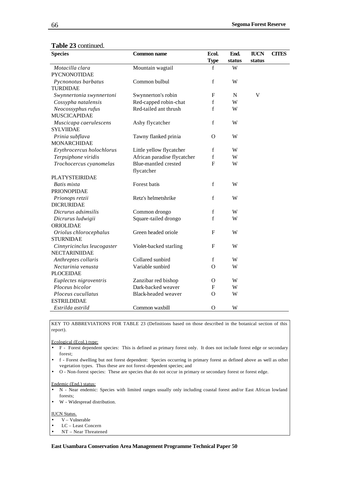| <b>Species</b><br><b>Common name</b> |                             | Ecol.                     | End.        | <b>IUCN</b>               | <b>CITES</b> |
|--------------------------------------|-----------------------------|---------------------------|-------------|---------------------------|--------------|
|                                      |                             | <b>Type</b>               | status      | status                    |              |
| Motacilla clara                      | Mountain wagtail            | f                         | W           |                           |              |
| <b>PYCNONOTIDAE</b>                  |                             |                           |             |                           |              |
| Pycnonotus barbatus                  | Common bulbul               | $\mathbf f$               | W           |                           |              |
| <b>TURDIDAE</b>                      |                             |                           |             |                           |              |
| Swynnertonia swynnertoni             | Swynnerton's robin          | F                         | $\mathbf N$ | $\ensuremath{\mathsf{V}}$ |              |
| Cossypha natalensis                  | Red-capped robin-chat       | $\mathbf f$               | W           |                           |              |
| Neocossyphus rufus                   | Red-tailed ant thrush       | $\mathbf f$               | W           |                           |              |
| <b>MUSCICAPIDAE</b>                  |                             |                           |             |                           |              |
| Muscicapa caerulescens               | Ashy flycatcher             | $\mathbf f$               | W           |                           |              |
| <b>SYLVIIDAE</b>                     |                             |                           |             |                           |              |
| Prinia subflava                      | Tawny flanked prinia        | $\Omega$                  | W           |                           |              |
| <b>MONARCHIDAE</b>                   |                             |                           |             |                           |              |
| Erythrocercus holochlorus            | Little yellow flycatcher    | $\mathbf f$               | W           |                           |              |
| Terpsiphone viridis                  | African paradise flycatcher | $\mathbf f$               | W           |                           |              |
| Trochocercus cyanomelas              | Blue-mantled crested        | F                         | W           |                           |              |
|                                      | flycatcher                  |                           |             |                           |              |
| <b>PLATYSTEIRIDAE</b>                |                             |                           |             |                           |              |
| Batis mixta                          | Forest batis                | $\mathbf f$               | W           |                           |              |
| <b>PRIONOPIDAE</b>                   |                             |                           |             |                           |              |
| Prionops retzii                      | Retz's helmetshrike         | $\mathbf f$               | W           |                           |              |
| <b>DICRURIDAE</b>                    |                             |                           |             |                           |              |
| Dicrurus adsimsilis                  | Common drongo               | f                         | W           |                           |              |
| Dicrurus ludwigii                    | Square-tailed drongo        | $\mathbf f$               | W           |                           |              |
| ORIOLIDAE                            |                             |                           |             |                           |              |
| Oriolus chlorocephalus               | Green headed oriole         | $\boldsymbol{\mathrm{F}}$ | W           |                           |              |
| <b>STURNIDAE</b>                     |                             |                           |             |                           |              |
| Cinnyricinclus leucogaster           | Violet-backed starling      | F                         | W           |                           |              |
| NECTARINIIDAE                        |                             |                           |             |                           |              |
| Anthreptes collaris                  | Collared sunbird            | $\mathbf f$               | W           |                           |              |
| Nectarinia venusta                   | Variable sunbird            | $\mathbf O$               | W           |                           |              |
| <b>PLOCEIDAE</b>                     |                             |                           |             |                           |              |
| Euplectes nigroventris               | Zanzibar red bishop         | O                         | W           |                           |              |
| Ploceus bicolor                      | Dark-backed weaver          | F                         | W           |                           |              |
| Ploceus cucullatus                   | Black-headed weaver         | $\Omega$                  | W           |                           |              |
| <b>ESTRILDIDAE</b>                   |                             |                           |             |                           |              |
| Estrilda astrild                     | Common waxbill              | $\Omega$                  | W           |                           |              |

#### **Table 23** continued.

KEY TO ABBREVIATIONS FOR TABLE 23 (Definitions based on those described in the botanical section of this report).

#### Ecological (Ecol.) type:

- F Forest dependent species: This is defined as primary forest only. It does not include forest edge or secondary forest;
- f Forest dwelling but not forest dependent: Species occurring in primary forest as defined above as well as other vegetation types. Thus these are not forest-dependent species; and
- O Non-forest species: These are species that do not occur in primary or secondary forest or forest edge.

#### Endemic (End.) status:

- N Near endemic: Species with limited ranges usually only including coastal forest and/or East African lowland forests;
- W Widespread distribution.

#### IUCN Status.

- V Vulnerable
- LC Least Concern
- NT Near Threatened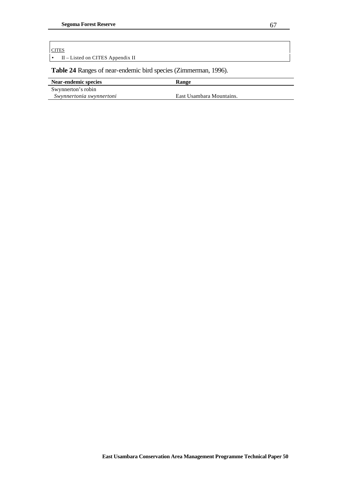#### **CITES**

• II – Listed on CITES Appendix II

**Table 24** Ranges of near-endemic bird species (Zimmerman, 1996).

| Near-endemic species     | <b>Range</b>             |
|--------------------------|--------------------------|
| Swynnerton's robin       |                          |
| Swynnertonia swynnertoni | East Usambara Mountains. |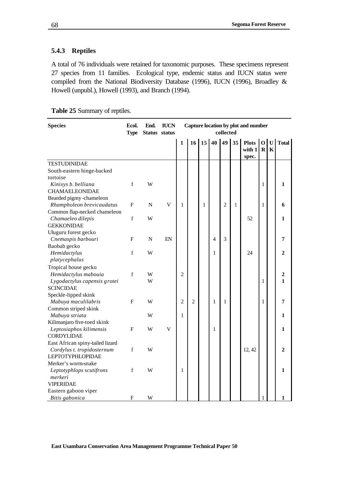## **5.4.3 Reptiles**

A total of 76 individuals were retained for taxonomic purposes. These specimens represent 27 species from 11 families. Ecological type, endemic status and IUCN status were compiled from the National Biodiversity Database (1996), IUCN (1996), Broadley & Howell (unpubl.), Howell (1993), and Branch (1994).

|  | Table 25 Summary of reptiles. |  |
|--|-------------------------------|--|
|--|-------------------------------|--|

| <b>Species</b>                         | Ecol.<br><b>Type</b> | End.<br>Status status | <b>IUCN</b>             |                |                |                 |              | collected      |              | Capture location by plot and number |                               |                |                |
|----------------------------------------|----------------------|-----------------------|-------------------------|----------------|----------------|-----------------|--------------|----------------|--------------|-------------------------------------|-------------------------------|----------------|----------------|
|                                        |                      |                       |                         | $\mathbf{1}$   | 16             | 15 <sup>1</sup> | 40           | 49             | 35           | <b>Plots</b><br>with 1<br>spec.     | $\overline{O}$<br>$\mathbf R$ | ${\bf U}$<br>K | <b>Total</b>   |
| <b>TESTUDINIDAE</b>                    |                      |                       |                         |                |                |                 |              |                |              |                                     |                               |                |                |
| South-eastern hinge-backed<br>tortoise |                      |                       |                         |                |                |                 |              |                |              |                                     |                               |                |                |
| Kinixys b. belliana                    | $\mathbf f$          | W                     |                         |                |                |                 |              |                |              |                                     | 1                             |                | 1              |
| <b>CHAMAELEONIDAE</b>                  |                      |                       |                         |                |                |                 |              |                |              |                                     |                               |                |                |
| Bearded pigmy-chameleon                |                      |                       |                         |                |                |                 |              |                |              |                                     |                               |                |                |
| Rhampholeon brevicaudatus              | $\mathbf{F}$         | ${\bf N}$             | $\overline{\mathsf{V}}$ | 1              |                | 1               |              | $\overline{2}$ | $\mathbf{1}$ |                                     | 1                             |                | 6              |
| Common flap-necked chameleon           |                      |                       |                         |                |                |                 |              |                |              |                                     |                               |                |                |
| Chamaeleo dilepis                      | $\mathbf f$          | W                     |                         |                |                |                 |              |                |              | 52                                  |                               |                | 1              |
| <b>GEKKONIDAE</b>                      |                      |                       |                         |                |                |                 |              |                |              |                                     |                               |                |                |
| Uluguru forest gecko                   |                      |                       |                         |                |                |                 |              |                |              |                                     |                               |                |                |
| Cnemaspis barbouri                     | $\mathbf F$          | N                     | EN                      |                |                |                 | 4            | 3              |              |                                     |                               |                | 7              |
| Baobab gecko                           |                      |                       |                         |                |                |                 |              |                |              |                                     |                               |                |                |
| Hemidactylus                           | $\mathbf f$          | W                     |                         |                |                |                 | 1            |                |              | 24                                  |                               |                | $\mathbf{2}$   |
| platycephalus                          |                      |                       |                         |                |                |                 |              |                |              |                                     |                               |                |                |
| Tropical house gecko                   |                      |                       |                         |                |                |                 |              |                |              |                                     |                               |                |                |
| Hemidactylus mabouia                   | f                    | W                     |                         | $\overline{2}$ |                |                 |              |                |              |                                     |                               |                | $\overline{2}$ |
| Lygodactylus capensis grotei           |                      | W                     |                         |                |                |                 |              |                |              |                                     | 1                             |                | $\mathbf{1}$   |
| <b>SCINCIDAE</b>                       |                      |                       |                         |                |                |                 |              |                |              |                                     |                               |                |                |
| Speckle-lipped skink                   |                      |                       |                         |                |                |                 |              |                |              |                                     |                               |                |                |
| Mabuya maculilabris                    | $\mathbf{F}$         | W                     |                         | $\overline{2}$ | $\overline{2}$ |                 | $\mathbf{1}$ | $\mathbf{1}$   |              |                                     | 1                             |                | 7              |
| Common striped skink                   |                      |                       |                         |                |                |                 |              |                |              |                                     |                               |                |                |
| Mabuya striata                         |                      | W                     |                         | 1              |                |                 |              |                |              |                                     |                               |                | 1              |
| Kilimanjaro five-toed skink            |                      |                       |                         |                |                |                 |              |                |              |                                     |                               |                |                |
| Leptosiaphos kilimensis                | $\mathbf F$          | W                     | $\mathbf V$             |                |                |                 | 1            |                |              |                                     |                               |                | 1              |
| CORDYLIDAE                             |                      |                       |                         |                |                |                 |              |                |              |                                     |                               |                |                |
| East African spiny-tailed lizard       |                      |                       |                         |                |                |                 |              |                |              |                                     |                               |                |                |
| Cordylus t. tropidosternum             | $\mathbf f$          | W                     |                         |                |                |                 |              |                |              | 12, 42                              |                               |                | $\overline{2}$ |
| <b>LEPTOTYPHLOPIDAE</b>                |                      |                       |                         |                |                |                 |              |                |              |                                     |                               |                |                |
| Merker's worm-snake                    |                      |                       |                         |                |                |                 |              |                |              |                                     |                               |                |                |
| Leptotyphlops scutifrons               | f                    | W                     |                         | 1              |                |                 |              |                |              |                                     |                               |                | 1              |
| merkeri                                |                      |                       |                         |                |                |                 |              |                |              |                                     |                               |                |                |
| <b>VIPERIDAE</b>                       |                      |                       |                         |                |                |                 |              |                |              |                                     |                               |                |                |
| Eastern gaboon viper                   |                      |                       |                         |                |                |                 |              |                |              |                                     |                               |                |                |
| Bitis gabonica                         | F                    | W                     |                         |                |                |                 |              |                |              |                                     | 1                             |                | 1              |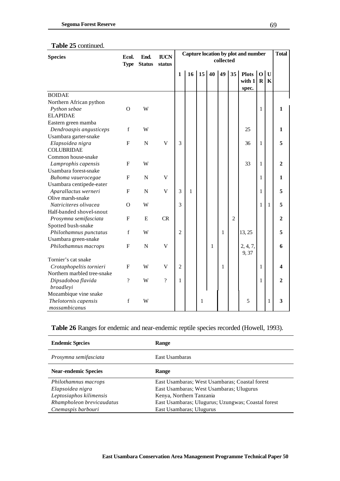## **Table 25** continued.

| <b>Species</b>              | Ecol.<br><b>Type</b>     | End.<br><b>Status</b> | <b>IUCN</b><br>status     |                |              |    |              | collected |                | Capture location by plot and number |                               |                             | <b>Total</b>            |
|-----------------------------|--------------------------|-----------------------|---------------------------|----------------|--------------|----|--------------|-----------|----------------|-------------------------------------|-------------------------------|-----------------------------|-------------------------|
|                             |                          |                       |                           | 1              | 16           | 15 | 40           | 49 35     |                | <b>Plots</b><br>with 1<br>spec.     | $\overline{O}$<br>$\mathbf R$ | $\mathbf{U}$<br>$\mathbf K$ |                         |
| <b>BOIDAE</b>               |                          |                       |                           |                |              |    |              |           |                |                                     |                               |                             |                         |
| Northern African python     |                          |                       |                           |                |              |    |              |           |                |                                     |                               |                             |                         |
| Python sebae                | $\Omega$                 | W                     |                           |                |              |    |              |           |                |                                     | 1                             |                             | 1                       |
| <b>ELAPIDAE</b>             |                          |                       |                           |                |              |    |              |           |                |                                     |                               |                             |                         |
| Eastern green mamba         |                          |                       |                           |                |              |    |              |           |                |                                     |                               |                             |                         |
| Dendroaspis angusticeps     | f                        | W                     |                           |                |              |    |              |           |                | 25                                  |                               |                             | 1                       |
| Usambara garter-snake       |                          |                       |                           |                |              |    |              |           |                |                                     |                               |                             |                         |
| Elapsoidea nigra            | $\mathbf F$              | $\mathbf N$           | $\mathbf V$               | 3              |              |    |              |           |                | 36                                  | $\mathbf{1}$                  |                             | 5                       |
| <b>COLUBRIDAE</b>           |                          |                       |                           |                |              |    |              |           |                |                                     |                               |                             |                         |
| Common house-snake          |                          |                       |                           |                |              |    |              |           |                |                                     |                               |                             |                         |
| Lamprophis capensis         | $\mathbf{F}$             | W                     |                           |                |              |    |              |           |                | 33                                  | 1                             |                             | $\overline{2}$          |
| Usambara forest-snake       |                          |                       |                           |                |              |    |              |           |                |                                     |                               |                             |                         |
| Buhoma vauerocegae          | $\mathbf{F}$             | $\mathbf N$           | V                         |                |              |    |              |           |                |                                     | 1                             |                             | $\mathbf{1}$            |
| Usambara centipede-eater    |                          |                       |                           |                |              |    |              |           |                |                                     |                               |                             |                         |
| Aparallactus werneri        | $\mathbf F$              | $\mathbf N$           | $\mathbf V$               | 3              | $\mathbf{1}$ |    |              |           |                |                                     | 1                             |                             | 5                       |
| Olive marsh-snake           |                          |                       |                           |                |              |    |              |           |                |                                     |                               |                             |                         |
| Natriciteres olivacea       | $\Omega$                 | W                     |                           | 3              |              |    |              |           |                |                                     | $\mathbf{1}$                  | $\mathbf{1}$                | 5                       |
| Half-banded shovel-snout    |                          |                       |                           |                |              |    |              |           |                |                                     |                               |                             |                         |
| Prosymna semifasciata       | $\mathbf F$              | E                     | CR                        |                |              |    |              |           | $\overline{2}$ |                                     |                               |                             | $\overline{2}$          |
| Spotted bush-snake          |                          |                       |                           |                |              |    |              |           |                |                                     |                               |                             |                         |
| Philothamnus punctatus      | $\mathbf f$              | W                     |                           | $\overline{c}$ |              |    |              | 1         |                | 13, 25                              |                               |                             | 5                       |
| Usambara green-snake        |                          |                       |                           |                |              |    |              |           |                |                                     |                               |                             |                         |
| Philothamnus macrops        | ${\bf F}$                | ${\bf N}$             | $\ensuremath{\mathsf{V}}$ |                |              |    | $\mathbf{1}$ |           |                | 2, 4, 7,<br>9,37                    |                               |                             | 6                       |
| Tornier's cat snake         |                          |                       |                           |                |              |    |              |           |                |                                     |                               |                             |                         |
| Crotaphopeltis tornieri     | F                        | W                     | V                         | $\overline{2}$ |              |    |              | 1         |                |                                     | 1                             |                             | $\overline{\mathbf{4}}$ |
| Northern marbled tree-snake |                          |                       |                           |                |              |    |              |           |                |                                     |                               |                             |                         |
| Dipsadoboa flavida          | $\overline{\mathcal{L}}$ | W                     | $\overline{?}$            | $\mathbf{1}$   |              |    |              |           |                |                                     | 1                             |                             | $\overline{2}$          |
| broadleyi                   |                          |                       |                           |                |              |    |              |           |                |                                     |                               |                             |                         |
| Mozambique vine snake       |                          |                       |                           |                |              |    |              |           |                |                                     |                               |                             |                         |
| Thelotornis capensis        | f                        | W                     |                           |                |              | 1  |              |           |                | 5                                   |                               | 1                           | 3                       |
| mossambicanus               |                          |                       |                           |                |              |    |              |           |                |                                     |                               |                             |                         |

## **Table 26** Ranges for endemic and near-endemic reptile species recorded (Howell, 1993).

| <b>Endemic Species</b>      | Range                                              |
|-----------------------------|----------------------------------------------------|
| Prosymna semifasciata       | East Usambaras                                     |
| <b>Near-endemic Species</b> | Range                                              |
| Philothamnus macrops        | East Usambaras; West Usambaras; Coastal forest     |
| Elapsoidea nigra            | East Usambaras; West Usambaras; Ulugurus           |
| Leptosiaphos kilimensis     | Kenya, Northern Tanzania                           |
| Rhampholeon brevicaudatus   | East Usambaras; Ulugurus; Uzungwas; Coastal forest |
| Cnemaspis barbouri          | East Usambaras; Ulugurus                           |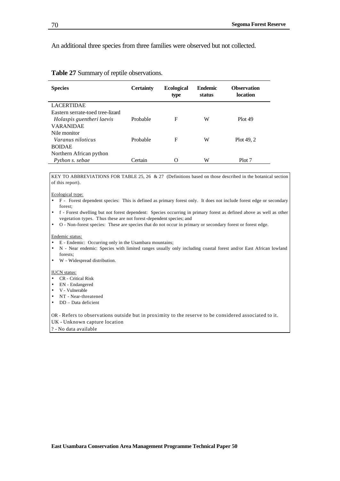An additional three species from three families were observed but not collected.

| <b>Species</b>                   | <b>Certainty</b> | <b>Ecological</b><br>type | <b>Endemic</b><br>status | <b>Observation</b><br>location |
|----------------------------------|------------------|---------------------------|--------------------------|--------------------------------|
| <b>LACERTIDAE</b>                |                  |                           |                          |                                |
| Eastern serrate-toed tree-lizard |                  |                           |                          |                                |
| Holaspis guentheri laevis        | Probable         | F                         | W                        | Plot 49                        |
| <b>VARANIDAE</b>                 |                  |                           |                          |                                |
| Nile monitor                     |                  |                           |                          |                                |
| Varanus niloticus                | Probable         | F                         | W                        | Plot 49, 2                     |
| <b>BOIDAE</b>                    |                  |                           |                          |                                |
| Northern African python          |                  |                           |                          |                                |
| Python s. sebae                  | Certain          | Ω                         | W                        | Plot 7                         |

#### **Table 27** Summary of reptile observations.

KEY TO ABBREVIATIONS FOR TABLE 25, 26 & 27 (Definitions based on those described in the botanical section of this report).

#### Ecological type:

- F Forest dependent species: This is defined as primary forest only. It does not include forest edge or secondary forest;
- f Forest dwelling but not forest dependent: Species occurring in primary forest as defined above as well as other vegetation types. Thus these are not forest-dependent species; and
- O Non-forest species: These are species that do not occur in primary or secondary forest or forest edge.

#### Endemic status:

- E Endemic: Occurring only in the Usambara mountains;
- N Near endemic: Species with limited ranges usually only including coastal forest and/or East African lowland forests;
- W Widespread distribution.

#### IUCN status:

- CR Critical Risk
- EN Endangered
- V Vulnerable
- NT Near-threatened
- DD Data deficient

OR - Refers to observations outside but in proximity to the reserve to be considered associated to it.

UK - Unknown capture location

? - No data available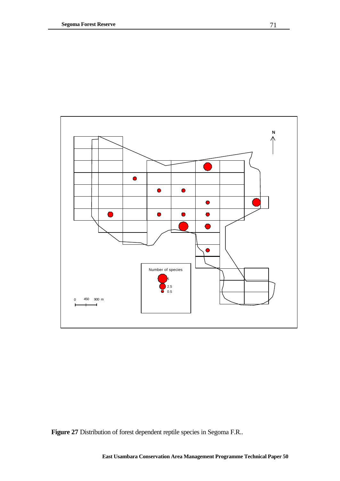

**Figure 27** Distribution of forest dependent reptile species in Segoma F.R..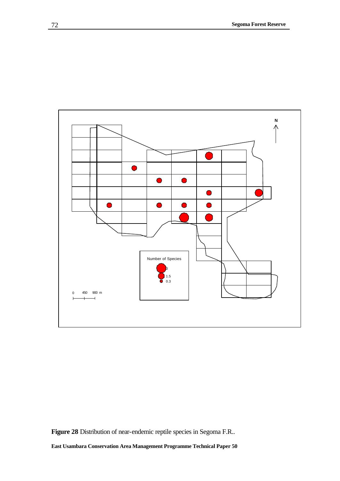

**Figure 28** Distribution of near-endemic reptile species in Segoma F.R..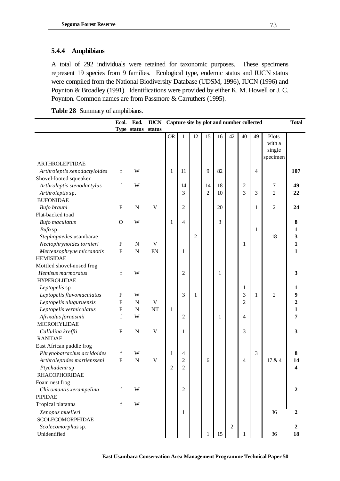### **5.4.4 Amphibians**

A total of 292 individuals were retained for taxonomic purposes. These specimens represent 19 species from 9 families. Ecological type, endemic status and IUCN status were compiled from the National Biodiversity Database (UDSM, 1996), IUCN (1996) and Poynton & Broadley (1991). Identifications were provided by either K. M. Howell or J. C. Poynton. Common names are from Passmore & Carruthers (1995).

**Table 28** Summary of amphibians.

|                                                        | Ecol.                     | End.        | <b>IUCN</b> |              |                | Capture site by plot and number collected |                |    |                |                |                |                                       | <b>Total</b>     |
|--------------------------------------------------------|---------------------------|-------------|-------------|--------------|----------------|-------------------------------------------|----------------|----|----------------|----------------|----------------|---------------------------------------|------------------|
|                                                        |                           | Type status | status      |              |                |                                           |                |    |                |                |                |                                       |                  |
|                                                        |                           |             |             | <b>OR</b>    | $\mathbf{1}$   | 12                                        | 15             | 16 | 42             | 40             | 49             | Plots<br>with a<br>single<br>specimen |                  |
| <b>ARTHROLEPTIDAE</b>                                  | $\mathbf f$               | W           |             |              | 11             |                                           | 9              | 82 |                |                | $\overline{4}$ |                                       | 107              |
| Arthroleptis xenodactyloides<br>Shovel-footed squeaker |                           |             |             | 1            |                |                                           |                |    |                |                |                |                                       |                  |
| Arthroleptis stenodactylus                             | $\mathbf f$               | W           |             |              | 14             |                                           | 14             | 18 |                | $\mathfrak{2}$ |                | 7                                     | 49               |
| Arthroleptis sp.                                       |                           |             |             |              | 3              |                                           | $\mathfrak{2}$ | 10 |                | 3              | 3              | $\overline{c}$                        | 22               |
| <b>BUFONIDAE</b>                                       |                           |             |             |              |                |                                           |                |    |                |                |                |                                       |                  |
| Bufo brauni                                            | $\mathbf{F}$              | $\mathbf N$ | $\mathbf V$ |              | $\overline{c}$ |                                           |                | 20 |                |                | 1              | $\overline{c}$                        | 24               |
| Flat-backed toad                                       |                           |             |             |              |                |                                           |                |    |                |                |                |                                       |                  |
| <b>Bufo</b> maculatus                                  | $\mathbf O$               | W           |             | 1            | 4              |                                           |                | 3  |                |                |                |                                       | 8                |
| Bufo sp.                                               |                           |             |             |              |                |                                           |                |    |                |                | 1              |                                       | 1                |
| Stephopaedes usambarae                                 |                           |             |             |              |                | $\overline{c}$                            |                |    |                |                |                | 18                                    | 3                |
| Nectophrynoides tornieri                               | $\boldsymbol{\mathrm{F}}$ | $\mathbf N$ | V           |              |                |                                           |                |    |                | $\mathbf{1}$   |                |                                       | $\mathbf{1}$     |
| Mertensophryne micranotis                              | $\overline{F}$            | $\mathbf N$ | EN          |              | 1              |                                           |                |    |                |                |                |                                       | 1                |
| <b>HEMISIDAE</b>                                       |                           |             |             |              |                |                                           |                |    |                |                |                |                                       |                  |
| Mottled shovel-nosed frog                              |                           |             |             |              |                |                                           |                |    |                |                |                |                                       |                  |
| Hemisus marmoratus                                     | f                         | W           |             |              | $\overline{c}$ |                                           |                | 1  |                |                |                |                                       | 3                |
| <b>HYPEROLIIDAE</b>                                    |                           |             |             |              |                |                                           |                |    |                |                |                |                                       |                  |
| Leptopelis sp                                          |                           |             |             |              |                |                                           |                |    |                | 1              |                |                                       | 1                |
| Leptopelis flavomaculatus                              | $\mathbf{F}$              | W           |             |              | 3              | 1                                         |                |    |                | 3              | 1              | $\overline{c}$                        | 9                |
| Leptopelis uluguruensis                                | $\rm F$                   | $\mathbf N$ | $\mathbf V$ |              |                |                                           |                |    |                | $\overline{2}$ |                |                                       | $\overline{2}$   |
| Leptopelis vermiculatus                                | $\boldsymbol{\mathrm{F}}$ | $\mathbf N$ | <b>NT</b>   | $\mathbf{1}$ |                |                                           |                |    |                |                |                |                                       | 1                |
| Afrixalus fornasinii                                   | f                         | W           |             |              | $\overline{c}$ |                                           |                | 1  |                | 4              |                |                                       | 7                |
| MICROHYLIDAE                                           |                           |             |             |              |                |                                           |                |    |                |                |                |                                       |                  |
| Callulina kreffti                                      | $\mathbf F$               | $\mathbf N$ | $\mathbf V$ |              | 1              |                                           |                |    |                | 3              |                |                                       | 3                |
| <b>RANIDAE</b>                                         |                           |             |             |              |                |                                           |                |    |                |                |                |                                       |                  |
| East African puddle frog                               |                           |             |             |              |                |                                           |                |    |                |                |                |                                       |                  |
| Phrynobatrachus acridoides                             | f                         | W           |             | 1            | 4              |                                           |                |    |                |                | 3              |                                       | 8                |
| Arthroleptides martiensseni                            | $\mathbf F$               | $\mathbf N$ | $\mathbf V$ |              | $\overline{c}$ |                                           | 6              |    |                | 4              |                | 17 & 4                                | 14               |
| Ptychadena sp                                          |                           |             |             | 2            | $\overline{2}$ |                                           |                |    |                |                |                |                                       | 4                |
| <b>RHACOPHORIDAE</b>                                   |                           |             |             |              |                |                                           |                |    |                |                |                |                                       |                  |
| Foam nest frog                                         |                           |             |             |              |                |                                           |                |    |                |                |                |                                       |                  |
| Chiromantis xerampelina                                | f                         | W           |             |              | $\overline{c}$ |                                           |                |    |                |                |                |                                       | 2                |
| <b>PIPIDAE</b>                                         |                           |             |             |              |                |                                           |                |    |                |                |                |                                       |                  |
| Tropical platanna                                      | $\mathbf f$               | W           |             |              |                |                                           |                |    |                |                |                |                                       |                  |
| Xenopus muelleri                                       |                           |             |             |              | 1              |                                           |                |    |                |                |                | 36                                    | $\boldsymbol{2}$ |
| <b>SCOLECOMORPHIDAE</b>                                |                           |             |             |              |                |                                           |                |    |                |                |                |                                       |                  |
| Scolecomorphus sp.                                     |                           |             |             |              |                |                                           |                |    | $\overline{2}$ |                |                |                                       | $\overline{2}$   |
| Unidentified                                           |                           |             |             |              |                |                                           |                | 15 |                | 1              |                | 36                                    | 18               |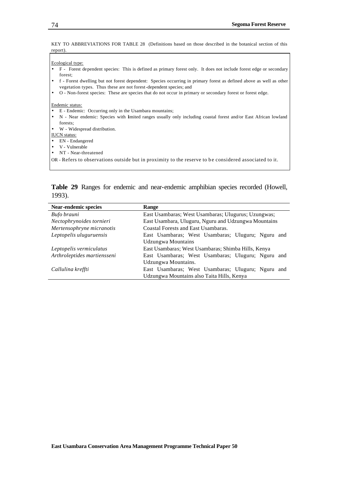KEY TO ABBREVIATIONS FOR TABLE 28 (Definitions based on those described in the botanical section of this report).

#### Ecological type:

- F Forest dependent species: This is defined as primary forest only. It does not include forest edge or secondary forest;
- f Forest dwelling but not forest dependent: Species occurring in primary forest as defined above as well as other vegetation types. Thus these are not forest-dependent species; and
- O Non-forest species: These are species that do not occur in primary or secondary forest or forest edge.

#### Endemic status:

- E Endemic: Occurring only in the Usambara mountains;
- N Near endemic: Species with limited ranges usually only including coastal forest and/or East African lowland forests;
- W Widespread distribution.

#### IUCN status:

- EN Endangered
- V Vulnerable
- NT Near-threatened

OR - Refers to observations outside but in proximity to the reserve to b e considered associated to it.

**Table 29** Ranges for endemic and near-endemic amphibian species recorded (Howell, 1993).

| Near-endemic species        | <b>Range</b>                                         |  |  |  |  |  |
|-----------------------------|------------------------------------------------------|--|--|--|--|--|
| Bufo brauni                 | East Usambaras; West Usambaras; Ulugurus; Uzungwas;  |  |  |  |  |  |
| Nectophrynoides tornieri    | East Usambara, Uluguru, Nguru and Udzungwa Mountains |  |  |  |  |  |
| Mertensophryne micranotis   | Coastal Forests and East Usambaras.                  |  |  |  |  |  |
| Leptopelis uluguruensis     | East Usambaras; West Usambaras; Uluguru; Nguru and   |  |  |  |  |  |
|                             | Udzungwa Mountains                                   |  |  |  |  |  |
| Leptopelis vermiculatus     | East Usambaras; West Usambaras; Shimba Hills, Kenya  |  |  |  |  |  |
| Arthroleptides martiensseni | East Usambaras; West Usambaras; Uluguru; Nguru and   |  |  |  |  |  |
|                             | Udzungwa Mountains.                                  |  |  |  |  |  |
| Callulina kreffti           | East Usambaras; West Usambaras; Uluguru; Nguru and   |  |  |  |  |  |
|                             | Udzungwa Mountains also Taita Hills, Kenya           |  |  |  |  |  |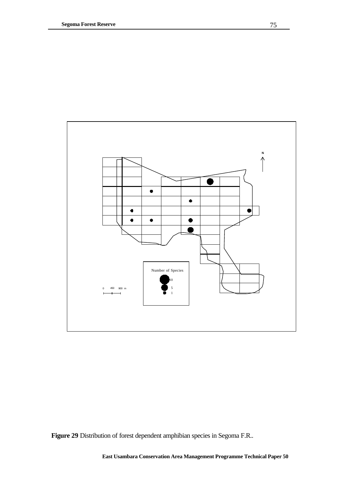

**Figure 29** Distribution of forest dependent amphibian species in Segoma F.R..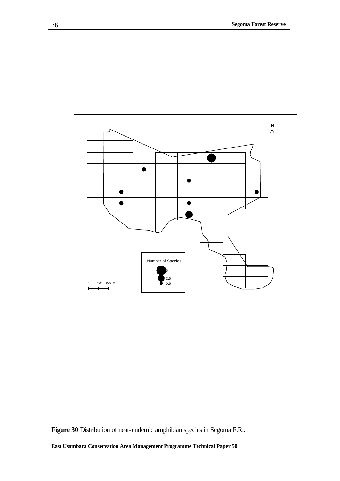

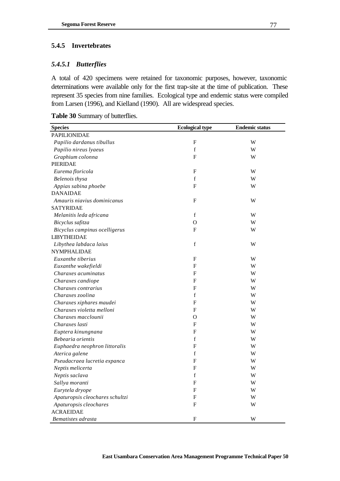## **5.4.5 Invertebrates**

### *5.4.5.1 Butterflies*

A total of 420 specimens were retained for taxonomic purposes, however, taxonomic determinations were available only for the first trap-site at the time of publication. These represent 35 species from nine families. Ecological type and endemic status were compiled from Larsen (1996), and Kielland (1990). All are widespread species.

|  |  | Table 30 Summary of butterflies. |
|--|--|----------------------------------|
|--|--|----------------------------------|

| <b>Species</b>                  | <b>Ecological type</b> | <b>Endemic status</b> |
|---------------------------------|------------------------|-----------------------|
| <b>PAPILIONIDAE</b>             |                        |                       |
| Papilio dardanus tibullus       | F                      | W                     |
| Papilio nireus lyaeus           | $\mathbf f$            | W                     |
| Graphium colonna                | F                      | W                     |
| <b>PIERIDAE</b>                 |                        |                       |
| Eurema floricola                | ${\bf F}$              | W                     |
| Belenois thysa                  | f                      | W                     |
| Appias sabina phoebe            | F                      | W                     |
| <b>DANAIDAE</b>                 |                        |                       |
| Amauris niavius dominicanus     | F                      | W                     |
| <b>SATYRIDAE</b>                |                        |                       |
| Melanitis leda africana         | f                      | W                     |
| Bicyclus safitza                | $\Omega$               | W                     |
| Bicyclus campinus ocelligerus   | F                      | W                     |
| <b>LIBYTHEIDAE</b>              |                        |                       |
| Libythea labdaca laius          | f                      | W                     |
| NYMPHALIDAE                     |                        |                       |
| Euxanthe tiberius               | F                      | W                     |
| Euxanthe wakefieldi             | F                      | W                     |
| Charaxes acuminatus             | F                      | W                     |
| Charaxes candiope               | $\boldsymbol{F}$       | W                     |
| Charaxes contrarius             | $\mathbf{F}$           | W                     |
| Charaxes zoolina                | f                      | W                     |
| Charaxes xiphares maudei        | F                      | W                     |
| Charaxes violetta melloni       | F                      | W                     |
| Charaxes macclounii             | O                      | W                     |
| Charaxes lasti                  | F                      | W                     |
| Euptera kinungnana              | F                      | W                     |
| Bebearia orientis               | f                      | W                     |
| Euphaedra neophron littoralis   | $\mathbf F$            | W                     |
| Aterica galene                  | f                      | W                     |
| Pseudacraea lucretia expanca    | F                      | W                     |
| Neptis melicerta                | $\mathbf F$            | W                     |
| Neptis saclava                  | f                      | W                     |
| Sallya moranti                  | ${\bf F}$              | W                     |
| Eurytela dryope                 | $\boldsymbol{F}$       | W                     |
| Apaturopsis cleochares schultzi | $\boldsymbol{F}$       | W                     |
| Apaturopsis cleochares          | ${\rm F}$              | W                     |
| <b>ACRAEIDAE</b>                |                        |                       |
| Bematistes adrasta              | ${\bf F}$              | W                     |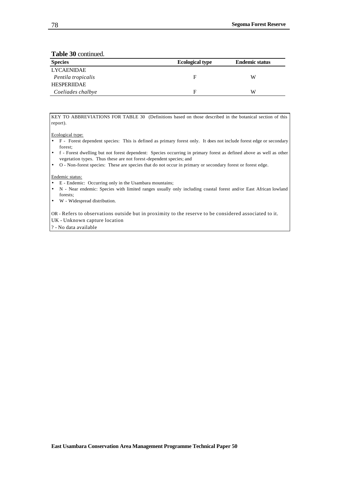**Table 30** continued.

| <b>Species</b>     | <b>Ecological type</b> | <b>Endemic status</b> |
|--------------------|------------------------|-----------------------|
| <b>LYCAENIDAE</b>  |                        |                       |
| Pentila tropicalis | F                      | W                     |
| <b>HESPERIIDAE</b> |                        |                       |
| Coeliades chalbye  | F                      | W                     |

KEY TO ABBREVIATIONS FOR TABLE 30 (Definitions based on those described in the botanical section of this report).

Ecological type:

- F Forest dependent species: This is defined as primary forest only. It does not include forest edge or secondary forest;
- f Forest dwelling but not forest dependent: Species occurring in primary forest as defined above as well as other vegetation types. Thus these are not forest-dependent species; and
- O Non-forest species: These are species that do not occur in primary or secondary forest or forest edge.

Endemic status:

- E Endemic: Occurring only in the Usambara mountains;
- N Near endemic: Species with limited ranges usually only including coastal forest and/or East African lowland forests;
- W Widespread distribution.

OR - Refers to observations outside but in proximity to the reserve to be considered associated to it. UK - Unknown capture location

? - No data available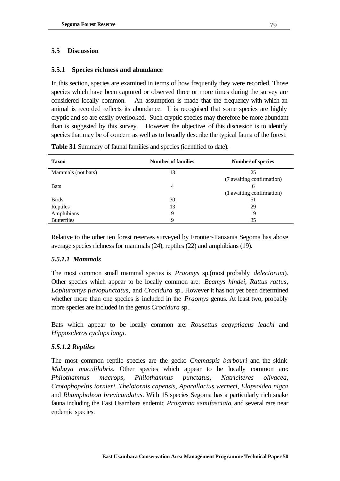## **5.5 Discussion**

## **5.5.1 Species richness and abundance**

In this section, species are examined in terms of how frequently they were recorded. Those species which have been captured or observed three or more times during the survey are considered locally common. An assumption is made that the frequency with which an animal is recorded reflects its abundance. It is recognised that some species are highly cryptic and so are easily overlooked. Such cryptic species may therefore be more abundant than is suggested by this survey. However the objective of this discussion is to identify species that may be of concern as well as to broadly describe the typical fauna of the forest.

| <b>Taxon</b>       | <b>Number of families</b> | <b>Number of species</b>  |
|--------------------|---------------------------|---------------------------|
| Mammals (not bats) | 13                        | 25                        |
|                    |                           | (7 awaiting confirmation) |
| <b>Bats</b>        | 4                         | 6                         |
|                    |                           | (1 awaiting confirmation) |
| <b>Birds</b>       | 30                        | 51                        |
| Reptiles           | 13                        | 29                        |
| Amphibians         | 9                         | 19                        |
| <b>Butterflies</b> | 9                         | 35                        |

**Table 31** Summary of faunal families and species (identified to date).

Relative to the other ten forest reserves surveyed by Frontier-Tanzania Segoma has above average species richness for mammals (24), reptiles (22) and amphibians (19).

## *5.5.1.1 Mammals*

The most common small mammal species is *Praomys* sp.(most probably *delectorum*). Other species which appear to be locally common are: *Beamys hindei*, *Rattus rattus, Lophuromys flavopunctatus,* and *Crocidura* sp.. However it has not yet been determined whether more than one species is included in the *Praomys* genus. At least two, probably more species are included in the genus *Crocidura* sp..

Bats which appear to be locally common are: *Rousettus aegyptiacus leachi* and *Hipposideros cyclops langi*.

## *5.5.1.2 Reptiles*

The most common reptile species are the gecko *Cnemaspis barbouri* and the skink *Mabuya maculilabris*. Other species which appear to be locally common are: *Philothamnus macrops*, *Philothamnus punctatus*, *Natriciteres olivacea*, *Crotaphopeltis tornieri*, *Thelotornis capensis*, *Aparallactus werneri*, *Elapsoidea nigra*  and *Rhampholeon brevicaudatus*. With 15 species Segoma has a particularly rich snake fauna including the East Usambara endemic *Prosymna semifasciata*, and several rare near endemic species.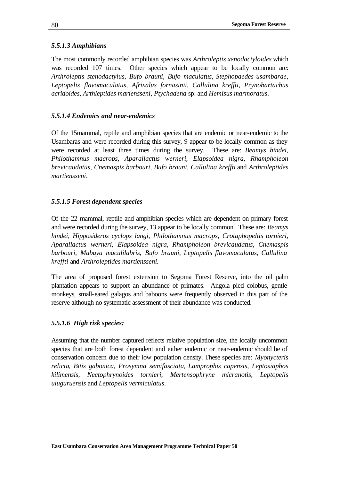## *5.5.1.3 Amphibians*

The most commonly recorded amphibian species was *Arthroleptis xenodactyloides* which was recorded 107 times. Other species which appear to be locally common are: *Arthroleptis stenodactylus*, *Bufo brauni*, *Bufo maculatus*, *Stephopaedes usambarae*, *Leptopelis flavomaculatus*, *Afrixalus fornasinii*, *Callulina kreffti, Prynobartachus acridoides*, *Arthleptides mariensseni*, *Ptychadena* sp. and *Hemisus marmoratus*.

## *5.5.1.4 Endemics and near-endemics*

Of the 15mammal, reptile and amphibian species that are endemic or near-endemic to the Usambaras and were recorded during this survey, 9 appear to be locally common as they were recorded at least three times during the survey. These are: *Beamys hindei*, *Philothamnus macrops, Aparallactus werneri, Elapsoidea nigra, Rhampholeon brevicaudatus*, *Cnemaspis barbouri*, *Bufo brauni*, *Callulina kreffti* and *Arthroleptides martiensseni*.

## *5.5.1.5 Forest dependent species*

Of the 22 mammal, reptile and amphibian species which are dependent on primary forest and were recorded during the survey, 13 appear to be locally common. These are: *Beamys hindei*, *Hipposideros cyclops langi*, *Philothamnus macrops*, *Crotaphopeltis tornieri*, *Aparallactus werneri*, *Elapsoidea nigra*, *Rhampholeon brevicaudatus*, *Cnemaspis barbouri*, *Mabuya maculilabris*, *Bufo brauni*, *Leptopelis flavomaculatus, Callulina kreffti* and *Arthroleptides martiensseni.*

The area of proposed forest extension to Segoma Forest Reserve, into the oil palm plantation appears to support an abundance of primates. Angola pied colobus, gentle monkeys, small-eared galagos and baboons were frequently observed in this part of the reserve although no systematic assessment of their abundance was conducted.

## *5.5.1.6 High risk species:*

Assuming that the number captured reflects relative population size, the locally uncommon species that are both forest dependent and either endemic or near-endemic should be of conservation concern due to their low population density. These species are: *Myonycteris relicta*, *Bitis gabonica*, *Prosymna semifasciata*, *Lamprophis capensis*, *Leptosiaphos kilimensis*, *Nectophrynoides tornieri*, *Mertensophryne micranotis*, *Leptopelis uluguruensis* and *Leptopelis vermiculatus*.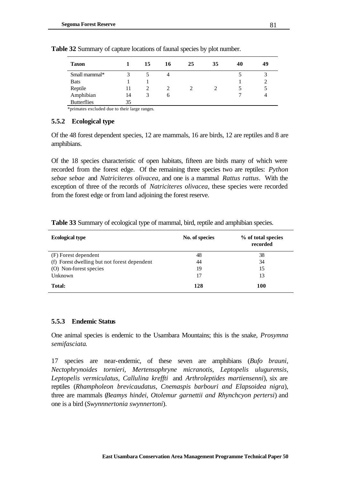| <b>Taxon</b>       |    | 15 | 16 | 25 | 35 | 40 | 49 |
|--------------------|----|----|----|----|----|----|----|
| Small mammal*      | 3  |    | 4  |    |    |    | ◠  |
| <b>Bats</b>        |    |    |    |    |    |    |    |
| Reptile            | 11 |    |    |    |    |    |    |
| Amphibian          | 14 | J. | h  |    |    |    |    |
| <b>Butterflies</b> | 35 |    |    |    |    |    |    |

**Table 32** Summary of capture locations of faunal species by plot number.

\*primates excluded due to their large ranges.

#### **5.5.2 Ecological type**

Of the 48 forest dependent species, 12 are mammals, 16 are birds, 12 are reptiles and 8 are amphibians.

Of the 18 species characteristic of open habitats, fifteen are birds many of which were recorded from the forest edge. Of the remaining three species two are reptiles: *Python sebae sebae* and *Natriciteres olivacea*, and one is a mammal *Rattus rattus*. With the exception of three of the records of *Natriciteres olivacea*, these species were recorded from the forest edge or from land adjoining the forest reserve.

| Table 33 Summary of ecological type of mammal, bird, reptile and amphibian species. |
|-------------------------------------------------------------------------------------|
|-------------------------------------------------------------------------------------|

| <b>Ecological type</b>                       | No. of species | % of total species<br>recorded |
|----------------------------------------------|----------------|--------------------------------|
| (F) Forest dependent                         | 48             | 38                             |
| (f) Forest dwelling but not forest dependent | 44             | 34                             |
| (O) Non-forest species                       | 19             | 15                             |
| Unknown                                      | 17             | 13                             |
| <b>Total:</b>                                | 128            | 100                            |

### **5.5.3 Endemic Status**

One animal species is endemic to the Usambara Mountains; this is the snake, *Prosymna semifasciata*.

17 species are near-endemic, of these seven are amphibians (*Bufo brauni, Nectophrynoides tornieri, Mertensophryne micranotis, Leptopelis ulugurensis, Leptopelis vermiculatus, Callulina kreffti* and *Arthroleptides martiensenni*), six are reptiles (*Rhampholeon brevicaudatus, Cnemaspis barbouri and Elapsoidea nigra*), three are mammals (*Beamys hindei, Otolemur garnettii and Rhynchcyon pertersi*) and one is a bird (*Swynnnertonia swynnertoni*).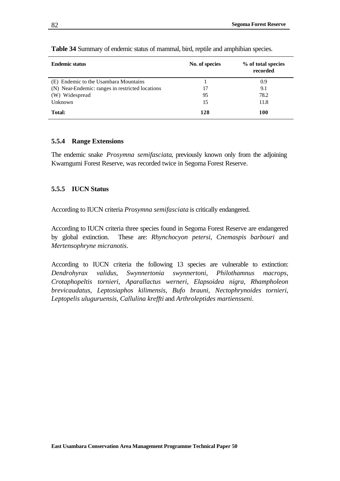| <b>Endemic status</b>                            | No. of species | % of total species<br>recorded |
|--------------------------------------------------|----------------|--------------------------------|
| (E) Endemic to the Usambara Mountains            |                | 0.9                            |
| (N) Near-Endemic: ranges in restricted locations | 17             | 9.1                            |
| (W) Widespread                                   | 95             | 78.2                           |
| Unknown                                          | 15             | 11.8                           |
| <b>Total:</b>                                    | 128            | 100                            |

**Table 34** Summary of endemic status of mammal, bird, reptile and amphibian species.

#### **5.5.4 Range Extensions**

The endemic snake *Prosymna semifasciata*, previously known only from the adjoining Kwamgumi Forest Reserve, was recorded twice in Segoma Forest Reserve.

#### **5.5.5 IUCN Status**

According to IUCN criteria *Prosymna semifasciata* is critically endangered.

According to IUCN criteria three species found in Segoma Forest Reserve are endangered by global extinction. These are: *Rhynchocyon petersi*, *Cnemaspis barbouri* and *Mertensophryne micranotis*.

According to IUCN criteria the following 13 species are vulnerable to extinction: *Dendrohyrax validus*, *Swynnertonia swynnertoni*, *Philothamnus macrops*, *Crotaphopeltis tornieri*, *Aparallactus werneri*, *Elapsoidea nigra*, *Rhampholeon brevicaudatus*, *Leptosiaphos kilimensis*, *Bufo brauni*, *Nectophrynoides tornieri*, *Leptopelis uluguruensis, Callulina kreffti* and *Arthroleptides martiensseni*.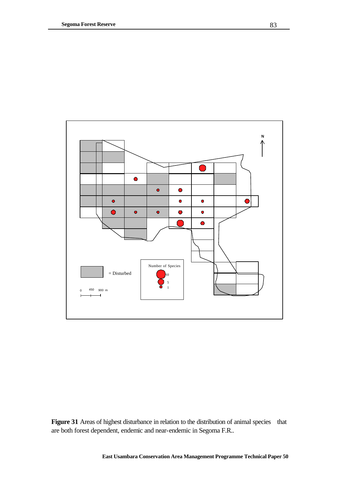

Figure 31 Areas of highest disturbance in relation to the distribution of animal species that are both forest dependent, endemic and near-endemic in Segoma F.R..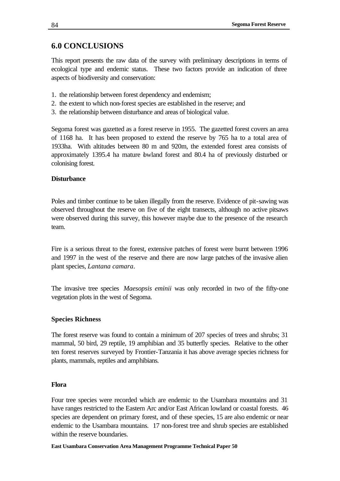# **6.0 CONCLUSIONS**

This report presents the raw data of the survey with preliminary descriptions in terms of ecological type and endemic status. These two factors provide an indication of three aspects of biodiversity and conservation:

- 1. the relationship between forest dependency and endemism;
- 2. the extent to which non-forest species are established in the reserve; and
- 3. the relationship between disturbance and areas of biological value.

Segoma forest was gazetted as a forest reserve in 1955. The gazetted forest covers an area of 1168 ha. It has been proposed to extend the reserve by 765 ha to a total area of 1933ha. With altitudes between 80 m and 920m, the extended forest area consists of approximately 1395.4 ha mature lowland forest and 80.4 ha of previously disturbed or colonising forest.

## **Disturbance**

Poles and timber continue to be taken illegally from the reserve. Evidence of pit-sawing was observed throughout the reserve on five of the eight transects, although no active pitsaws were observed during this survey, this however maybe due to the presence of the research team.

Fire is a serious threat to the forest, extensive patches of forest were burnt between 1996 and 1997 in the west of the reserve and there are now large patches of the invasive alien plant species, *Lantana camara*.

The invasive tree species *Maesopsis eminii* was only recorded in two of the fifty-one vegetation plots in the west of Segoma.

### **Species Richness**

The forest reserve was found to contain a minimum of 207 species of trees and shrubs; 31 mammal, 50 bird, 29 reptile, 19 amphibian and 35 butterfly species. Relative to the other ten forest reserves surveyed by Frontier-Tanzania it has above average species richness for plants, mammals, reptiles and amphibians.

### **Flora**

Four tree species were recorded which are endemic to the Usambara mountains and 31 have ranges restricted to the Eastern Arc and/or East African lowland or coastal forests. 46 species are dependent on primary forest, and of these species, 15 are also endemic or near endemic to the Usambara mountains. 17 non-forest tree and shrub species are established within the reserve boundaries.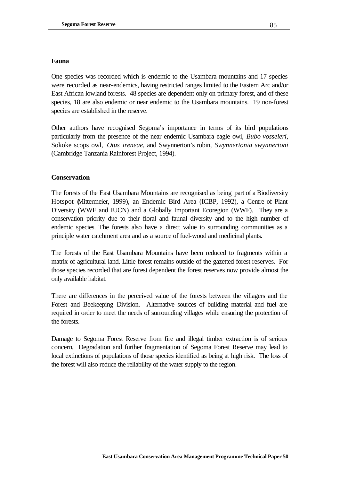### **Fauna**

One species was recorded which is endemic to the Usambara mountains and 17 species were recorded as near-endemics, having restricted ranges limited to the Eastern Arc and/or East African lowland forests. 48 species are dependent only on primary forest, and of these species, 18 are also endemic or near endemic to the Usambara mountains. 19 non-forest species are established in the reserve.

Other authors have recognised Segoma's importance in terms of its bird populations particularly from the presence of the near endemic Usambara eagle owl, *Bubo vosseleri*, Sokoke scops owl, *Otus ireneae*, and Swynnerton's robin, *Swynnertonia swynnertoni* (Cambridge Tanzania Rainforest Project, 1994).

## **Conservation**

The forests of the East Usambara Mountains are recognised as being part of a Biodiversity Hotspot (Mittermeier, 1999), an Endemic Bird Area (ICBP, 1992), a Centre of Plant Diversity (WWF and IUCN) and a Globally Important Ecoregion (WWF). They are a conservation priority due to their floral and faunal diversity and to the high number of endemic species. The forests also have a direct value to surrounding communities as a principle water catchment area and as a source of fuel-wood and medicinal plants.

The forests of the East Usambara Mountains have been reduced to fragments within a matrix of agricultural land. Little forest remains outside of the gazetted forest reserves. For those species recorded that are forest dependent the forest reserves now provide almost the only available habitat.

There are differences in the perceived value of the forests between the villagers and the Forest and Beekeeping Division. Alternative sources of building material and fuel are required in order to meet the needs of surrounding villages while ensuring the protection of the forests.

Damage to Segoma Forest Reserve from fire and illegal timber extraction is of serious concern. Degradation and further fragmentation of Segoma Forest Reserve may lead to local extinctions of populations of those species identified as being at high risk. The loss of the forest will also reduce the reliability of the water supply to the region.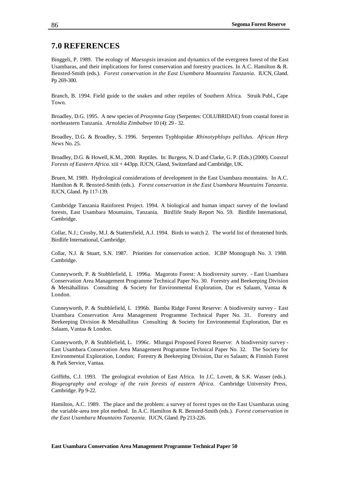## **7.0 REFERENCES**

Binggeli, P. 1989. The ecology of *Maesopsis* invasion and dynamics of the evergreen forest of the East Usambaras, and their implications for forest conservation and forestry practices. In A.C. Hamilton & R. Bensted-Smith (eds.). *Forest conservation in the East Usambara Mountains Tanzania.* IUCN, Gland. Pp 269-300.

Branch, B. 1994. Field guide to the snakes and other reptiles of Southern Africa. Struik Publ., Cape Town.

Broadley, D.G. 1995. A new species of *Prosymna* Gray (Serpentes: COLUBRIDAE) from coastal forest in northeastern Tanzania. *Arnoldia Zimbabwe* 10 (4): 29 - 32.

Broadley, D.G. & Broadley, S. 1996. Serpentes Typhlopidae *Rhinotyphlops pallidus*. *African Herp News* No. 25.

Broadley, D.G. & Howell, K.M., 2000. Reptiles. In: Burgess, N. D and Clarke, G. P. (Eds.) (2000). C*oastal Forests of Eastern Africa.* xiii + 443pp. IUCN, Gland, Switzerland and Cambridge, UK.

Bruen, M. 1989. Hydrological considerations of development in the East Usambara mountains. In A.C. Hamilton & R. Bensted-Smith (eds.). *Forest conservation in the East Usambara Mountains Tanzania.*  IUCN, Gland. Pp 117-139.

Cambridge Tanzania Rainforest Project. 1994. A biological and human impact survey of the lowland forests, East Usambara Mountains, Tanzania. Birdlife Study Report No. 59. Birdlife International, Cambridge.

Collar, N.J.; Crosby, M.J. & Stattersfield, A.J. 1994. Birds to watch 2. The world list of threatened birds. Birdlife International, Cambridge.

Collar, N.J. & Stuart, S.N. 1987. Priorities for conservation action. ICBP Monograph No. 3. 1988. Cambridge.

Cunneyworth, P. & Stubblefield, L 1996a. Magoroto Forest: A biodiversity survey. - East Usambara Conservation Area Management Programme Technical Paper No. 30. Forestry and Beekeeping Division & Metsähallitus Consulting & Society for Environmental Exploration, Dar es Salaam, Vantaa & London.

Cunneyworth, P. & Stubblefield, L 1996b. Bamba Ridge Forest Reserve: A biodiversity survey - East Usambara Conservation Area Management Programme Technical Paper No. 31. Forestry and Beekeeping Division & Metsähallitus Consulting & Society for Environmental Exploration, Dar es Salaam, Vantaa & London.

Cunneyworth, P. & Stubblefield, L. 1996c. Mlungui Proposed Forest Reserve: A biodiversity survey - East Usambara Conservation Area Management Programme Technical Paper No. 32. The Society for Environmental Exploration, London; Forestry & Beekeeping Division, Dar es Salaam; & Finnish Forest & Park Service, Vantaa.

Griffiths, C.J. 1993. The geological evolution of East Africa. In J.C. Lovett, & S.K. Wasser (eds.). *Biogeography and ecology of the rain forests of eastern Africa.* Cambridge University Press, Cambridge. Pp 9-22.

Hamilton, A.C. 1989. The place and the problem: a survey of forest types on the East Usambaras using the variable-area tree plot method. In A.C. Hamilton & R. Bensted-Smith (eds.). *Forest conservation in the East Usambara Mountains Tanzania.* IUCN, Gland. Pp 213-226.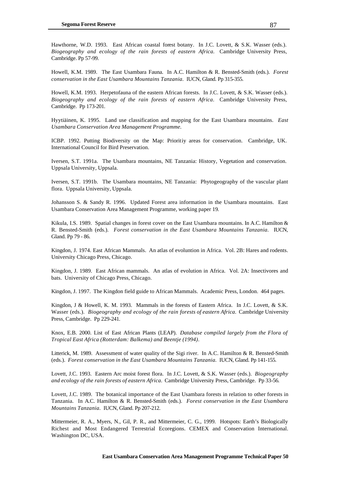Hawthorne, W.D. 1993. East African coastal forest botany. In J.C. Lovett, & S.K. Wasser (eds.). *Biogeography and ecology of the rain forests of eastern Africa.* Cambridge University Press, Cambridge. Pp 57-99.

Howell, K.M. 1989. The East Usambara Fauna*.* In A.C. Hamilton & R. Bensted-Smith (eds.). *Forest conservation in the East Usambara Mountains Tanzania.* IUCN, Gland. Pp 315-355.

Howell, K.M. 1993. Herpetofauna of the eastern African forests. In J.C. Lovett, & S.K. Wasser (eds.). *Biogeography and ecology of the rain forests of eastern Africa.* Cambridge University Press, Cambridge. Pp 173-201.

Hyytiäinen, K. 1995. Land use classification and mapping for the East Usambara mountains. *East Usambara Conservation Area Management Programme.*

ICBP. 1992. Putting Biodiversity on the Map: Prioritiy areas for conservation. Cambridge, UK. International Council for Bird Preservation.

Iversen, S.T. 1991a. The Usambara mountains, NE Tanzania: History, Vegetation and conservation. Uppsala University, Uppsala.

Iversen, S.T. 1991b. The Usambara mountains, NE Tanzania: Phytogeography of the vascular plant flora. Uppsala University, Uppsala.

Johansson S. & Sandy R. 1996. Updated Forest area information in the Usambara mountains. East Usambara Conservation Area Management Programme, working paper 19.

Kikula, I.S. 1989. Spatial changes in forest cover on the East Usambara mountains. In A.C. Hamilton & R. Bensted-Smith (eds.). *Forest conservation in the East Usambara Mountains Tanzania.* IUCN, Gland. Pp 79 - 86.

Kingdon, J. 1974. East African Mammals. An atlas of evoluntion in Africa. Vol. 2B: Hares and rodents. University Chicago Press, Chicago.

Kingdon, J. 1989. East African mammals. An atlas of evolution in Africa. Vol. 2A: Insectivores and bats. University of Chicago Press, Chicago.

Kingdon, J. 1997. The Kingdon field guide to African Mammals. Academic Press, London. 464 pages.

Kingdon, J & Howell, K. M. 1993. Mammals in the forests of Eastern Africa. In J.C. Lovett, & S.K. Wasser (eds.). *Biogeography and ecology of the rain forests of eastern Africa.* Cambridge University Press, Cambridge. Pp 229-241.

Knox, E.B. 2000. List of East African Plants (LEAP). *Database compiled largely from the Flora of Tropical East Africa (Rotterdam: Balkema) and Beentje (1994)*.

Litterick, M. 1989. Assessment of water quality of the Sigi river. In A.C. Hamilton & R. Bensted-Smith (eds.). *Forest conservation in the East Usambara Mountains Tanzania.* IUCN, Gland. Pp 141-155.

Lovett, J.C. 1993. Eastern Arc moist forest flora. In J.C. Lovett, & S.K. Wasser (eds.). *Biogeography and ecology of the rain forests of eastern Africa.* Cambridge University Press, Cambridge. Pp 33-56.

Lovett, J.C. 1989. The botanical importance of the East Usambara forests in relation to other forests in Tanzania. In A.C. Hamilton & R. Bensted-Smith (eds.). *Forest conservation in the East Usambara Mountains Tanzania.* IUCN, Gland. Pp 207-212.

Mittermeier, R. A., Myers, N., Gil, P. R., and Mittermeier, C. G., 1999. Hotspots: Earth's Biologically Richest and Most Endangered Terrestrial Ecoregions. CEMEX and Conservation International. Washington DC, USA.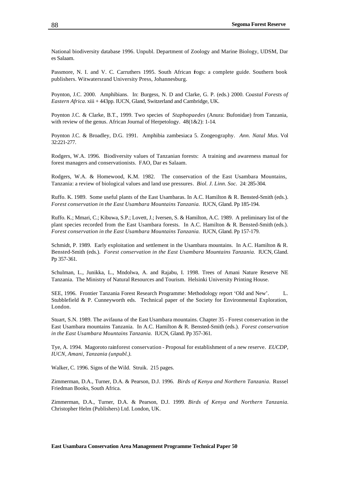National biodiversity database 1996. Unpubl. Department of Zoology and Marine Biology, UDSM, Dar es Salaam.

Passmore, N. I. and V. C. Carruthers 1995. South African fogs: a complete guide. Southern book publishers. Witwatersrand University Press, Johannesburg.

Poynton, J.C. 2000. Amphibians. In: Burgess, N. D and Clarke, G. P. (eds.) 2000. C*oastal Forests of Eastern Africa.* xiii + 443pp. IUCN, Gland, Switzerland and Cambridge, UK.

Poynton J.C. & Clarke, B.T., 1999. Two species of *Staphopaedes* (Anura: Bufonidae) from Tanzania, with review of the genus. African Journal of Herpetology.  $48(1&&2)$ : 1-14.

Poynton J.C. & Broadley, D.G. 1991. Amphibia zambesiaca 5. Zoogeography. *Ann. Natal Mus.* Vol 32:221-277.

Rodgers, W.A. 1996. Biodiversity values of Tanzanian forests: A training and awareness manual for forest managers and conservationists. FAO, Dar es Salaam.

Rodgers, W.A. & Homewood, K.M. 1982. The conservation of the East Usambara Mountains, Tanzania: a review of biological values and land use pressures*. Biol. J. Linn. Soc.* 24: 285-304.

Ruffo. K. 1989. Some useful plants of the East Usambaras. In A.C. Hamilton & R. Bensted-Smith (eds.). *Forest conservation in the East Usambara Mountains Tanzania.* IUCN, Gland. Pp 185-194.

Ruffo. K.; Mmari, C.; Kibuwa, S.P.; Lovett, J.; Iversen, S. & Hamilton, A.C. 1989. A preliminary list of the plant species recorded from the East Usambara forests. In A.C. Hamilton & R. Bensted-Smith (eds.). *Forest conservation in the East Usambara Mountains Tanzania.* IUCN, Gland. Pp 157-179.

Schmidt, P. 1989. Early exploitation and settlement in the Usambara mountains. In A.C. Hamilton & R. Bensted-Smith (eds.). *Forest conservation in the East Usambara Mountains Tanzania.* IUCN, Gland. Pp 357-361.

Schulman, L., Junikka, L., Mndolwa, A. and Rajabu, I. 1998. Trees of Amani Nature Reserve NE Tanzania. The Ministry of Natural Resources and Tourism. Helsinki University Printing House.

SEE, 1996. Frontier Tanzania Forest Research Programme: Methodology report 'Old and New'. L. Stubblefield & P. Cunneyworth eds. Technical paper of the Society for Environmental Exploration, London.

Stuart, S.N. 1989. The avifauna of the East Usambara mountains. Chapter 35 - Forest conservation in the East Usambara mountains Tanzania. In A.C. Hamilton & R. Bensted-Smith (eds.). *Forest conservation in the East Usambara Mountains Tanzania.* IUCN, Gland. Pp 357-361.

Tye, A. 1994. Magoroto rainforest conservation - Proposal for establishment of a new reserve. *EUCDP, IUCN, Amani, Tanzania (unpubl.).*

Walker, C. 1996. Signs of the Wild. Struik. 215 pages.

Zimmerman, D.A., Turner, D.A. & Pearson, D.J. 1996. *Birds of Kenya and Northern Tanzania.* Russel Friedman Books, South Africa.

Zimmerman, D.A., Turner, D.A. & Pearson, D.J. 1999. *Birds of Kenya and Northern Tanzania.* Christopher Helm (Publishers) Ltd. London, UK.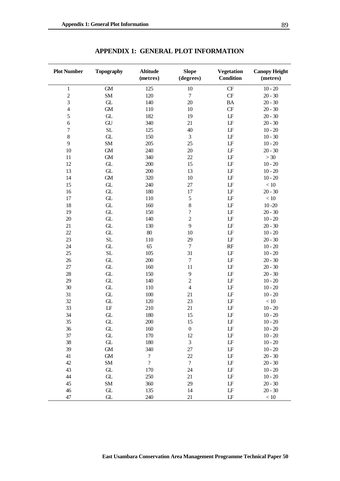| <b>Plot Number</b>      | <b>Topography</b> | <b>Altitude</b><br>(metres) | <b>Slope</b><br>(degrees)  | <b>Vegetation</b><br><b>Condition</b> | <b>Canopy Height</b><br>(metres) |
|-------------------------|-------------------|-----------------------------|----------------------------|---------------------------------------|----------------------------------|
| $\mathbf 1$             | ${\rm GM}$        | 125                         | $10\,$                     | CF                                    | $10 - 20$                        |
| $\overline{c}$          | SM                | 120                         | $\boldsymbol{7}$           | CF                                    | $20 - 30$                        |
| 3                       | ${\rm GL}$        | 140                         | 20                         | <b>BA</b>                             | $20 - 30$                        |
| $\overline{\mathbf{4}}$ | ${\rm GM}$        | 110                         | 10                         | $\cal{CF}$                            | $20 - 30$                        |
| 5                       | ${\rm GL}$        | 182                         | 19                         | $\mathbf{L}\mathbf{F}$                | $20 - 30$                        |
| $\sqrt{6}$              | ${\rm GU}$        | 340                         | 21                         | $\mathbf{L}\mathbf{F}$                | $20 - 30$                        |
| $\boldsymbol{7}$        | SL                | 125                         | 40                         | $\mathbf{L}\mathbf{F}$                | $10 - 20$                        |
| $\,8$                   | ${\rm GL}$        | 150                         | $\mathfrak{Z}$             | $\mathbf{L}\mathbf{F}$                | $10 - 30$                        |
| 9                       | SM                | 205                         | 25                         | $\mathbf{L}\mathbf{F}$                | $10 - 20$                        |
| 10                      | ${\rm GM}$        | 240                         | $20\,$                     | $\mathbf{L}\mathbf{F}$                | $20 - 30$                        |
| 11                      | ${\rm GM}$        | 340                         | 22                         | $\mathbf{L}\mathbf{F}$                | >30                              |
| 12                      | ${\rm GL}$        | 200                         | 15                         | $\mathbf{L}\mathbf{F}$                | $10 - 20$                        |
| 13                      | ${\rm GL}$        | 200                         | 13                         | $\mathbf{L}\mathbf{F}$                | $10 - 20$                        |
| 14                      | ${\rm GM}$        | 320                         | 10                         | $\mathbf{L}\mathbf{F}$                | $10 - 20$                        |
| 15                      | ${\rm GL}$        | 240                         | 27                         | $\mathbf{L}\mathbf{F}$                | $<10\,$                          |
| 16                      | ${\rm GL}$        | 180                         | 17                         | $\mathbf{L}\mathbf{F}$                | $20 - 30$                        |
| 17                      | ${\rm GL}$        | 110                         | 5                          | $\mathbf{L}\mathbf{F}$                | $<10\,$                          |
| 18                      | ${\rm GL}$        | 160                         | 8                          | $\mathbf{L}\mathbf{F}$                | $10 - 20$                        |
| 19                      | ${\rm GL}$        | 150                         | $\overline{\mathcal{C}}$   | $\mathbf{L}\mathbf{F}$                | $20 - 30$                        |
| $20\,$                  | ${\rm GL}$        | 140                         | $\overline{c}$             | $\mathbf{L}\mathbf{F}$                | $10 - 20$                        |
| 21                      | ${\rm GL}$        | 130                         | 9                          | $\mathbf{L}\mathbf{F}$                | $20 - 30$                        |
| 22                      | ${\rm GL}$        | $80\,$                      | 10                         | $\mathbf{L}\mathbf{F}$                | $10 - 20$                        |
| 23                      | SL                | 110                         | 29                         | $\mathbf{L}\mathbf{F}$                | $20 - 30$                        |
| $24\,$                  | ${\rm GL}$        | 65                          | $\boldsymbol{7}$           | RF                                    | $10 - 20$                        |
| 25                      | SL                | 105                         | 31                         | $\mathbf{L}\mathbf{F}$                | $10 - 20$                        |
| $26$                    | ${\rm GL}$        | 200                         | $\boldsymbol{7}$           | $\mathbf{L}\mathbf{F}$                | $20 - 30$                        |
| $27\,$                  | ${\rm GL}$        | 160                         | 11                         | $\mathbf{L}\mathbf{F}$                | $20 - 30$                        |
| 28                      | ${\rm GL}$        | 150                         | 9                          | $\mathbf{L}\mathbf{F}$                | $20 - 30$                        |
| 29                      | ${\rm GL}$        | 140                         | $\overline{c}$             | $\mathbf{L}\mathbf{F}$                | $10 - 20$                        |
| 30                      | ${\rm GL}$        | 110                         | $\overline{\mathbf{4}}$    | $\mathbf{L}\mathbf{F}$                | $10 - 20$                        |
| 31                      | ${\rm GL}$        | 100                         | 21                         | $\mathbf{L}\mathbf{F}$                | $10 - 20$                        |
| 32                      | ${\rm GL}$        | 120                         | 23                         | LF                                    | $<10\,$                          |
| 33                      | LF                | 210                         | 21                         | LF                                    | $10 - 20$                        |
| 34                      | GL                | 180                         | 15                         | LF                                    | $10 - 20$                        |
| 35                      | GL                | 200                         | 15                         | LF                                    | $10 - 20$                        |
| 36                      | GL                | 160                         | $\boldsymbol{0}$           | LF                                    | $10 - 20$                        |
| 37                      | ${\rm GL}$        | 170                         | 12                         | $\operatorname{LF}$                   | $10 - 20$                        |
| 38                      | ${\rm GL}$        | 180                         | $\mathfrak 3$              | $\operatorname{LF}$                   | $10 - 20$                        |
| 39                      | ${\rm GM}$        | 340                         | $27\,$                     | $\operatorname{LF}$                   | $10 - 20$                        |
| 41                      | GM                | $\boldsymbol{?}$            | $22\,$                     | $\operatorname{LF}$                   | $20 - 30$                        |
| 42                      | <b>SM</b>         | $\boldsymbol{\mathcal{?}}$  | $\boldsymbol{\mathcal{?}}$ | $\operatorname{LF}$                   | $20 - 30$                        |
| 43                      | ${\rm GL}$        | 170                         | 24                         | $\operatorname{LF}$                   | $10 - 20$                        |
| 44                      | ${\rm GL}$        | 250                         | $21\,$                     | $\operatorname{LF}$                   | $10 - 20$                        |
| 45                      | <b>SM</b>         | 360                         | 29                         | $\operatorname{LF}$                   | $20 - 30$                        |
| $46$                    | ${\rm GL}$        | 135                         | 14                         | $\operatorname{LF}$                   | $20 - 30$                        |
| 47                      | GL                | 240                         | 21                         | LF                                    | $<10\,$                          |

**APPENDIX 1: GENERAL PLOT INFORMATION**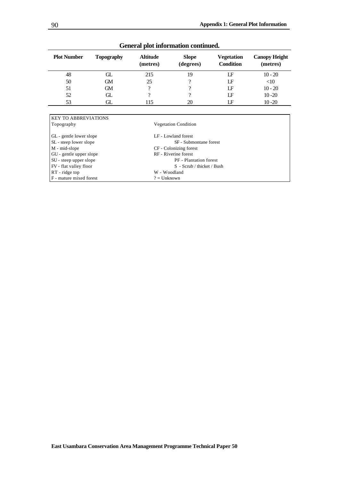| <b>Plot Number</b> | <b>Topography</b> | <b>Altitude</b><br>(metres) | <b>Slope</b><br>(degrees) | <b>Vegetation</b><br><b>Condition</b> | <b>Canopy Height</b><br>(metres) |
|--------------------|-------------------|-----------------------------|---------------------------|---------------------------------------|----------------------------------|
| 48                 | GL                | 215                         | 19                        | LF                                    | $10 - 20$                        |
| 50                 | <b>GM</b>         | 25                          |                           | LF                                    | <10                              |
| 51                 | <b>GM</b>         | $\Omega$                    | റ                         | LF                                    | $10 - 20$                        |
| 52                 | GL.               | റ                           | റ                         | LF                                    | $10 - 20$                        |
| 53                 | GL                | 115                         | 20                        | ΙF                                    | $10 - 20$                        |
|                    |                   |                             |                           |                                       |                                  |

# **General plot information continued.**

| <b>KEY TO ABBREVIATIONS</b> |                               |  |
|-----------------------------|-------------------------------|--|
| Topography                  | <b>Vegetation Condition</b>   |  |
|                             |                               |  |
| GL - gentle lower slope     | LF - Lowland forest           |  |
| SL - steep lower slope      | SF - Submontane forest        |  |
| M - mid-slope               | CF - Colonizing forest        |  |
| GU - gentle upper slope     | RF - Riverine forest          |  |
| SU - steep upper slope      | <b>PF</b> - Plantation forest |  |
| FV - flat valley floor      | S - Scrub / thicket / Bush    |  |
| $RT$ - ridge top            | W - Woodland                  |  |
| $F$ - mature mixed forest   | $? =$ Unknown                 |  |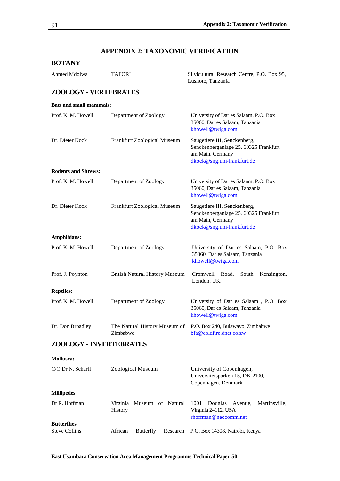# **APPENDIX 2: TAXONOMIC VERIFICATION**

## **BOTANY**

| Ahmed Mdolwa                               | <b>TAFORI</b>                         | Silvicultural Research Centre, P.O. Box 95,<br>Lushoto, Tanzania                                                        |  |
|--------------------------------------------|---------------------------------------|-------------------------------------------------------------------------------------------------------------------------|--|
| <b>ZOOLOGY - VERTEBRATES</b>               |                                       |                                                                                                                         |  |
| <b>Bats and small mammals:</b>             |                                       |                                                                                                                         |  |
| Prof. K. M. Howell                         | Department of Zoology                 | University of Dar es Salaam, P.O. Box<br>35060, Dar es Salaam, Tanzania<br>khowell@twiga.com                            |  |
| Dr. Dieter Kock                            | Frankfurt Zoological Museum           | Saugetiere III, Senckenberg,<br>Senckenberganlage 25, 60325 Frankfurt<br>am Main, Germany<br>dkock@sng.uni-frankfurt.de |  |
| <b>Rodents and Shrews:</b>                 |                                       |                                                                                                                         |  |
| Prof. K. M. Howell                         | Department of Zoology                 | University of Dar es Salaam, P.O. Box<br>35060, Dar es Salaam, Tanzania<br>khowell@twiga.com                            |  |
| Dr. Dieter Kock                            | Frankfurt Zoological Museum           | Saugetiere III, Senckenberg,<br>Senckenberganlage 25, 60325 Frankfurt<br>am Main, Germany<br>dkock@sng.uni-frankfurt.de |  |
| Amphibians:                                |                                       |                                                                                                                         |  |
| Prof. K. M. Howell                         | Department of Zoology                 | University of Dar es Salaam, P.O. Box<br>35060, Dar es Salaam, Tanzania<br>khowell@twiga.com                            |  |
| Prof. J. Poynton                           | <b>British Natural History Museum</b> | Cromwell Road,<br>South<br>Kensington,<br>London, UK.                                                                   |  |
| <b>Reptiles:</b>                           |                                       |                                                                                                                         |  |
| Prof. K. M. Howell                         | Department of Zoology                 | University of Dar es Salaam, P.O. Box<br>35060, Dar es Salaam, Tanzania<br>khowell@twiga.com                            |  |
| Dr. Don Broadley                           | Zimbabwe                              | The Natural History Museum of P.O. Box 240, Bulawayo, Zimbabwe<br>bfa@coldfire.dnet.co.zw                               |  |
| <b>ZOOLOGY - INVERTEBRATES</b>             |                                       |                                                                                                                         |  |
| <b>Mollusca:</b>                           |                                       |                                                                                                                         |  |
| C/O Dr N. Scharff                          | Zoological Museum                     | University of Copenhagen,<br>Universitetsparken 15, DK-2100,<br>Copenhagen, Denmark                                     |  |
| <b>Millipedes</b>                          |                                       |                                                                                                                         |  |
| Dr R. Hoffman                              | Virginia Museum of Natural<br>History | 1001<br>Douglas Avenue,<br>Martinsville,<br>Virginia 24112, USA<br>rhoffman@neocomm.net                                 |  |
| <b>Butterflies</b><br><b>Steve Collins</b> | African<br>Butterfly<br>Research      | P.O. Box 14308, Nairobi, Kenya                                                                                          |  |
|                                            |                                       |                                                                                                                         |  |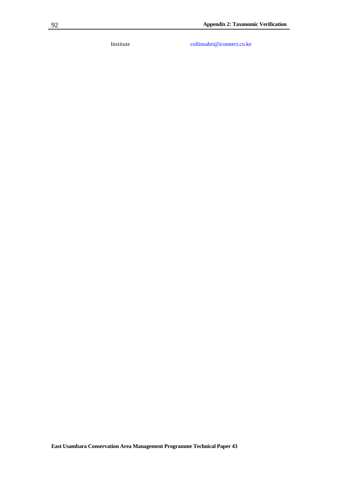Institute collinsabri@iconnect.co.ke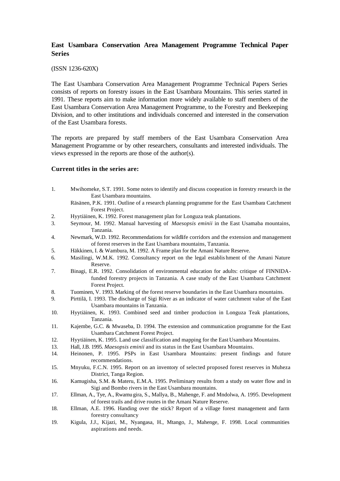## **East Usambara Conservation Area Management Programme Technical Paper Series**

#### (ISSN 1236-620X)

The East Usambara Conservation Area Management Programme Technical Papers Series consists of reports on forestry issues in the East Usambara Mountains. This series started in 1991. These reports aim to make information more widely available to staff members of the East Usambara Conservation Area Management Programme, to the Forestry and Beekeeping Division, and to other institutions and individuals concerned and interested in the conservation of the East Usambara forests.

The reports are prepared by staff members of the East Usambara Conservation Area Management Programme or by other researchers, consultants and interested individuals. The views expressed in the reports are those of the author(s).

### **Current titles in the series are:**

- 1. Mwihomeke, S.T. 1991. Some notes to identify and discuss coopeation in forestry research in the East Usambara mountains.
	- Räsänen, P.K. 1991. Outline of a research planning programme for the East Usambara Catchment Forest Project.
- 2. Hyytiäinen, K. 1992. Forest management plan for Longuza teak plantations.
- 3. Seymour, M. 1992. Manual harvesting of *Maesopsis eminii* in the East Usamaba mountains, Tanzania.
- 4. Newmark, W.D. 1992. Recommendations for wildlife corridors and the extension and management of forest reserves in the East Usambara mountains, Tanzania.
- 5. Häkkinen, I. & Wambura, M. 1992. A Frame plan for the Amani Nature Reserve.
- 6. Masilingi, W.M.K. 1992. Consultancy report on the legal establis hment of the Amani Nature Reserve.
- 7. Binagi, E.R. 1992. Consolidation of environmental education for adults: critique of FINNIDAfunded forestry projects in Tanzania. A case study of the East Usambara Catchment Forest Project.
- 8. Tuominen, V. 1993. Marking of the forest reserve boundaries in the East Usambara mountains.
- 9. Pirttilä, I. 1993. The discharge of Sigi River as an indicator of water catchment value of the East Usambara mountains in Tanzania.
- 10. Hyytiäinen, K. 1993. Combined seed and timber production in Longuza Teak plantations, Tanzania.
- 11. Kajembe, G.C. & Mwaseba, D. 1994. The extension and communication programme for the East Usambara Catchment Forest Project.
- 12. Hyytiäinen, K. 1995. Land use classification and mapping for the East Usambara Mountains.
- 13. Hall, J.B. 1995. *Maesopsis eminii* and its status in the East Usambara Mountains.
- 14. Heinonen, P. 1995. PSPs in East Usambara Mountains: present findings and future recommendations.
- 15. Mnyuku, F.C.N. 1995. Report on an inventory of selected proposed forest reserves in Muheza District, Tanga Region.
- 16. Kamugisha, S.M. & Materu, E.M.A. 1995. Preliminary results from a study on water flow and in Sigi and Bombo rivers in the East Usambara mountains.
- 17. Ellman, A., Tye, A., Rwamu gira, S., Mallya, B., Mahenge, F. and Mndolwa, A. 1995. Development of forest trails and drive routes in the Amani Nature Reserve.
- 18. Ellman, A.E. 1996. Handing over the stick? Report of a village forest management and farm forestry consultancy
- 19. Kigula, J.J., Kijazi, M., Nyangasa, H., Mtango, J., Mahenge, F. 1998. Local communities aspirations and needs.